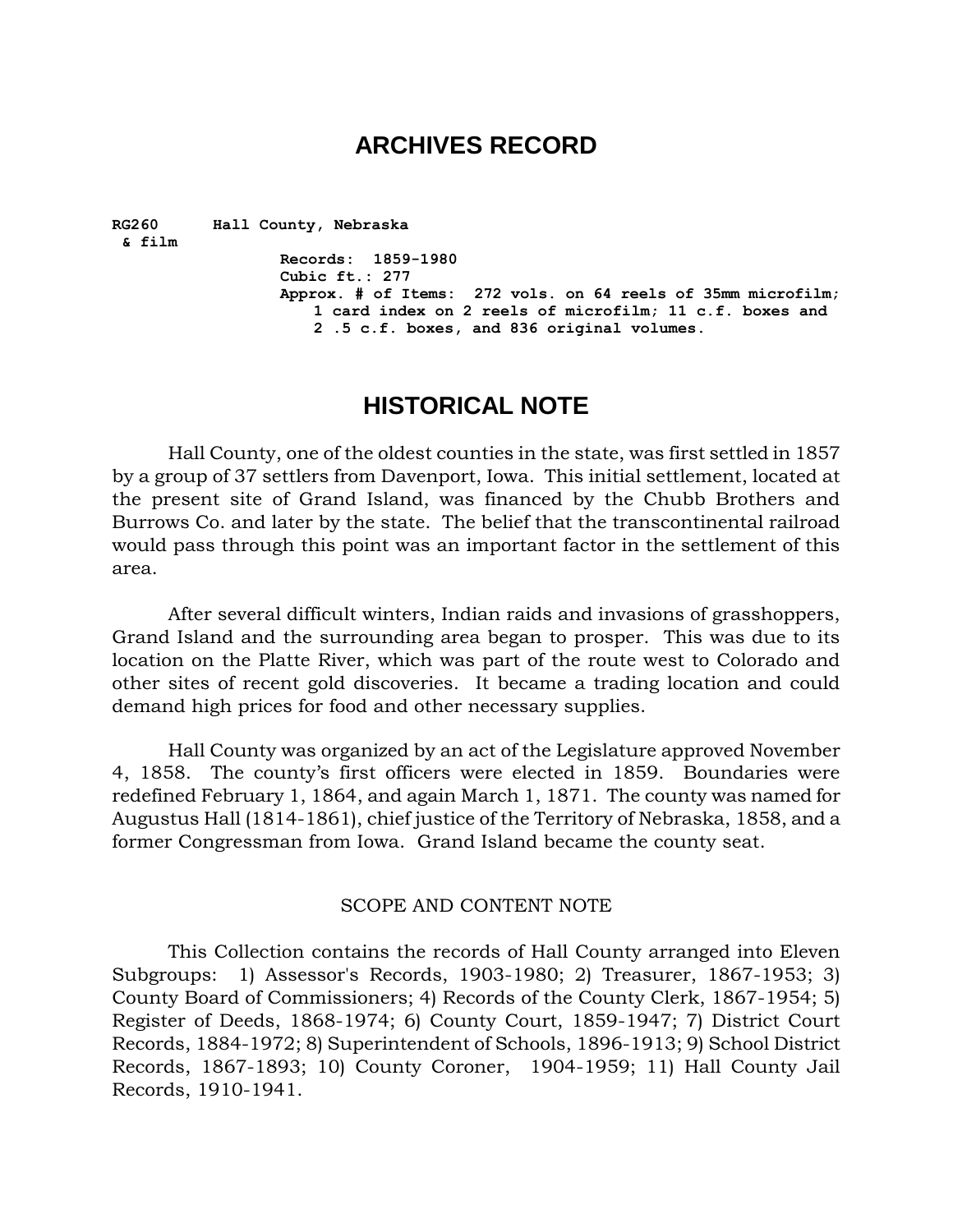# **ARCHIVES RECORD**

**RG260 Hall County, Nebraska & film Records: 1859-1980 Cubic ft.: 277 Approx. # of Items: 272 vols. on 64 reels of 35mm microfilm; 1 card index on 2 reels of microfilm; 11 c.f. boxes and 2 .5 c.f. boxes, and 836 original volumes.**

## **HISTORICAL NOTE**

Hall County, one of the oldest counties in the state, was first settled in 1857 by a group of 37 settlers from Davenport, Iowa. This initial settlement, located at the present site of Grand Island, was financed by the Chubb Brothers and Burrows Co. and later by the state. The belief that the transcontinental railroad would pass through this point was an important factor in the settlement of this area.

After several difficult winters, Indian raids and invasions of grasshoppers, Grand Island and the surrounding area began to prosper. This was due to its location on the Platte River, which was part of the route west to Colorado and other sites of recent gold discoveries. It became a trading location and could demand high prices for food and other necessary supplies.

Hall County was organized by an act of the Legislature approved November 4, 1858. The county's first officers were elected in 1859. Boundaries were redefined February 1, 1864, and again March 1, 1871. The county was named for Augustus Hall (1814-1861), chief justice of the Territory of Nebraska, 1858, and a former Congressman from Iowa. Grand Island became the county seat.

#### SCOPE AND CONTENT NOTE

This Collection contains the records of Hall County arranged into Eleven Subgroups: 1) Assessor's Records, 1903-1980; 2) Treasurer, 1867-1953; 3) County Board of Commissioners; 4) Records of the County Clerk, 1867-1954; 5) Register of Deeds, 1868-1974; 6) County Court, 1859-1947; 7) District Court Records, 1884-1972; 8) Superintendent of Schools, 1896-1913; 9) School District Records, 1867-1893; 10) County Coroner, 1904-1959; 11) Hall County Jail Records, 1910-1941.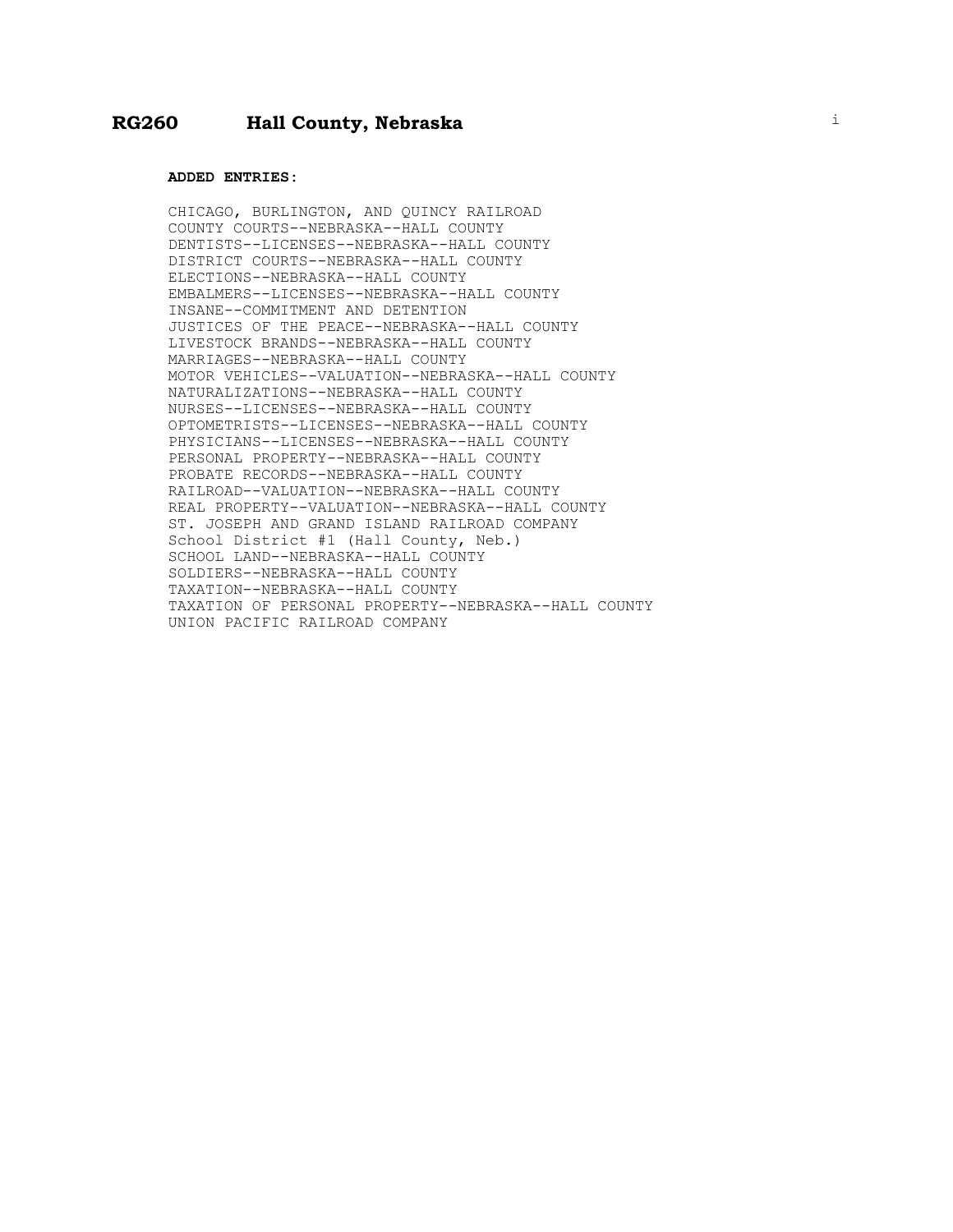#### **ADDED ENTRIES:**

CHICAGO, BURLINGTON, AND QUINCY RAILROAD COUNTY COURTS--NEBRASKA--HALL COUNTY DENTISTS--LICENSES--NEBRASKA--HALL COUNTY DISTRICT COURTS--NEBRASKA--HALL COUNTY ELECTIONS--NEBRASKA--HALL COUNTY EMBALMERS--LICENSES--NEBRASKA--HALL COUNTY INSANE--COMMITMENT AND DETENTION JUSTICES OF THE PEACE--NEBRASKA--HALL COUNTY LIVESTOCK BRANDS--NEBRASKA--HALL COUNTY MARRIAGES--NEBRASKA--HALL COUNTY MOTOR VEHICLES--VALUATION--NEBRASKA--HALL COUNTY NATURALIZATIONS--NEBRASKA--HALL COUNTY NURSES--LICENSES--NEBRASKA--HALL COUNTY OPTOMETRISTS--LICENSES--NEBRASKA--HALL COUNTY PHYSICIANS--LICENSES--NEBRASKA--HALL COUNTY PERSONAL PROPERTY--NEBRASKA--HALL COUNTY PROBATE RECORDS--NEBRASKA--HALL COUNTY RAILROAD--VALUATION--NEBRASKA--HALL COUNTY REAL PROPERTY--VALUATION--NEBRASKA--HALL COUNTY ST. JOSEPH AND GRAND ISLAND RAILROAD COMPANY School District #1 (Hall County, Neb.) SCHOOL LAND--NEBRASKA--HALL COUNTY SOLDIERS--NEBRASKA--HALL COUNTY TAXATION--NEBRASKA--HALL COUNTY TAXATION OF PERSONAL PROPERTY--NEBRASKA--HALL COUNTY UNION PACIFIC RAILROAD COMPANY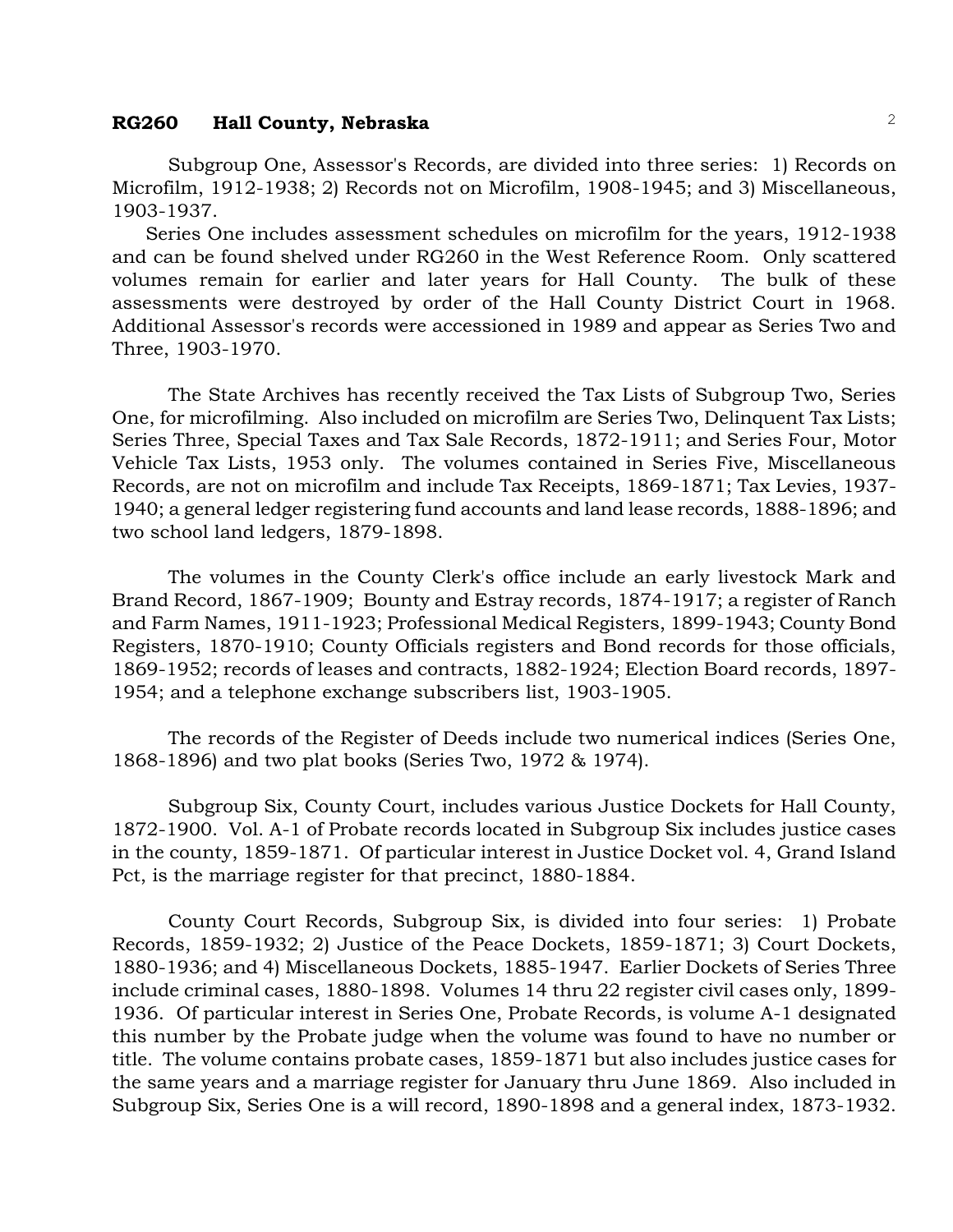Subgroup One, Assessor's Records, are divided into three series: 1) Records on Microfilm, 1912-1938; 2) Records not on Microfilm, 1908-1945; and 3) Miscellaneous, 1903-1937.

Series One includes assessment schedules on microfilm for the years, 1912-1938 and can be found shelved under RG260 in the West Reference Room. Only scattered volumes remain for earlier and later years for Hall County. The bulk of these assessments were destroyed by order of the Hall County District Court in 1968. Additional Assessor's records were accessioned in 1989 and appear as Series Two and Three, 1903-1970.

The State Archives has recently received the Tax Lists of Subgroup Two, Series One, for microfilming. Also included on microfilm are Series Two, Delinquent Tax Lists; Series Three, Special Taxes and Tax Sale Records, 1872-1911; and Series Four, Motor Vehicle Tax Lists, 1953 only. The volumes contained in Series Five, Miscellaneous Records, are not on microfilm and include Tax Receipts, 1869-1871; Tax Levies, 1937- 1940; a general ledger registering fund accounts and land lease records, 1888-1896; and two school land ledgers, 1879-1898.

The volumes in the County Clerk's office include an early livestock Mark and Brand Record, 1867-1909; Bounty and Estray records, 1874-1917; a register of Ranch and Farm Names, 1911-1923; Professional Medical Registers, 1899-1943; County Bond Registers, 1870-1910; County Officials registers and Bond records for those officials, 1869-1952; records of leases and contracts, 1882-1924; Election Board records, 1897- 1954; and a telephone exchange subscribers list, 1903-1905.

The records of the Register of Deeds include two numerical indices (Series One, 1868-1896) and two plat books (Series Two, 1972 & 1974).

Subgroup Six, County Court, includes various Justice Dockets for Hall County, 1872-1900. Vol. A-1 of Probate records located in Subgroup Six includes justice cases in the county, 1859-1871. Of particular interest in Justice Docket vol. 4, Grand Island Pct, is the marriage register for that precinct, 1880-1884.

County Court Records, Subgroup Six, is divided into four series: 1) Probate Records, 1859-1932; 2) Justice of the Peace Dockets, 1859-1871; 3) Court Dockets, 1880-1936; and 4) Miscellaneous Dockets, 1885-1947. Earlier Dockets of Series Three include criminal cases, 1880-1898. Volumes 14 thru 22 register civil cases only, 1899- 1936. Of particular interest in Series One, Probate Records, is volume A-1 designated this number by the Probate judge when the volume was found to have no number or title. The volume contains probate cases, 1859-1871 but also includes justice cases for the same years and a marriage register for January thru June 1869. Also included in Subgroup Six, Series One is a will record, 1890-1898 and a general index, 1873-1932.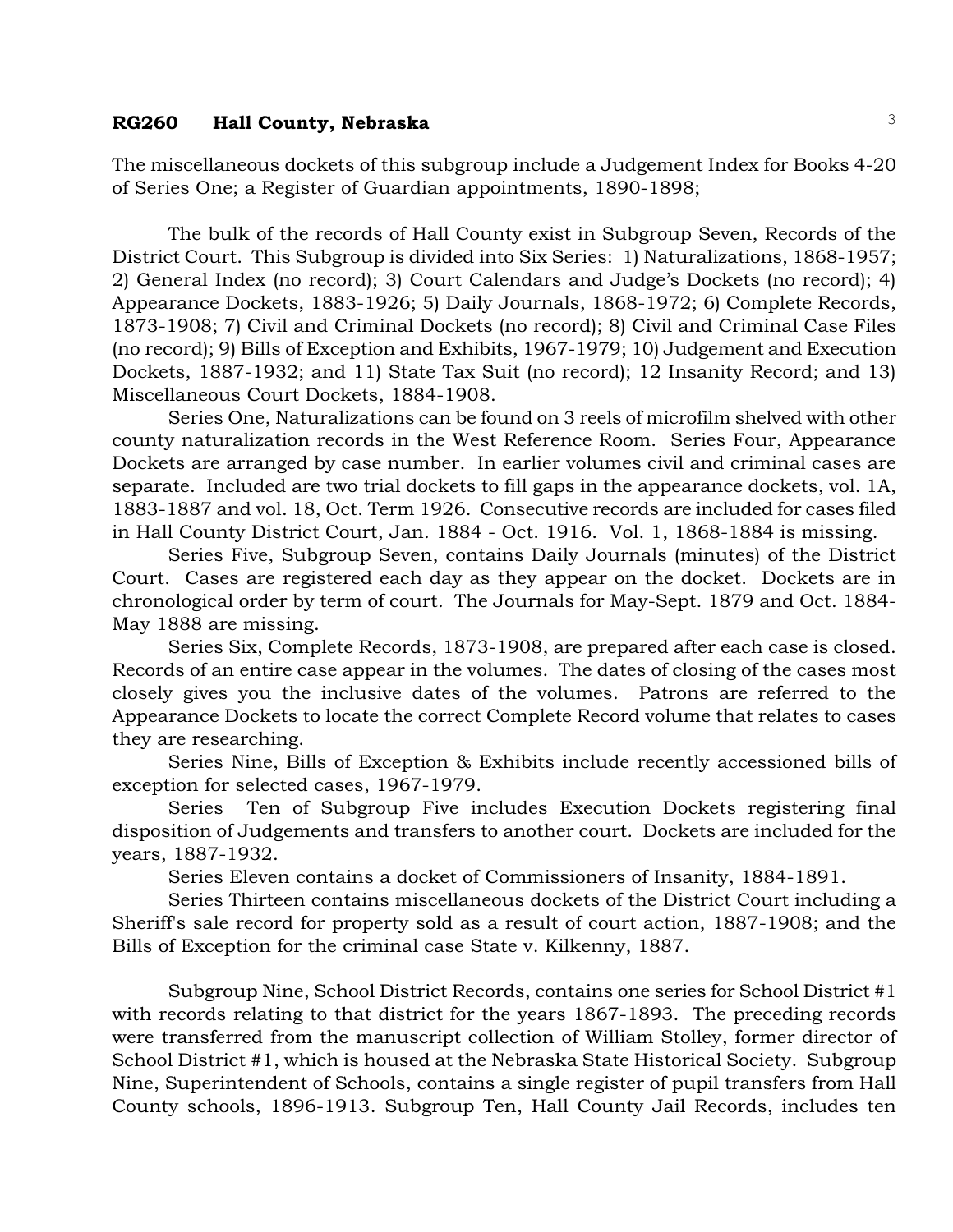The miscellaneous dockets of this subgroup include a Judgement Index for Books 4-20 of Series One; a Register of Guardian appointments, 1890-1898;

The bulk of the records of Hall County exist in Subgroup Seven, Records of the District Court. This Subgroup is divided into Six Series: 1) Naturalizations, 1868-1957; 2) General Index (no record); 3) Court Calendars and Judge's Dockets (no record); 4) Appearance Dockets, 1883-1926; 5) Daily Journals, 1868-1972; 6) Complete Records, 1873-1908; 7) Civil and Criminal Dockets (no record); 8) Civil and Criminal Case Files (no record); 9) Bills of Exception and Exhibits, 1967-1979; 10) Judgement and Execution Dockets, 1887-1932; and 11) State Tax Suit (no record); 12 Insanity Record; and 13) Miscellaneous Court Dockets, 1884-1908.

Series One, Naturalizations can be found on 3 reels of microfilm shelved with other county naturalization records in the West Reference Room. Series Four, Appearance Dockets are arranged by case number. In earlier volumes civil and criminal cases are separate. Included are two trial dockets to fill gaps in the appearance dockets, vol. 1A, 1883-1887 and vol. 18, Oct. Term 1926. Consecutive records are included for cases filed in Hall County District Court, Jan. 1884 - Oct. 1916. Vol. 1, 1868-1884 is missing.

Series Five, Subgroup Seven, contains Daily Journals (minutes) of the District Court. Cases are registered each day as they appear on the docket. Dockets are in chronological order by term of court. The Journals for May-Sept. 1879 and Oct. 1884- May 1888 are missing.

Series Six, Complete Records, 1873-1908, are prepared after each case is closed. Records of an entire case appear in the volumes. The dates of closing of the cases most closely gives you the inclusive dates of the volumes. Patrons are referred to the Appearance Dockets to locate the correct Complete Record volume that relates to cases they are researching.

Series Nine, Bills of Exception & Exhibits include recently accessioned bills of exception for selected cases, 1967-1979.

Series Ten of Subgroup Five includes Execution Dockets registering final disposition of Judgements and transfers to another court. Dockets are included for the years, 1887-1932.

Series Eleven contains a docket of Commissioners of Insanity, 1884-1891.

Series Thirteen contains miscellaneous dockets of the District Court including a Sheriff's sale record for property sold as a result of court action, 1887-1908; and the Bills of Exception for the criminal case State v. Kilkenny, 1887.

Subgroup Nine, School District Records, contains one series for School District #1 with records relating to that district for the years 1867-1893. The preceding records were transferred from the manuscript collection of William Stolley, former director of School District #1, which is housed at the Nebraska State Historical Society. Subgroup Nine, Superintendent of Schools, contains a single register of pupil transfers from Hall County schools, 1896-1913. Subgroup Ten, Hall County Jail Records, includes ten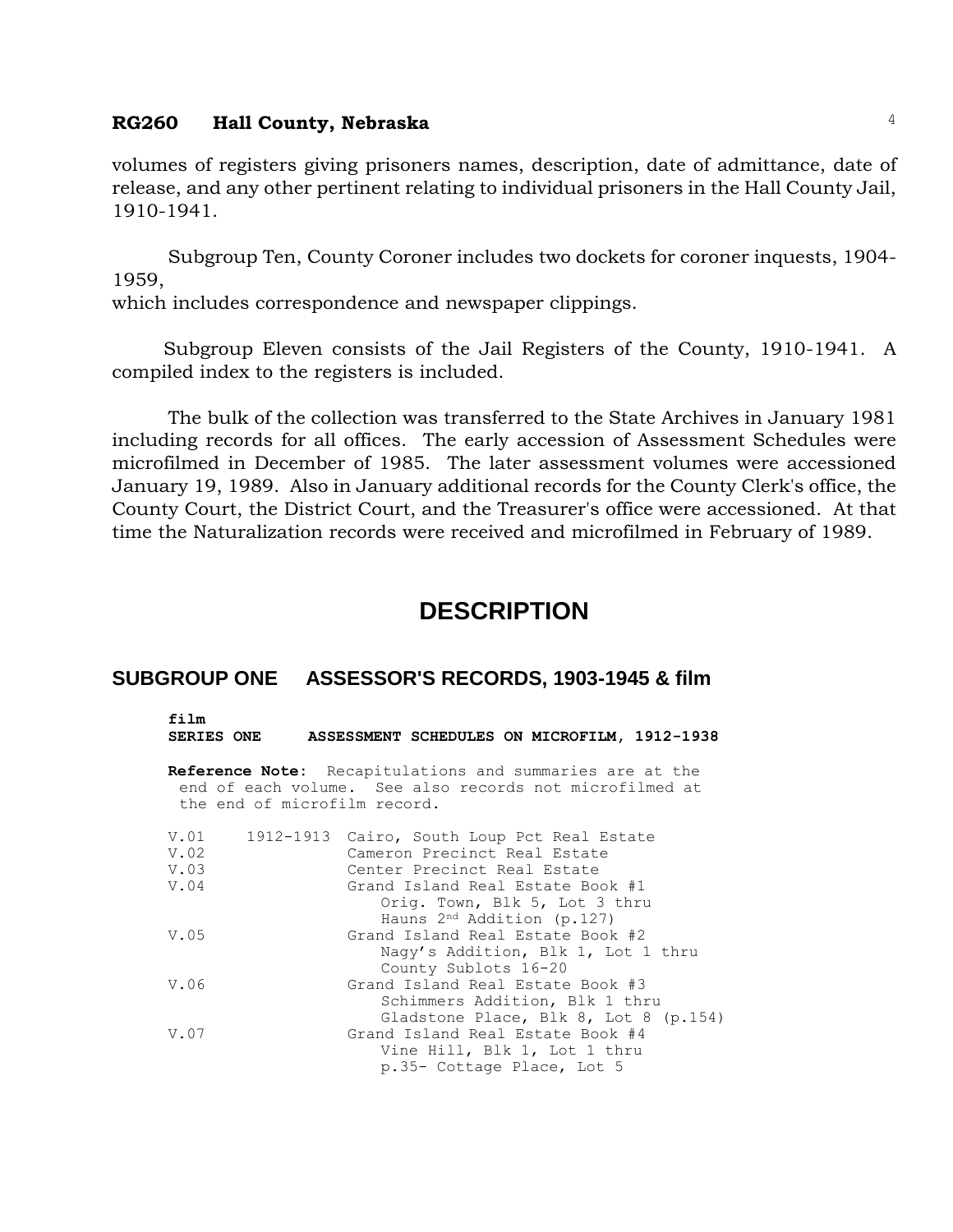volumes of registers giving prisoners names, description, date of admittance, date of release, and any other pertinent relating to individual prisoners in the Hall County Jail, 1910-1941.

Subgroup Ten, County Coroner includes two dockets for coroner inquests, 1904- 1959,

which includes correspondence and newspaper clippings.

 Subgroup Eleven consists of the Jail Registers of the County, 1910-1941. A compiled index to the registers is included.

The bulk of the collection was transferred to the State Archives in January 1981 including records for all offices. The early accession of Assessment Schedules were microfilmed in December of 1985. The later assessment volumes were accessioned January 19, 1989. Also in January additional records for the County Clerk's office, the County Court, the District Court, and the Treasurer's office were accessioned. At that time the Naturalization records were received and microfilmed in February of 1989.

## **DESCRIPTION**

#### **SUBGROUP ONE ASSESSOR'S RECORDS, 1903-1945 & film**

**film SERIES ONE ASSESSMENT SCHEDULES ON MICROFILM, 1912-1938**

**Reference Note:** Recapitulations and summaries are at the end of each volume. See also records not microfilmed at the end of microfilm record.

| V.01 | 1912-1913 Cairo, South Loup Pct Real Estate |
|------|---------------------------------------------|
| V.02 | Cameron Precinct Real Estate                |
| V.03 | Center Precinct Real Estate                 |
| V.04 | Grand Island Real Estate Book #1            |
|      | Orig. Town, Blk 5, Lot 3 thru               |
|      | Hauns $2nd$ Addition (p.127)                |
| V.05 | Grand Island Real Estate Book #2            |
|      | Nagy's Addition, Blk 1, Lot 1 thru          |
|      | County Sublots 16-20                        |
| V.06 | Grand Island Real Estate Book #3            |
|      | Schimmers Addition, Blk 1 thru              |
|      | Gladstone Place, Blk 8, Lot 8 (p.154)       |
| V.07 | Grand Island Real Estate Book #4            |
|      | Vine Hill, Blk 1, Lot 1 thru                |
|      | p.35- Cottage Place, Lot 5                  |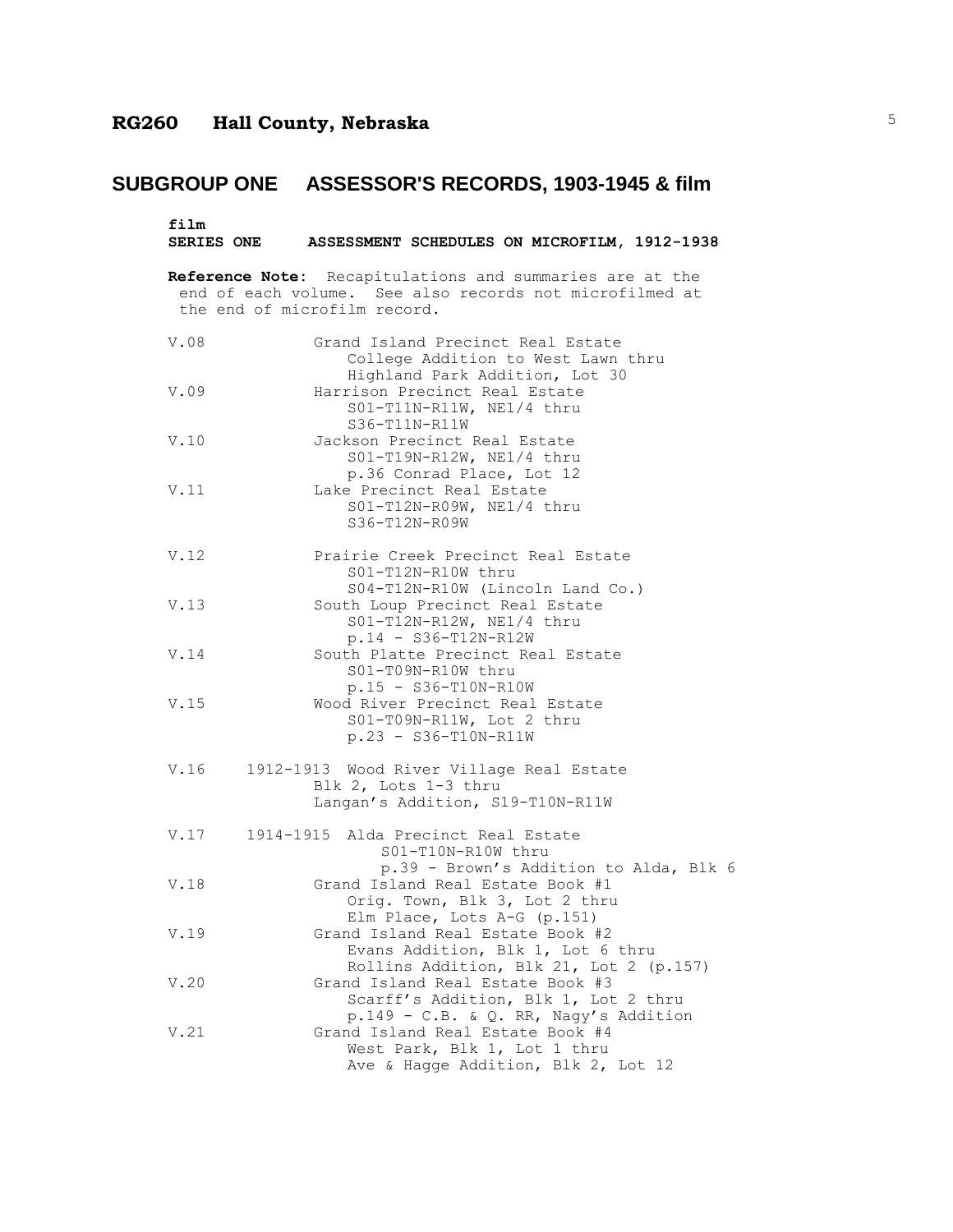# **SUBGROUP ONE ASSESSOR'S RECORDS, 1903-1945 & film**

| film | SERIES ONE ASSESSMENT SCHEDULES ON MICROFILM, 1912-1938                                                                                             |
|------|-----------------------------------------------------------------------------------------------------------------------------------------------------|
|      | Reference Note: Recapitulations and summaries are at the<br>end of each volume. See also records not microfilmed at<br>the end of microfilm record. |
| V.08 | Grand Island Precinct Real Estate<br>College Addition to West Lawn thru<br>Highland Park Addition, Lot 30                                           |
| V.09 | Harrison Precinct Real Estate<br>$S01-T11N-R11W$ , NE1/4 thru<br>S36-T11N-R11W                                                                      |
| V.10 | Jackson Precinct Real Estate<br>S01-T19N-R12W, NE1/4 thru<br>p.36 Conrad Place, Lot 12                                                              |
| V.11 | Lake Precinct Real Estate<br>S01-T12N-R09W, NE1/4 thru<br>$S36 - T12N - R09W$                                                                       |
| V.12 | Prairie Creek Precinct Real Estate<br>S01-T12N-R10W thru<br>S04-T12N-R10W (Lincoln Land Co.)                                                        |
| V.13 | South Loup Precinct Real Estate<br>S01-T12N-R12W, NE1/4 thru<br>$p.14 - S36 - T12N - R12W$                                                          |
| V.14 | South Platte Precinct Real Estate<br>S01-T09N-R10W thru<br>$p.15 - S36 - T10N - R10W$                                                               |
| V.15 | Wood River Precinct Real Estate<br>S01-T09N-R11W, Lot 2 thru<br>$p.23 - S36 - T10N - R11W$                                                          |
| V.16 | 1912-1913 Wood River Village Real Estate<br>Blk 2, Lots 1-3 thru<br>Langan's Addition, S19-T10N-R11W                                                |
|      | V.17 1914-1915 Alda Precinct Real Estate<br>S01-T10N-R10W thru<br>p.39 - Brown's Addition to Alda, Blk 6                                            |
| V.18 | Grand Island Real Estate Book #1<br>Orig. Town, Blk 3, Lot 2 thru<br>Elm Place, Lots A-G (p.151)                                                    |
| V.19 | Grand Island Real Estate Book #2<br>Evans Addition, Blk 1, Lot 6 thru<br>Rollins Addition, Blk 21, Lot 2 (p.157)                                    |
| V.20 | Grand Island Real Estate Book #3<br>Scarff's Addition, Blk 1, Lot 2 thru<br>p.149 - C.B. & Q. RR, Nagy's Addition                                   |
| V.21 | Grand Island Real Estate Book #4<br>West Park, Blk 1, Lot 1 thru<br>Ave & Hagge Addition, Blk 2, Lot 12                                             |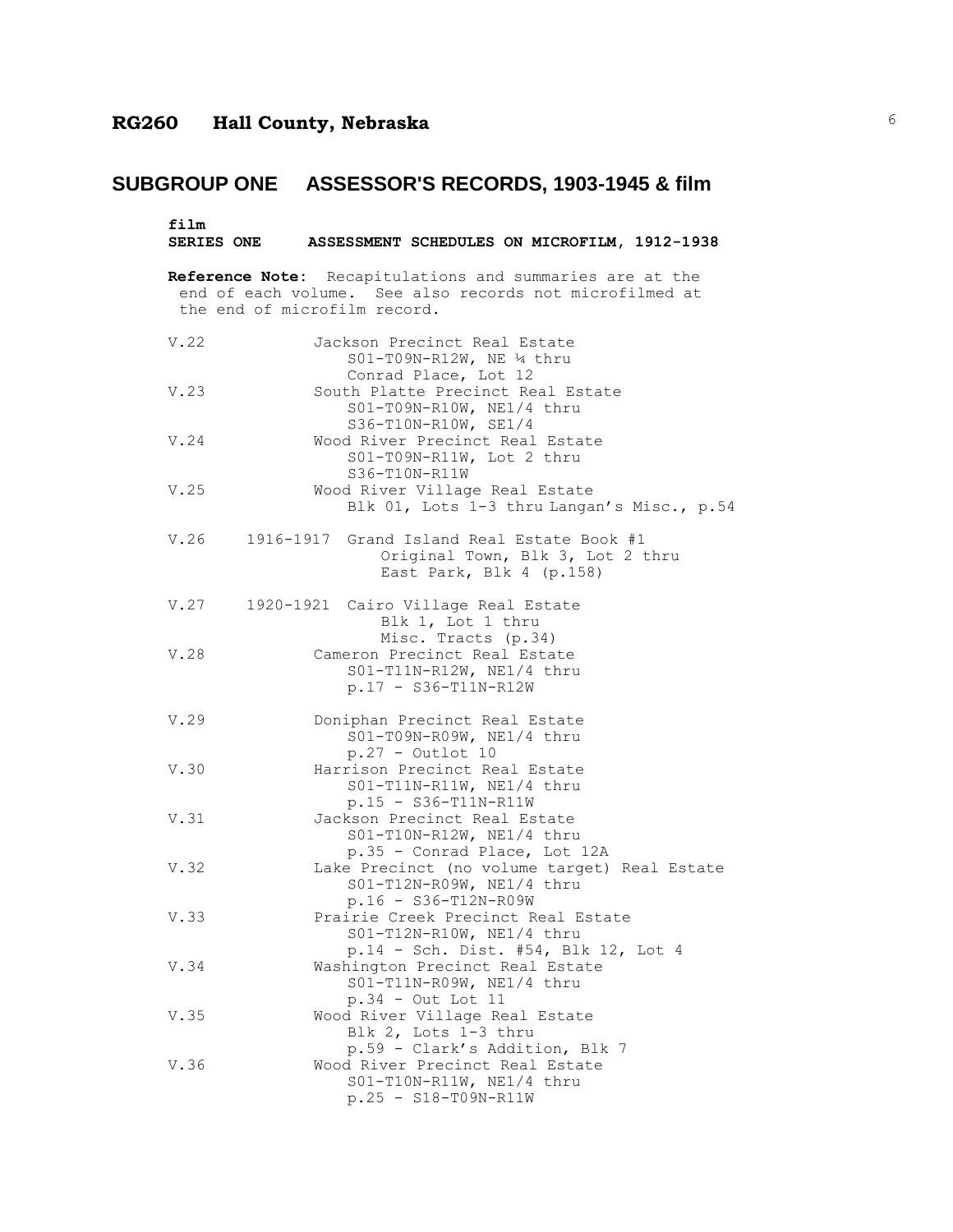# **SUBGROUP ONE ASSESSOR'S RECORDS, 1903-1945 & film**

| film |                                                                                                                                                     |
|------|-----------------------------------------------------------------------------------------------------------------------------------------------------|
|      | SERIES ONE ASSESSMENT SCHEDULES ON MICROFILM, 1912-1938                                                                                             |
|      | Reference Note: Recapitulations and summaries are at the<br>end of each volume. See also records not microfilmed at<br>the end of microfilm record. |
| V.22 | Jackson Precinct Real Estate<br>S01-T09N-R12W, NE 14 thru<br>Conrad Place, Lot 12                                                                   |
| V.23 | South Platte Precinct Real Estate<br>S01-T09N-R10W, NE1/4 thru<br>S36-T10N-R10W, SE1/4                                                              |
| V.24 | Wood River Precinct Real Estate<br>S01-T09N-R11W, Lot 2 thru<br>S36-T10N-R11W                                                                       |
| V.25 | Wood River Village Real Estate<br>Blk 01, Lots 1-3 thru Langan's Misc., p.54                                                                        |
|      | V.26 1916-1917 Grand Island Real Estate Book #1<br>Original Town, Blk 3, Lot 2 thru<br>East Park, Blk 4 (p.158)                                     |
|      | V.27 1920-1921 Cairo Village Real Estate<br>Blk 1, Lot 1 thru<br>Misc. Tracts (p.34)                                                                |
| V.28 | Cameron Precinct Real Estate<br>S01-T11N-R12W, NE1/4 thru<br>$p.17 - S36 - T11N - R12W$                                                             |
| V.29 | Doniphan Precinct Real Estate<br>S01-T09N-R09W, NE1/4 thru<br>$p.27 - Outlot 10$                                                                    |
| V.30 | Harrison Precinct Real Estate<br>S01-T11N-R11W, NE1/4 thru<br>$p.15 - S36-T11N-R11W$                                                                |
| V.31 | Jackson Precinct Real Estate<br>S01-T10N-R12W, NE1/4 thru<br>p.35 - Conrad Place, Lot 12A                                                           |
| V.32 | Lake Precinct (no volume target) Real Estate<br>S01-T12N-R09W, NE1/4 thru<br>p.16 - S36-T12N-R09W                                                   |
| V.33 | Prairie Creek Precinct Real Estate<br>S01-T12N-R10W, NE1/4 thru<br>p.14 - Sch. Dist. #54, Blk 12, Lot 4                                             |
| V.34 | Washington Precinct Real Estate<br>S01-T11N-R09W, NE1/4 thru<br>$p.34 - Out$ Lot 11                                                                 |
| V.35 | Wood River Village Real Estate<br>Blk 2, Lots 1-3 thru<br>p.59 - Clark's Addition, Blk 7                                                            |
| V.36 | Wood River Precinct Real Estate<br>$S01-T10N-R11W$ , NE1/4 thru<br>$p.25 - S18 - T09N - R11W$                                                       |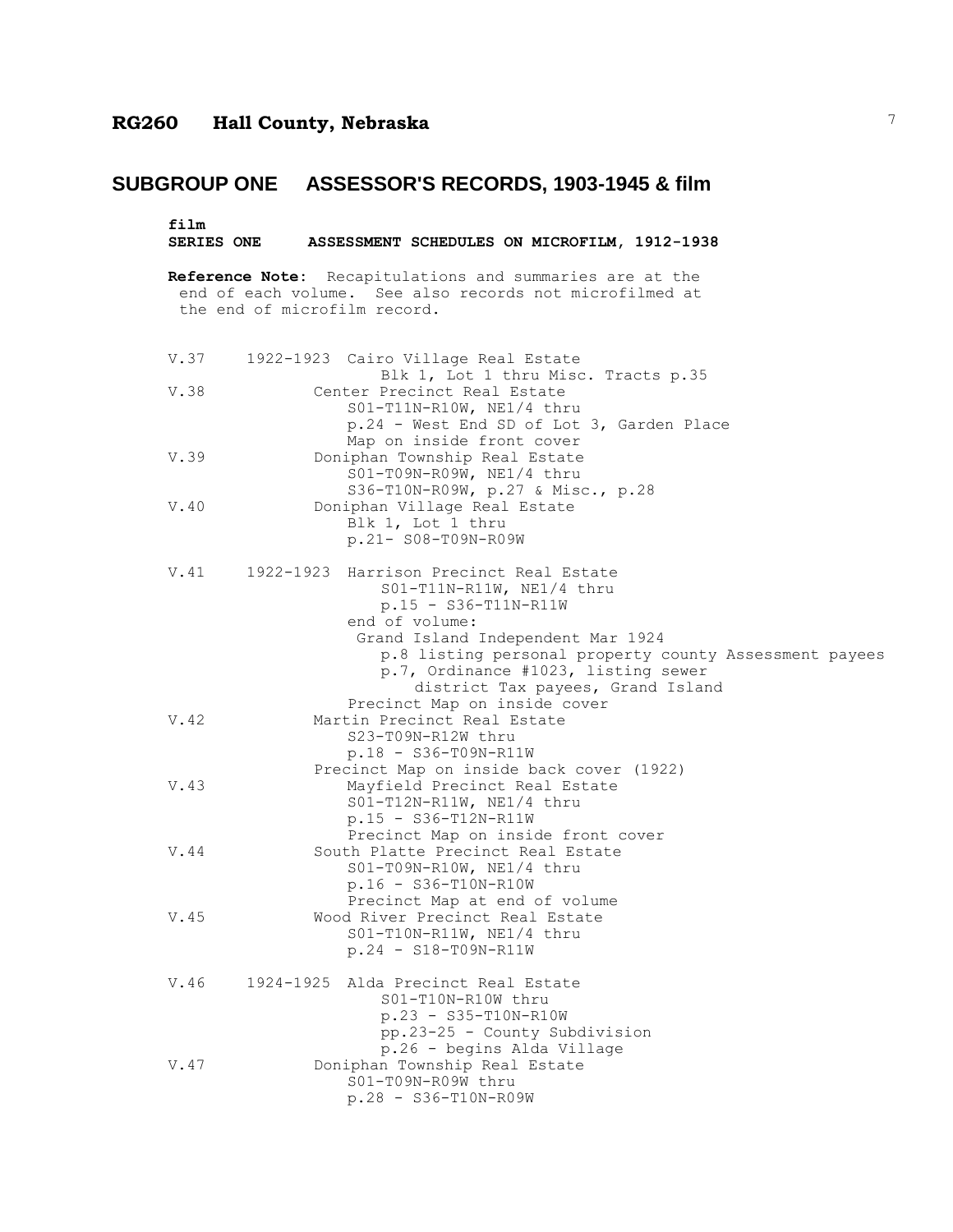## **SUBGROUP ONE ASSESSOR'S RECORDS, 1903-1945 & film**

film<br>SERIES ONE **SERIES ONE ASSESSMENT SCHEDULES ON MICROFILM, 1912-1938**

**Reference Note:** Recapitulations and summaries are at the end of each volume. See also records not microfilmed at the end of microfilm record.

| V.37 | 1922-1923 Cairo Village Real Estate<br>Blk 1, Lot 1 thru Misc. Tracts p.35                                                                                                                                                                                                                                                      |
|------|---------------------------------------------------------------------------------------------------------------------------------------------------------------------------------------------------------------------------------------------------------------------------------------------------------------------------------|
| V.38 | Center Precinct Real Estate<br>S01-T11N-R10W, NE1/4 thru<br>p.24 - West End SD of Lot 3, Garden Place                                                                                                                                                                                                                           |
| V.39 | Map on inside front cover<br>Doniphan Township Real Estate<br>S01-T09N-R09W, NE1/4 thru<br>S36-T10N-R09W, p.27 & Misc., p.28                                                                                                                                                                                                    |
| V.40 | Doniphan Village Real Estate<br>Blk 1, Lot 1 thru<br>p.21- S08-T09N-R09W                                                                                                                                                                                                                                                        |
| V.41 | 1922-1923 Harrison Precinct Real Estate<br>S01-T11N-R11W, NE1/4 thru<br>$p.15 - S36 - T11N - R11W$<br>end of volume:<br>Grand Island Independent Mar 1924<br>p.8 listing personal property county Assessment payees<br>p.7, Ordinance #1023, listing sewer<br>district Tax payees, Grand Island<br>Precinct Map on inside cover |
| V.42 | Martin Precinct Real Estate<br>S23-T09N-R12W thru<br>$p.18 - S36 - T09N - R11W$                                                                                                                                                                                                                                                 |
| V.43 | Precinct Map on inside back cover (1922)<br>Mayfield Precinct Real Estate<br>S01-T12N-R11W, NE1/4 thru<br>$p.15 - S36-T12N-R11W$<br>Precinct Map on inside front cover                                                                                                                                                          |
| V.44 | South Platte Precinct Real Estate<br>$SO1-T09N-R10W$ , NE1/4 thru<br>$p.16 - S36 - T10N - R10W$<br>Precinct Map at end of volume                                                                                                                                                                                                |
| V.45 | Wood River Precinct Real Estate<br>S01-T10N-R11W, NE1/4 thru<br>$p.24 - S18 - T09N - R11W$                                                                                                                                                                                                                                      |
| V.46 | 1924-1925 Alda Precinct Real Estate<br>S01-T10N-R10W thru<br>$p.23 - S35 - T10N - R10W$<br>pp.23-25 - County Subdivision<br>p.26 - begins Alda Village                                                                                                                                                                          |
| V.47 | Doniphan Township Real Estate<br>S01-T09N-R09W thru<br>p.28 - S36-T10N-R09W                                                                                                                                                                                                                                                     |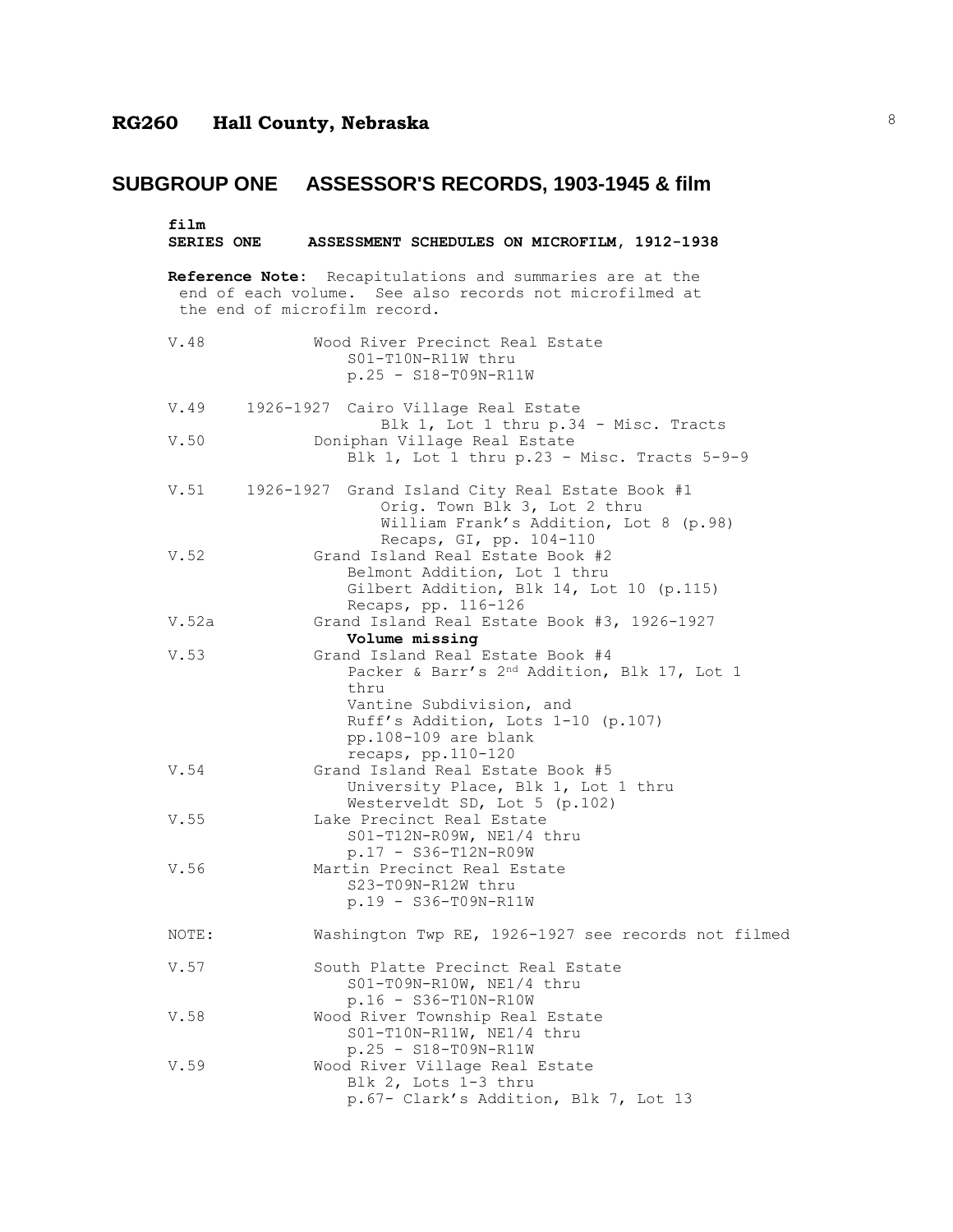| film                         | SERIES ONE ASSESSMENT SCHEDULES ON MICROFILM, 1912-1938                                                                                                                                                                               |
|------------------------------|---------------------------------------------------------------------------------------------------------------------------------------------------------------------------------------------------------------------------------------|
| the end of microfilm record. | Reference Note: Recapitulations and summaries are at the<br>end of each volume. See also records not microfilmed at                                                                                                                   |
| V.48                         | Wood River Precinct Real Estate<br>S01-T10N-R11W thru<br>$p.25 - S18 - T09N - R11W$                                                                                                                                                   |
| V.49                         | 1926-1927 Cairo Village Real Estate                                                                                                                                                                                                   |
| V.50                         | Blk 1, Lot 1 thru p.34 - Misc. Tracts<br>Doniphan Village Real Estate<br>Blk 1, Lot 1 thru p.23 - Misc. Tracts 5-9-9                                                                                                                  |
|                              | V.51 1926-1927 Grand Island City Real Estate Book #1<br>Orig. Town Blk 3, Lot 2 thru<br>William Frank's Addition, Lot 8 (p.98)<br>Recaps, GI, pp. 104-110                                                                             |
| V.52                         | Grand Island Real Estate Book #2<br>Belmont Addition, Lot 1 thru<br>Gilbert Addition, Blk 14, Lot 10 (p.115)<br>Recaps, pp. 116-126                                                                                                   |
| V.52a                        | Grand Island Real Estate Book #3, 1926-1927                                                                                                                                                                                           |
| V.53                         | Volume missing<br>Grand Island Real Estate Book #4<br>Packer & Barr's 2 <sup>nd</sup> Addition, Blk 17, Lot 1<br>thru<br>Vantine Subdivision, and<br>Ruff's Addition, Lots 1-10 (p.107)<br>pp.108-109 are blank<br>recaps, pp.110-120 |
| V.54                         | Grand Island Real Estate Book #5<br>University Place, Blk 1, Lot 1 thru<br>Westerveldt SD, Lot 5 (p.102)                                                                                                                              |
| V.55                         | Lake Precinct Real Estate<br>S01-T12N-R09W, NE1/4 thru<br>p.17 - S36-T12N-R09W                                                                                                                                                        |
| V.56                         | Martin Precinct Real Estate<br>S23-T09N-R12W thru<br>p.19 - S36-T09N-R11W                                                                                                                                                             |
| NOTE:                        | Washington Twp RE, 1926-1927 see records not filmed                                                                                                                                                                                   |
| V.57                         | South Platte Precinct Real Estate<br>S01-T09N-R10W, NE1/4 thru<br>p.16 - S36-T10N-R10W                                                                                                                                                |
| V.58                         | Wood River Township Real Estate<br>S01-T10N-R11W, NE1/4 thru<br>$p.25 - S18 - T09N - R11W$                                                                                                                                            |
| V.59                         | Wood River Village Real Estate<br>Blk 2, Lots 1-3 thru<br>p.67- Clark's Addition, Blk 7, Lot 13                                                                                                                                       |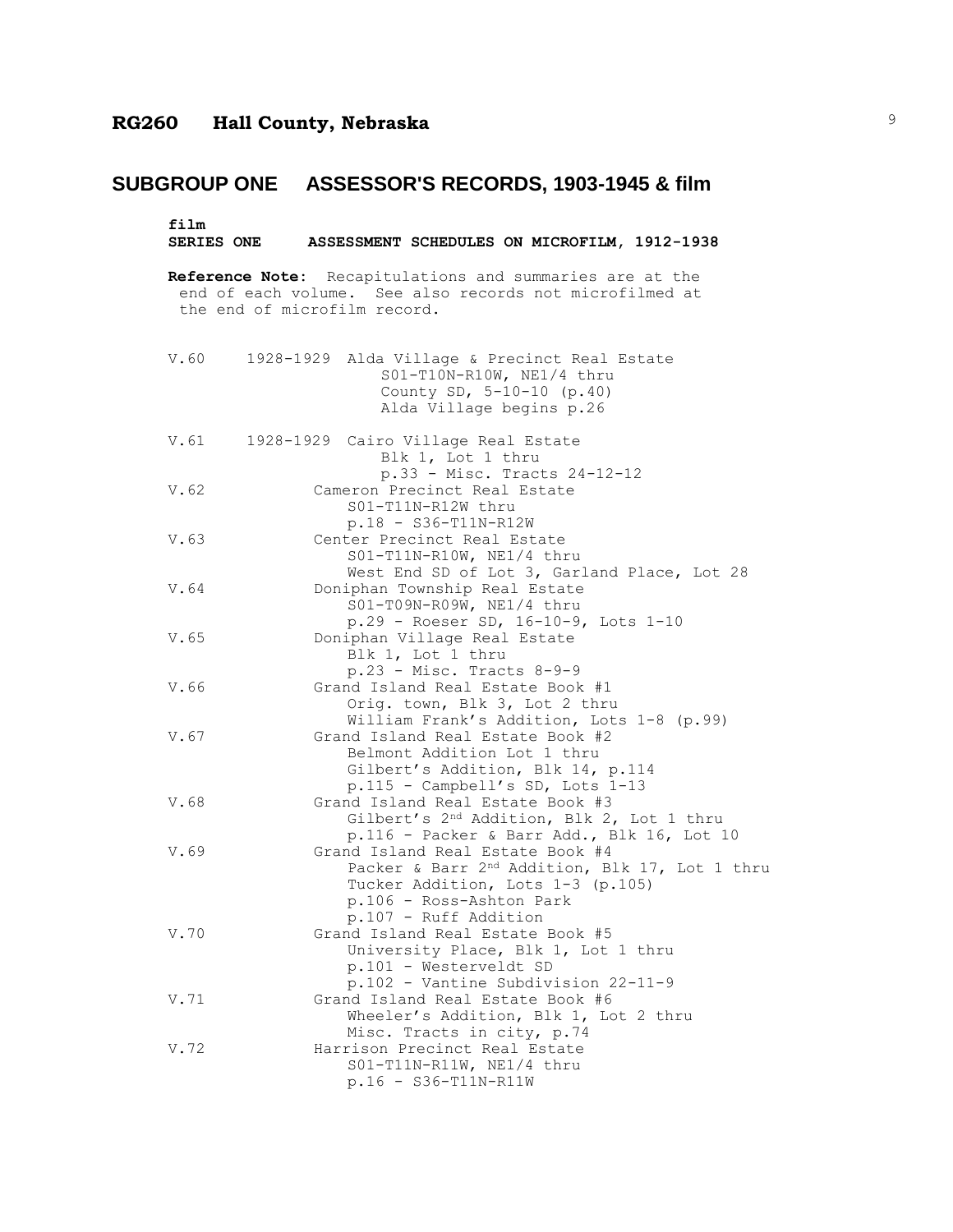**film SERIES ONE ASSESSMENT SCHEDULES ON MICROFILM, 1912-1938 Reference Note:** Recapitulations and summaries are at the end of each volume. See also records not microfilmed at the end of microfilm record. V.60 1928-1929 Alda Village & Precinct Real Estate S01-T10N-R10W, NE1/4 thru County SD, 5-10-10 (p.40) Alda Village begins p.26 V.61 1928-1929 Cairo Village Real Estate Blk 1, Lot 1 thru p.33 - Misc. Tracts 24-12-12 V.62 Cameron Precinct Real Estate S01-T11N-R12W thru p.18 - S36-T11N-R12W V.63 Center Precinct Real Estate S01-T11N-R10W, NE1/4 thru West End SD of Lot 3, Garland Place, Lot 28 V.64 Doniphan Township Real Estate S01-T09N-R09W, NE1/4 thru p.29 - Roeser SD, 16-10-9, Lots 1-10 V.65 Doniphan Village Real Estate Blk 1, Lot 1 thru p.23 - Misc. Tracts 8-9-9 V.66 Grand Island Real Estate Book #1 Orig. town, Blk 3, Lot 2 thru William Frank's Addition, Lots 1-8 (p.99) V.67 Grand Island Real Estate Book #2 Belmont Addition Lot 1 thru Gilbert's Addition, Blk 14, p.114 p.115 - Campbell's SD, Lots 1-13 V.68 Grand Island Real Estate Book #3 Gilbert's 2nd Addition, Blk 2, Lot 1 thru p.116 - Packer & Barr Add., Blk 16, Lot 10 V.69 Grand Island Real Estate Book #4 Packer & Barr 2<sup>nd</sup> Addition, Blk 17, Lot 1 thru Tucker Addition, Lots 1-3 (p.105) p.106 - Ross-Ashton Park p.107 - Ruff Addition V.70 Grand Island Real Estate Book #5 University Place, Blk 1, Lot 1 thru p.101 - Westerveldt SD p.102 - Vantine Subdivision 22-11-9 V.71 Grand Island Real Estate Book #6 Wheeler's Addition, Blk 1, Lot 2 thru Misc. Tracts in city, p.74 V.72 Harrison Precinct Real Estate S01-T11N-R11W, NE1/4 thru p.16 - S36-T11N-R11W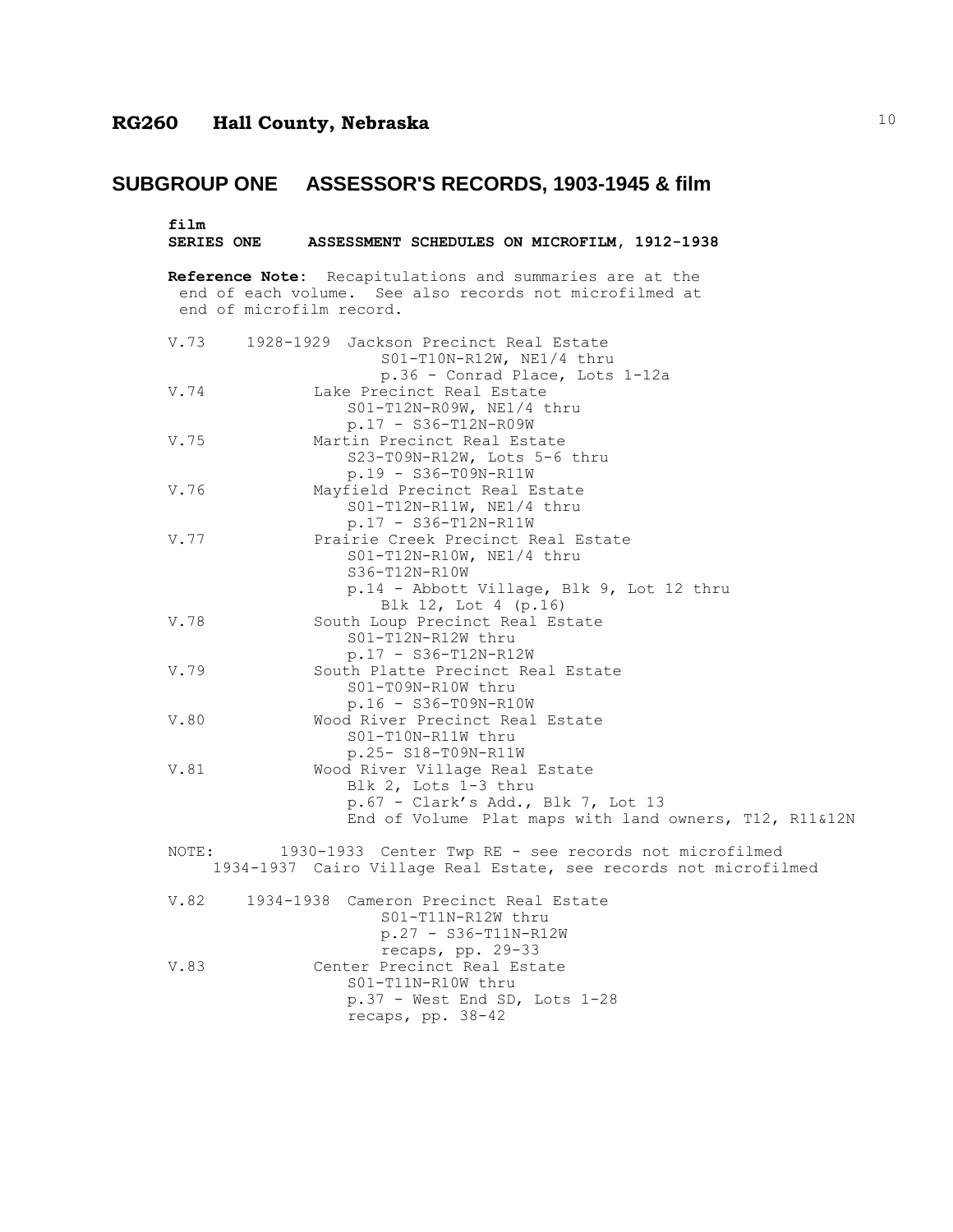# **SUBGROUP ONE ASSESSOR'S RECORDS, 1903-1945 & film**

| film                     | SERIES ONE ASSESSMENT SCHEDULES ON MICROFILM, 1912-1938                                                                                                |
|--------------------------|--------------------------------------------------------------------------------------------------------------------------------------------------------|
| end of microfilm record. | Reference Note: Recapitulations and summaries are at the<br>end of each volume. See also records not microfilmed at                                    |
| V.73                     | 1928-1929 Jackson Precinct Real Estate<br>S01-T10N-R12W, NE1/4 thru<br>p.36 - Conrad Place, Lots 1-12a                                                 |
| V.74                     | Lake Precinct Real Estate<br>S01-T12N-R09W, NE1/4 thru<br>p.17 - S36-T12N-R09W                                                                         |
| V.75                     | Martin Precinct Real Estate<br>S23-T09N-R12W, Lots 5-6 thru<br>p.19 - S36-T09N-R11W                                                                    |
| V.76                     | Mayfield Precinct Real Estate<br>$S01-T12N-R11W$ , NE1/4 thru<br>$p.17 - S36-T12N-R11W$                                                                |
| V.77                     | Prairie Creek Precinct Real Estate<br>S01-T12N-R10W, NE1/4 thru<br>S36-T12N-R10W<br>p.14 - Abbott Village, Blk 9, Lot 12 thru<br>Blk 12, Lot 4 (p.16)  |
| V.78                     | South Loup Precinct Real Estate<br>S01-T12N-R12W thru<br>p.17 - S36-T12N-R12W                                                                          |
| V.79                     | South Platte Precinct Real Estate<br>S01-T09N-R10W thru<br>$p.16 - S36 - T09N - R10W$                                                                  |
| V.80                     | Wood River Precinct Real Estate<br>S01-T10N-R11W thru<br>p.25- S18-T09N-R11W                                                                           |
| V.81                     | Wood River Village Real Estate<br>Blk 2, Lots 1-3 thru<br>p.67 - Clark's Add., Blk 7, Lot 13<br>End of Volume Plat maps with land owners, T12, R11&12N |
| NOTE:                    | 1930-1933 Center Twp RE - see records not microfilmed<br>1934-1937 Cairo Village Real Estate, see records not microfilmed                              |
| V.82                     | 1934-1938 Cameron Precinct Real Estate<br>S01-T11N-R12W thru<br>$p.27 - S36-T11N-R12W$<br>recaps, pp. 29-33                                            |
| V.83                     | Center Precinct Real Estate<br>S01-T11N-R10W thru<br>$p.37$ - West End SD, Lots 1-28<br>recaps, pp. 38-42                                              |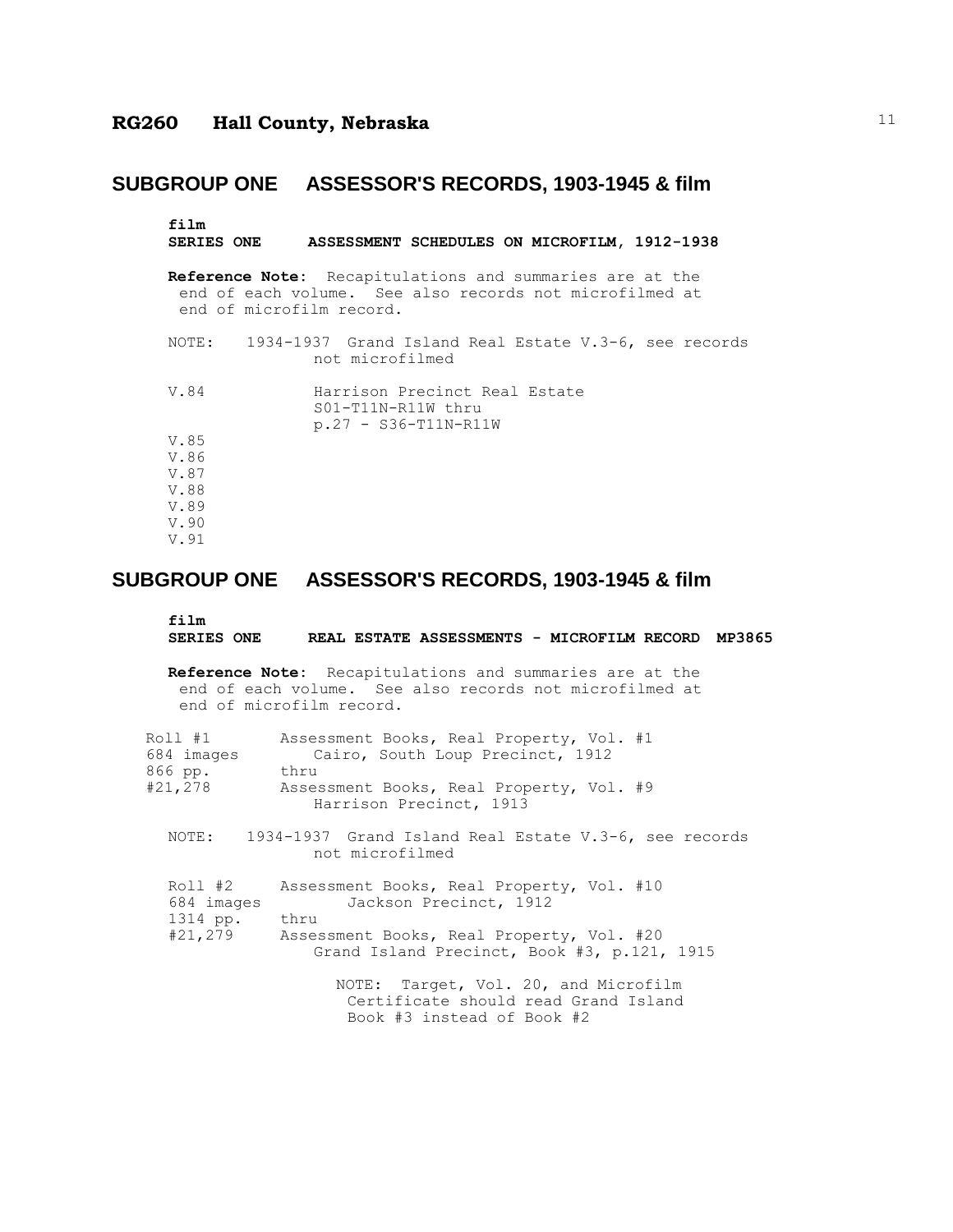| film<br>SERIES ONE ASSESSMENT SCHEDULES ON MICROFILM, 1912-1938                                                                                        |
|--------------------------------------------------------------------------------------------------------------------------------------------------------|
| <b>Reference Note:</b> Recapitulations and summaries are at the<br>end of each volume. See also records not microfilmed at<br>end of microfilm record. |
| NOTE: 1934-1937 Grand Island Real Estate V.3-6, see records<br>not microfilmed                                                                         |
| Harrison Precinct Real Estate<br>V.84<br>$S01-T11N-R11W$ thru<br>$p.27 - S36-T11N-R11W$                                                                |
| V.85                                                                                                                                                   |
| V.86                                                                                                                                                   |
| V.87                                                                                                                                                   |
| V.88                                                                                                                                                   |
| V.89                                                                                                                                                   |
| V.90                                                                                                                                                   |
| V.91                                                                                                                                                   |

#### **SUBGROUP ONE ASSESSOR'S RECORDS, 1903-1945 & film**

```
film
```
#### **SERIES ONE REAL ESTATE ASSESSMENTS - MICROFILM RECORD MP3865**

**Reference Note:** Recapitulations and summaries are at the end of each volume. See also records not microfilmed at end of microfilm record.

| Roll #1                           | Assessment Books, Real Property, Vol. #1                                    |
|-----------------------------------|-----------------------------------------------------------------------------|
| 684 images                        | Cairo, South Loup Precinct, 1912                                            |
| 866 pp.                           | thru                                                                        |
| #21,278                           | Assessment Books, Real Property, Vol. #9<br>Harrison Precinct, 1913         |
| NOTE:                             | 1934-1937 Grand Island Real Estate V.3-6, see records<br>not microfilmed    |
| Roll #2<br>684 images<br>1314 pp. | Assessment Books, Real Property, Vol. #10<br>Jackson Precinct, 1912<br>thru |

| ------  |                                             |  |
|---------|---------------------------------------------|--|
| #21,279 | Assessment Books, Real Property, Vol. #20   |  |
|         | Grand Island Precinct, Book #3, p.121, 1915 |  |

NOTE: Target, Vol. 20, and Microfilm Certificate should read Grand Island Book #3 instead of Book #2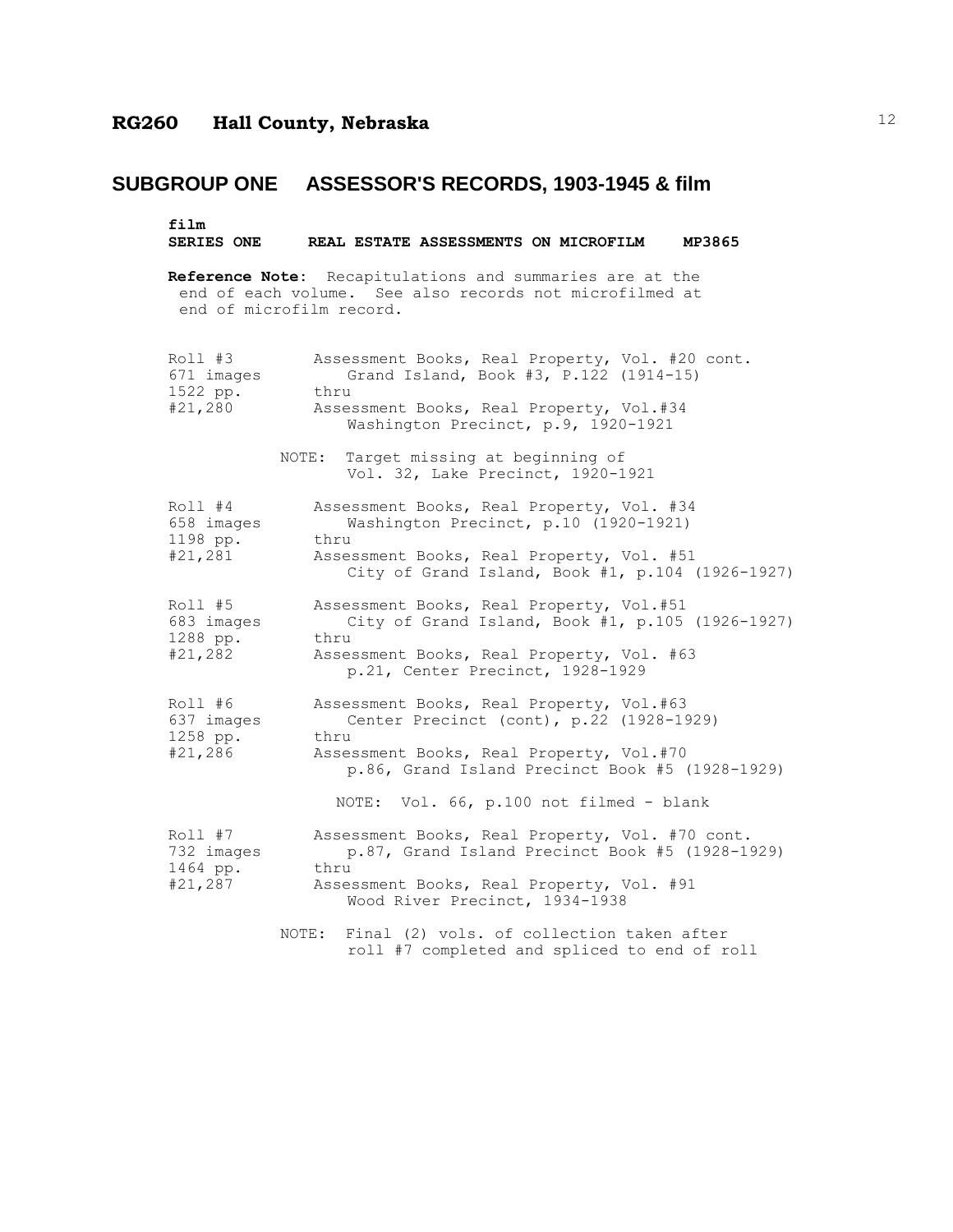#### film<br>SERIES ONE REAL ESTATE ASSESSMENTS ON MICROFILM MP3865

**Reference Note:** Recapitulations and summaries are at the end of each volume. See also records not microfilmed at end of microfilm record.

| $Roll$ #3<br>671 images<br>1522 pp.<br>#21,280 | Assessment Books, Real Property, Vol. #20 cont.<br>Grand Island, Book #3, P.122 (1914-15)<br>thru<br>Assessment Books, Real Property, Vol.#34<br>Washington Precinct, p.9, 1920-1921                                                 |
|------------------------------------------------|--------------------------------------------------------------------------------------------------------------------------------------------------------------------------------------------------------------------------------------|
|                                                | NOTE: Target missing at beginning of<br>Vol. 32, Lake Precinct, 1920-1921                                                                                                                                                            |
| Roll #4<br>658 images<br>1198 pp.<br>#21,281   | Assessment Books, Real Property, Vol. #34<br>Washington Precinct, p.10 (1920-1921)<br>thru<br>Assessment Books, Real Property, Vol. #51<br>City of Grand Island, Book #1, p.104 (1926-1927)                                          |
| Roll #5<br>683 images<br>1288 pp.<br>#21,282   | Assessment Books, Real Property, Vol.#51<br>City of Grand Island, Book #1, p.105 (1926-1927)<br>thru<br>Assessment Books, Real Property, Vol. #63<br>p.21, Center Precinct, 1928-1929                                                |
| Roll #6<br>637 images<br>1258 pp.<br>#21,286   | Assessment Books, Real Property, Vol.#63<br>Center Precinct (cont), p.22 (1928-1929)<br>thru<br>Assessment Books, Real Property, Vol.#70<br>p.86, Grand Island Precinct Book #5 (1928-1929)                                          |
| Roll #7<br>732 images<br>1464 pp.<br>#21,287   | NOTE: Vol. 66, p.100 not filmed - blank<br>Assessment Books, Real Property, Vol. #70 cont.<br>p.87, Grand Island Precinct Book #5 (1928-1929)<br>thru<br>Assessment Books, Real Property, Vol. #91<br>Wood River Precinct, 1934-1938 |
|                                                | Final (2) vols. of collection taken after<br>NOTE :<br>roll #7 completed and spliced to end of roll                                                                                                                                  |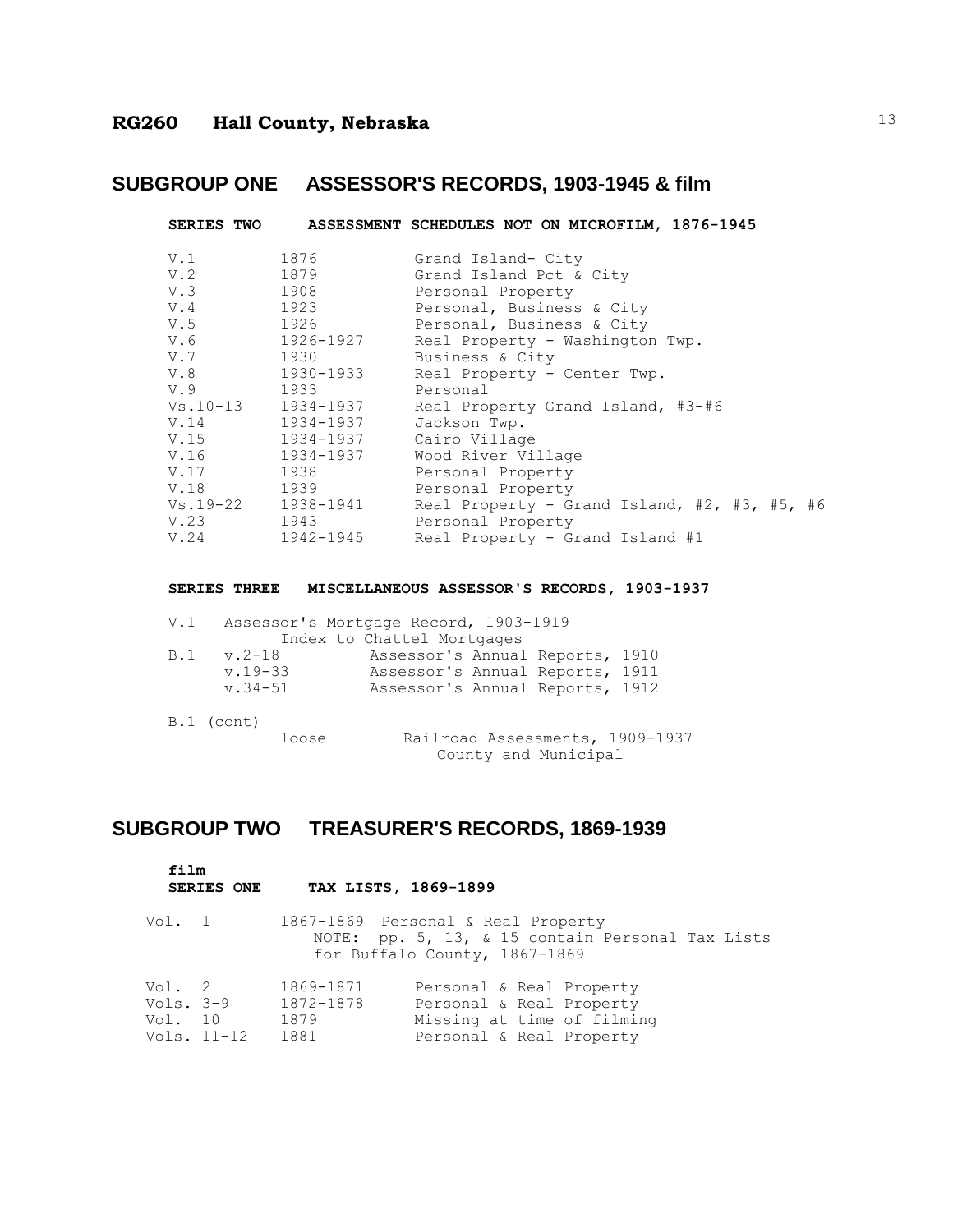|            |                    | SERIES TWO ASSESSMENT SCHEDULES NOT ON MICROFILM, 1876-1945 |
|------------|--------------------|-------------------------------------------------------------|
| V.1        | 1876               | Grand Island- City                                          |
|            | V.2 1879           | Grand Island Pct & City                                     |
|            | $V.3$ 1908         | Personal Property                                           |
| V.4 1923   |                    | Personal, Business & City                                   |
| $V.5$ 1926 |                    | Personal, Business & City                                   |
|            | V.6 1926-1927      | Real Property - Washington Twp.                             |
| V.7 1930   |                    | Business & City                                             |
|            | V.8 1930-1933      | Real Property - Center Twp.                                 |
| V.9 1933   |                    | Personal                                                    |
|            | Vs.10-13 1934-1937 | Real Property Grand Island, #3-#6                           |
|            | V.14 1934-1937     | Jackson Twp.                                                |
|            | V.15 1934-1937     | Cairo Village                                               |
|            | V.16 1934-1937     | Wood River Village                                          |
| V.17       | 1938 — 1938        | Personal Property                                           |
| V.18 1939  |                    | Personal Property                                           |
|            | Vs.19-22 1938-1941 | Real Property - Grand Island, #2, #3, #5, #6                |
|            | V.23 1943          | Personal Property                                           |
|            | V.24 1942-1945     | Real Property - Grand Island #1                             |

**SERIES THREE MISCELLANEOUS ASSESSOR'S RECORDS, 1903-1937**

| V.1 |              | Assessor's Mortgage Record, 1903-1919 |  |
|-----|--------------|---------------------------------------|--|
|     |              | Index to Chattel Mortgages            |  |
| B.1 | v.2-18       | Assessor's Annual Reports, 1910       |  |
|     | $v.19 - 33$  | Assessor's Annual Reports, 1911       |  |
|     | $v.34 - 51$  | Assessor's Annual Reports, 1912       |  |
|     | $B.1$ (cont) | m 11 1 m 1000 1                       |  |

loose Railroad Assessments, 1909-1937 County and Municipal

## **SUBGROUP TWO TREASURER'S RECORDS, 1869-1939**

**film**

|                                | SERIES ONE  |                                        | TAX LISTS, 1869-1899                                                                                                    |
|--------------------------------|-------------|----------------------------------------|-------------------------------------------------------------------------------------------------------------------------|
| Vol. 1                         |             |                                        | 1867-1869 Personal & Real Property<br>NOTE: pp. 5, 13, & 15 contain Personal Tax Lists<br>for Buffalo County, 1867-1869 |
| Vol. 2<br>Vols. 3-9<br>Vol. 10 | Vols. 11-12 | 1869-1871<br>1872-1878<br>1879<br>1881 | Personal & Real Property<br>Personal & Real Property<br>Missing at time of filming<br>Personal & Real Property          |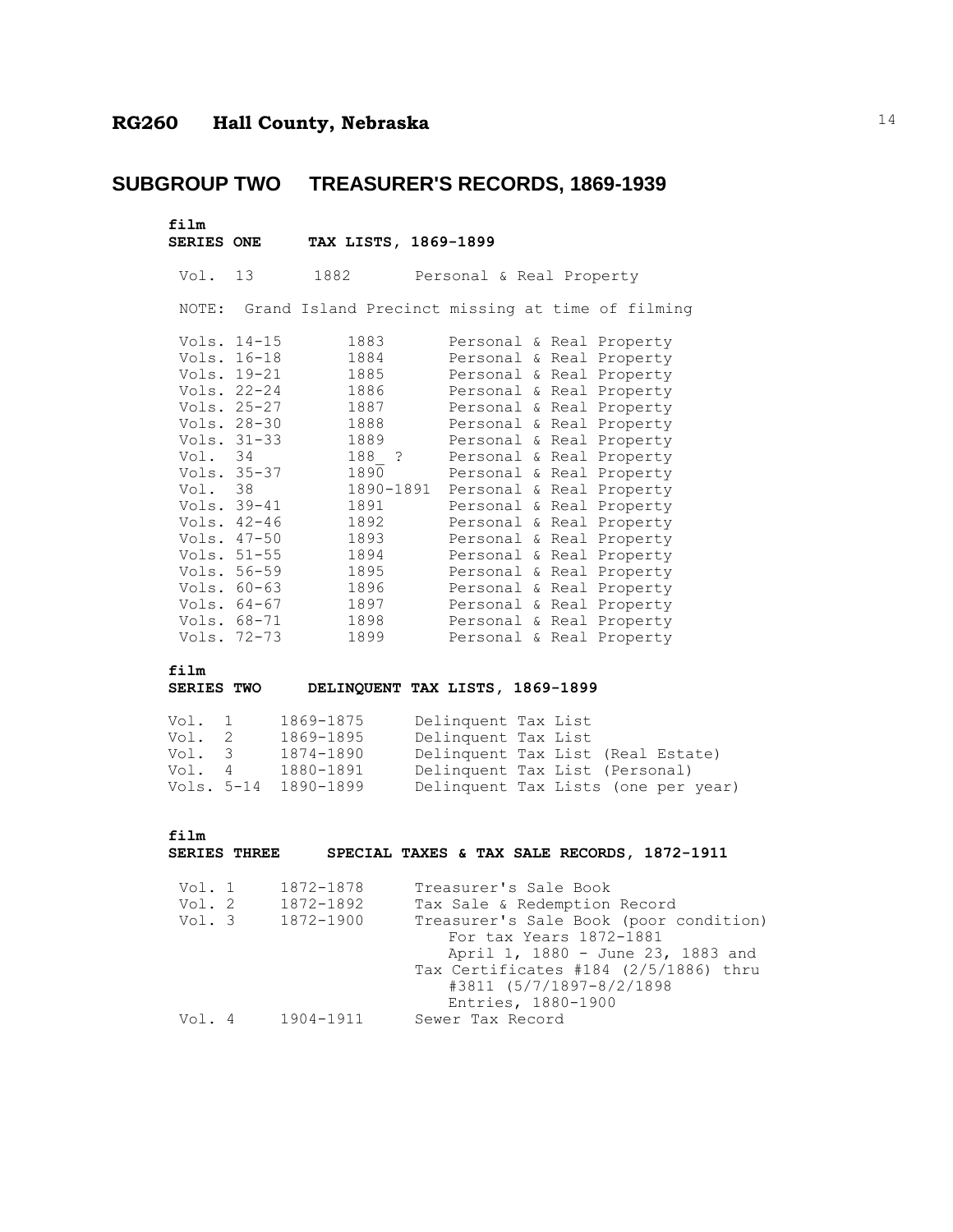## **SUBGROUP TWO TREASURER'S RECORDS, 1869-1939**

| film<br><b>SERIES ONE</b> |                                                                                                                                                                                                                | TAX LISTS, 1869-1899                                                                                                               |                                                                                                                                                                                                                                                                                                                                                                                                                                                              |
|---------------------------|----------------------------------------------------------------------------------------------------------------------------------------------------------------------------------------------------------------|------------------------------------------------------------------------------------------------------------------------------------|--------------------------------------------------------------------------------------------------------------------------------------------------------------------------------------------------------------------------------------------------------------------------------------------------------------------------------------------------------------------------------------------------------------------------------------------------------------|
| Vol. 13                   |                                                                                                                                                                                                                | 1882                                                                                                                               | Personal & Real Property                                                                                                                                                                                                                                                                                                                                                                                                                                     |
|                           |                                                                                                                                                                                                                |                                                                                                                                    | NOTE: Grand Island Precinct missing at time of filming                                                                                                                                                                                                                                                                                                                                                                                                       |
| Vol. 34<br>Vol. 38        | Vols. 14-15<br>Vols. 16-18<br>Vols. 19-21<br>Vols. 22-24<br>Vols. 25-27<br>Vols. 28-30<br>Vols. 31-33<br>Vols. 35-37<br>Vols. 39-41<br>Vols. 42-46<br>Vols. 47-50<br>Vols. 51-55<br>Vols. 56-59<br>Vols. 60-63 | 1883<br>1884<br>1885<br>1886<br>1887<br>1888<br>1889<br>188 ?<br>1890<br>1890-1891<br>1891<br>1892<br>1893<br>1894<br>1895<br>1896 | Personal & Real Property<br>Personal & Real Property<br>Personal & Real Property<br>Personal & Real Property<br>Personal & Real Property<br>Personal & Real Property<br>Personal & Real Property<br>Personal & Real Property<br>Personal & Real Property<br>Personal & Real Property<br>Personal & Real Property<br>Personal & Real Property<br>Personal & Real Property<br>Personal & Real Property<br>Personal & Real Property<br>Personal & Real Property |
|                           | Vols. $64-67$<br>Vols. 68-71<br>Vols. 72-73                                                                                                                                                                    | 1897<br>1898<br>1899                                                                                                               | Personal & Real Property<br>Personal & Real Property<br>Personal & Real Property                                                                                                                                                                                                                                                                                                                                                                             |
| film                      |                                                                                                                                                                                                                |                                                                                                                                    | - -----                                                                                                                                                                                                                                                                                                                                                                                                                                                      |

#### **SERIES TWO DELINQUENT TAX LISTS, 1869-1899**

| Vol. 1     | 1869-1875 | Delinquent Tax List                 |  |  |
|------------|-----------|-------------------------------------|--|--|
| Vol. 2     | 1869-1895 | Delinquent Tax List                 |  |  |
| Vol. 3     | 1874-1890 | Delinquent Tax List (Real Estate)   |  |  |
| Vol. 4     | 1880-1891 | Delinquent Tax List (Personal)      |  |  |
| Vols. 5-14 | 1890-1899 | Delinquent Tax Lists (one per year) |  |  |

**film**

#### **SERIES THREE SPECIAL TAXES & TAX SALE RECORDS, 1872-1911**

| Vol. 1 | 1872-1878 | Treasurer's Sale Book                  |
|--------|-----------|----------------------------------------|
| Vol. 2 | 1872-1892 | Tax Sale & Redemption Record           |
| Vol. 3 | 1872-1900 | Treasurer's Sale Book (poor condition) |
|        |           | For tax Years 1872-1881                |
|        |           | April 1, 1880 - June 23, 1883 and      |
|        |           | Tax Certificates #184 (2/5/1886) thru  |
|        |           | #3811 (5/7/1897-8/2/1898               |
|        |           | Entries, 1880-1900                     |
| Vol. 4 | 1904-1911 | Sewer Tax Record                       |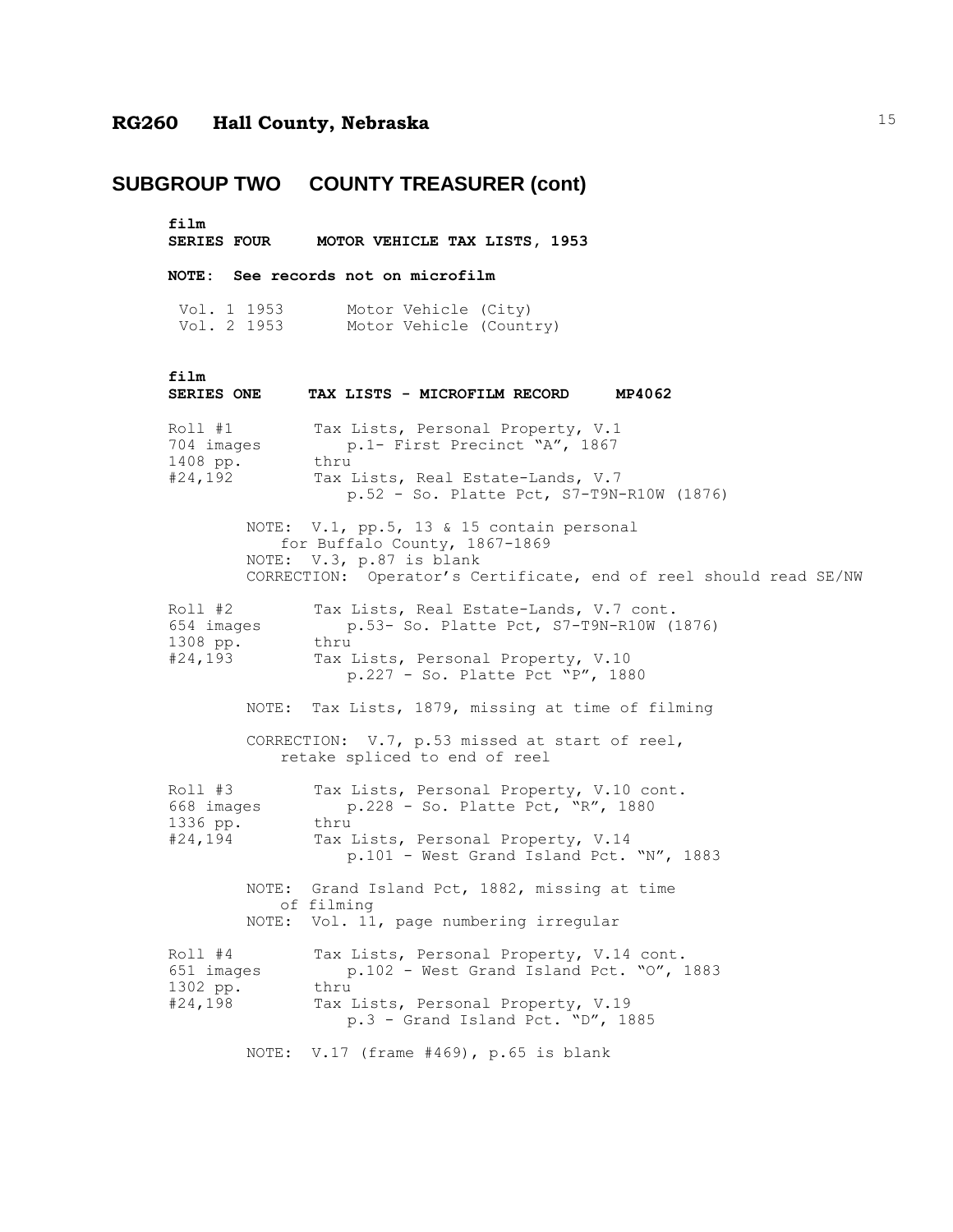## **SUBGROUP TWO COUNTY TREASURER (cont)**

film<br>SERIES FOUR **SERIES FOUR MOTOR VEHICLE TAX LISTS, 1953**

**NOTE: See records not on microfilm**

Vol. 1 1953 Motor Vehicle (City) Vol. 2 1953 Motor Vehicle (Country)

| film<br><b>SERIES ONE</b>                      |       | TAX LISTS - MICROFILM RECORD<br>MP4062                                                                                                                                      |
|------------------------------------------------|-------|-----------------------------------------------------------------------------------------------------------------------------------------------------------------------------|
| Roll #1<br>704 images<br>1408 pp.<br>#24,192   |       | Tax Lists, Personal Property, V.1<br>p.1- First Precinct "A", 1867<br>thru<br>Tax Lists, Real Estate-Lands, V.7<br>p.52 - So. Platte Pct, S7-T9N-R10W (1876)                |
|                                                |       | NOTE: V.1, pp.5, 13 & 15 contain personal<br>for Buffalo County, 1867-1869<br>NOTE: V.3, p.87 is blank<br>CORRECTION: Operator's Certificate, end of reel should read SE/NW |
| $Roll$ #2<br>654 images<br>1308 pp.<br>#24,193 |       | Tax Lists, Real Estate-Lands, V.7 cont.<br>p.53- So. Platte Pct, S7-T9N-R10W (1876)<br>thru<br>Tax Lists, Personal Property, V.10<br>p.227 - So. Platte Pct "P", 1880       |
|                                                |       | NOTE: Tax Lists, 1879, missing at time of filming                                                                                                                           |
|                                                |       | CORRECTION: V.7, p.53 missed at start of reel,<br>retake spliced to end of reel                                                                                             |
| $Roll$ #3<br>668 images<br>1336 pp.<br>#24,194 |       | Tax Lists, Personal Property, V.10 cont.<br>p.228 - So. Platte Pct, "R", 1880<br>thru<br>Tax Lists, Personal Property, V.14<br>p.101 - West Grand Island Pct. "N", 1883     |
|                                                |       | NOTE: Grand Island Pct, 1882, missing at time<br>of filming<br>NOTE: Vol. 11, page numbering irregular                                                                      |
| Roll #4<br>651 images<br>1302 pp.<br>#24,198   |       | Tax Lists, Personal Property, V.14 cont.<br>p.102 - West Grand Island Pct. "0", 1883<br>thru<br>Tax Lists, Personal Property, V.19<br>$p.3$ - Grand Island Pct. "D", 1885   |
|                                                | NOTE: | V.17 (frame $#469$ ), p.65 is blank                                                                                                                                         |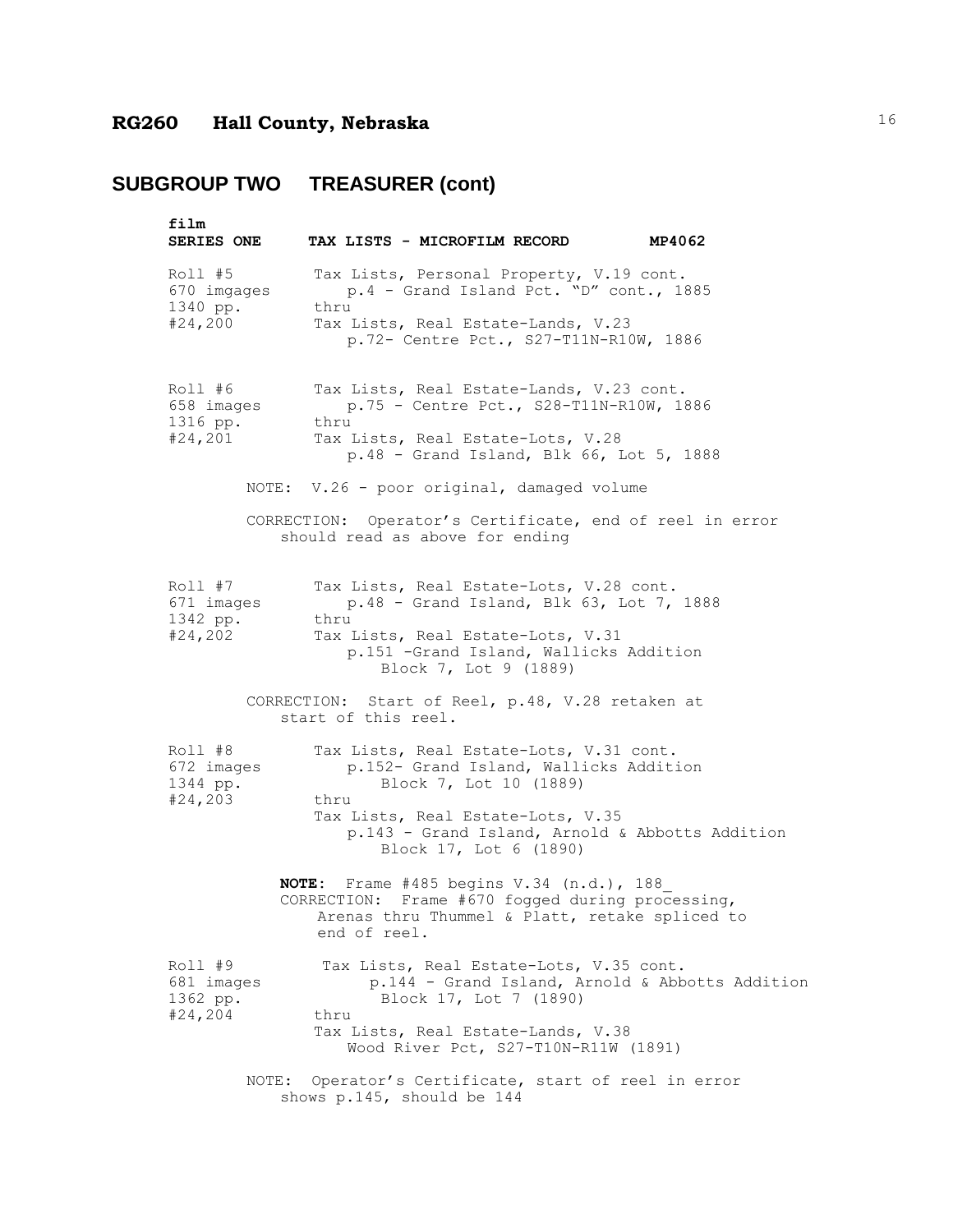| film<br><b>SERIES ONE</b>                     |                            | TAX LISTS - MICROFILM RECORD                                                                                                                                                                                         | MP4062                                                   |
|-----------------------------------------------|----------------------------|----------------------------------------------------------------------------------------------------------------------------------------------------------------------------------------------------------------------|----------------------------------------------------------|
| Roll #5<br>670 imgages<br>1340 pp.<br>#24,200 | thru                       | Tax Lists, Personal Property, V.19 cont.<br>p.4 - Grand Island Pct. "D" cont., 1885<br>Tax Lists, Real Estate-Lands, V.23<br>p.72- Centre Pct., S27-T11N-R10W, 1886                                                  |                                                          |
| Roll #6<br>658 images<br>1316 pp.<br>#24,201  | thru                       | Tax Lists, Real Estate-Lands, V.23 cont.<br>p.75 - Centre Pct., S28-T11N-R10W, 1886<br>Tax Lists, Real Estate-Lots, V.28<br>$p.48$ - Grand Island, Blk 66, Lot 5, 1888<br>NOTE: V.26 - poor original, damaged volume |                                                          |
|                                               |                            | should read as above for ending                                                                                                                                                                                      | CORRECTION: Operator's Certificate, end of reel in error |
| Roll #7<br>671 images<br>1342 pp.<br>#24,202  | thru                       | Tax Lists, Real Estate-Lots, V.28 cont.<br>p.48 - Grand Island, Blk 63, Lot 7, 1888<br>Tax Lists, Real Estate-Lots, V.31<br>p.151 -Grand Island, Wallicks Addition<br>Block 7, Lot 9 (1889)                          |                                                          |
|                                               | start of this reel.        | CORRECTION: Start of Reel, p.48, V.28 retaken at                                                                                                                                                                     |                                                          |
| Roll #8<br>672 images<br>1344 pp.<br>#24, 203 | thru                       | Tax Lists, Real Estate-Lots, V.31 cont.<br>p.152- Grand Island, Wallicks Addition<br>Block 7, Lot 10 (1889)<br>Tax Lists, Real Estate-Lots, V.35<br>Block 17, Lot 6 (1890)                                           | p.143 - Grand Island, Arnold & Abbotts Addition          |
|                                               | end of reel.               | NOTE: Frame #485 begins V.34 (n.d.), 188<br>CORRECTION: Frame #670 fogged during processing,<br>Arenas thru Thummel & Platt, retake spliced to                                                                       |                                                          |
| Roll #9<br>681 images<br>1362 pp.<br>#24, 204 | thru                       | Tax Lists, Real Estate-Lots, V.35 cont.<br>Block 17, Lot 7 (1890)<br>Tax Lists, Real Estate-Lands, V.38<br>Wood River Pct, S27-T10N-R11W (1891)                                                                      | p.144 - Grand Island, Arnold & Abbotts Addition          |
| NOTE:                                         | shows p.145, should be 144 | Operator's Certificate, start of reel in error                                                                                                                                                                       |                                                          |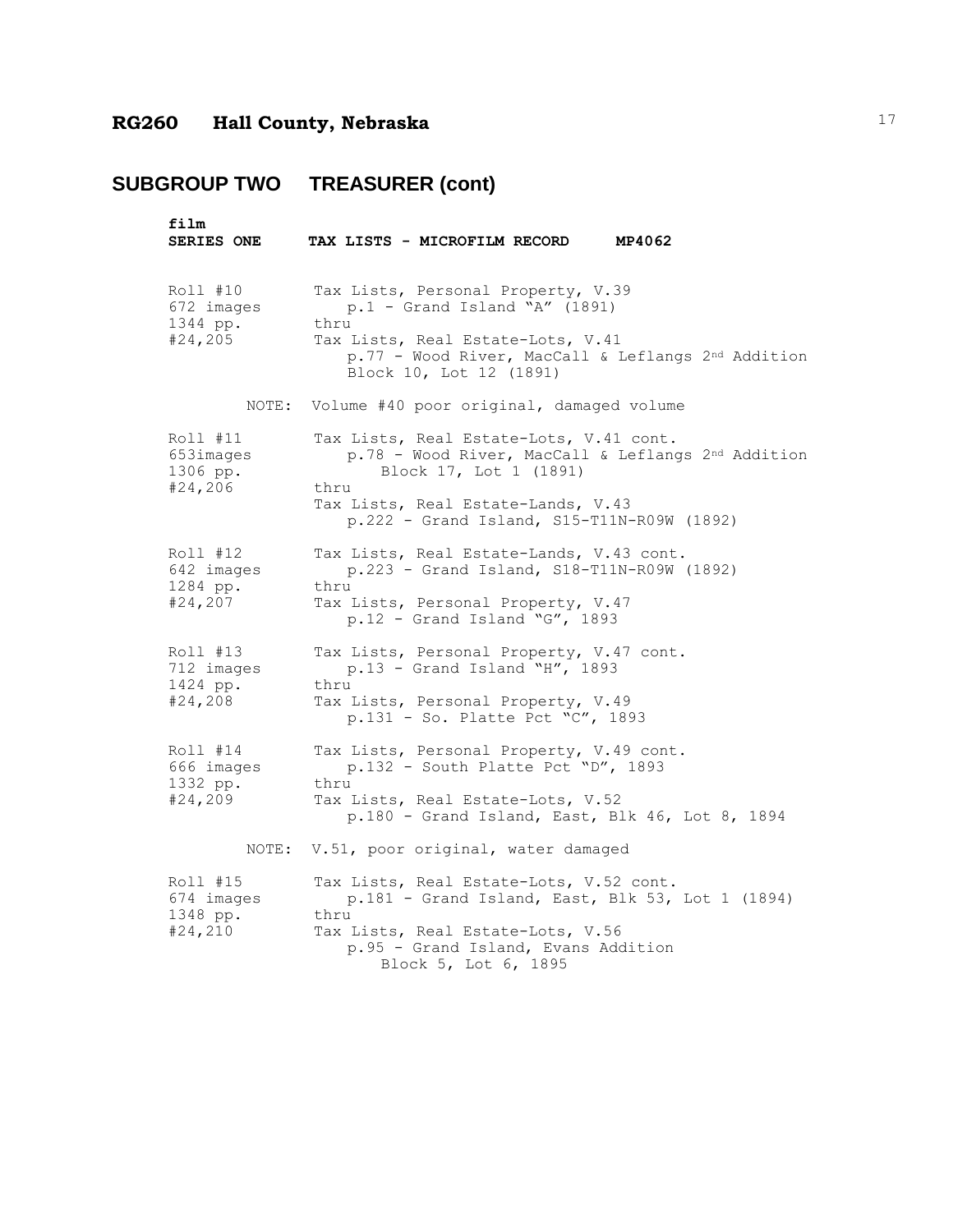| film<br>SERIES ONE                             | TAX LISTS - MICROFILM RECORD<br>MP4062                                                                                                                                                                              |
|------------------------------------------------|---------------------------------------------------------------------------------------------------------------------------------------------------------------------------------------------------------------------|
| Roll #10<br>672 images<br>1344 pp.<br>#24, 205 | Tax Lists, Personal Property, V.39<br>$p.1$ - Grand Island "A" (1891)<br>thru<br>Tax Lists, Real Estate-Lots, V.41<br>p.77 - Wood River, MacCall & Leflangs 2nd Addition<br>Block 10, Lot 12 (1891)                 |
| NOTE:                                          | Volume #40 poor original, damaged volume                                                                                                                                                                            |
| Roll #11<br>653images<br>1306 pp.<br>#24,206   | Tax Lists, Real Estate-Lots, V.41 cont.<br>p.78 - Wood River, MacCall & Leflangs 2nd Addition<br>Block 17, Lot 1 (1891)<br>thru<br>Tax Lists, Real Estate-Lands, V.43<br>p.222 - Grand Island, S15-T11N-R09W (1892) |
| Roll #12<br>642 images<br>1284 pp.<br>#24, 207 | Tax Lists, Real Estate-Lands, V.43 cont.<br>p.223 - Grand Island, S18-T11N-R09W (1892)<br>thru<br>Tax Lists, Personal Property, V.47<br>$p.12$ - Grand Island "G", 1893                                             |
| Roll #13<br>712 images<br>1424 pp.<br>#24,208  | Tax Lists, Personal Property, V.47 cont.<br>p.13 - Grand Island "H", 1893<br>thru<br>Tax Lists, Personal Property, V.49<br>p.131 - So. Platte Pct "C", 1893                                                         |
| Roll #14<br>666 images<br>1332 pp.<br>#24,209  | Tax Lists, Personal Property, V.49 cont.<br>$p.132$ - South Platte Pct "D", 1893<br>thru<br>Tax Lists, Real Estate-Lots, V.52<br>p.180 - Grand Island, East, Blk 46, Lot 8, 1894                                    |
| NOTE:                                          | V.51, poor original, water damaged                                                                                                                                                                                  |
| Roll #15<br>674 images<br>1348 pp.<br>#24,210  | Tax Lists, Real Estate-Lots, V.52 cont.<br>p.181 - Grand Island, East, Blk 53, Lot 1 (1894)<br>thru<br>Tax Lists, Real Estate-Lots, V.56<br>p.95 - Grand Island, Evans Addition<br>Block 5, Lot 6, 1895             |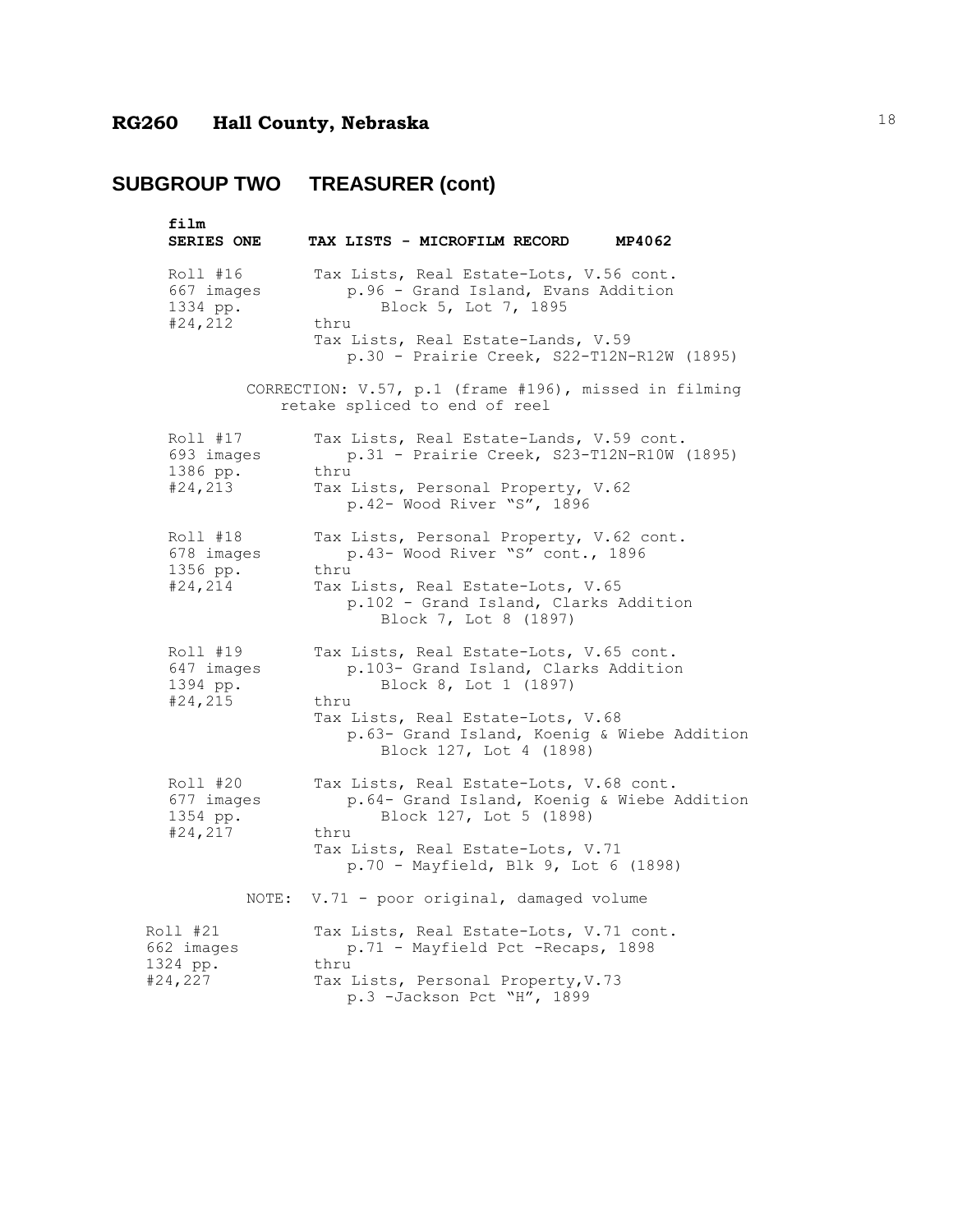| film                                          |                                                                                                                     |
|-----------------------------------------------|---------------------------------------------------------------------------------------------------------------------|
| <b>SERIES ONE</b>                             | TAX LISTS - MICROFILM RECORD MP4062                                                                                 |
| Roll #16<br>667 images<br>1334 pp.<br>#24,212 | Tax Lists, Real Estate-Lots, V.56 cont.<br>p.96 - Grand Island, Evans Addition<br>Block 5, Lot 7, 1895<br>thru      |
|                                               | Tax Lists, Real Estate-Lands, V.59<br>p.30 - Prairie Creek, S22-T12N-R12W (1895)                                    |
|                                               | CORRECTION: V.57, p.1 (frame #196), missed in filming<br>retake spliced to end of reel                              |
| Roll #17<br>693 images<br>1386 pp.            | Tax Lists, Real Estate-Lands, V.59 cont.<br>p.31 - Prairie Creek, S23-T12N-R10W (1895)<br>thru                      |
| #24,213                                       | Tax Lists, Personal Property, V.62<br>p.42- Wood River "S", 1896                                                    |
| Roll #18<br>678 images<br>1356 pp.            | Tax Lists, Personal Property, V.62 cont.<br>p.43- Wood River "S" cont., 1896<br>thru                                |
| #24, 214                                      | Tax Lists, Real Estate-Lots, V.65<br>p.102 - Grand Island, Clarks Addition<br>Block 7, Lot 8 (1897)                 |
| Roll #19<br>647 images<br>1394 pp.            | Tax Lists, Real Estate-Lots, V.65 cont.<br>p.103- Grand Island, Clarks Addition<br>Block 8, Lot 1 (1897)            |
| #24, 215                                      | thru<br>Tax Lists, Real Estate-Lots, V.68<br>p.63- Grand Island, Koenig & Wiebe Addition<br>Block 127, Lot 4 (1898) |
| Roll #20<br>677 images<br>1354 pp.            | Tax Lists, Real Estate-Lots, V.68 cont.<br>p.64- Grand Island, Koenig & Wiebe Addition<br>Block 127, Lot 5 (1898)   |
| #24,217                                       | thru<br>Tax Lists, Real Estate-Lots, V.71<br>p.70 - Mayfield, Blk 9, Lot 6 (1898)                                   |
| NOTE:                                         | V.71 - poor original, damaged volume                                                                                |
| Roll #21<br>662 images<br>1324 pp.            | Tax Lists, Real Estate-Lots, V.71 cont.<br>p.71 - Mayfield Pct -Recaps, 1898<br>thru                                |
| #24,227                                       | Tax Lists, Personal Property, V.73<br>p.3 -Jackson Pct "H", 1899                                                    |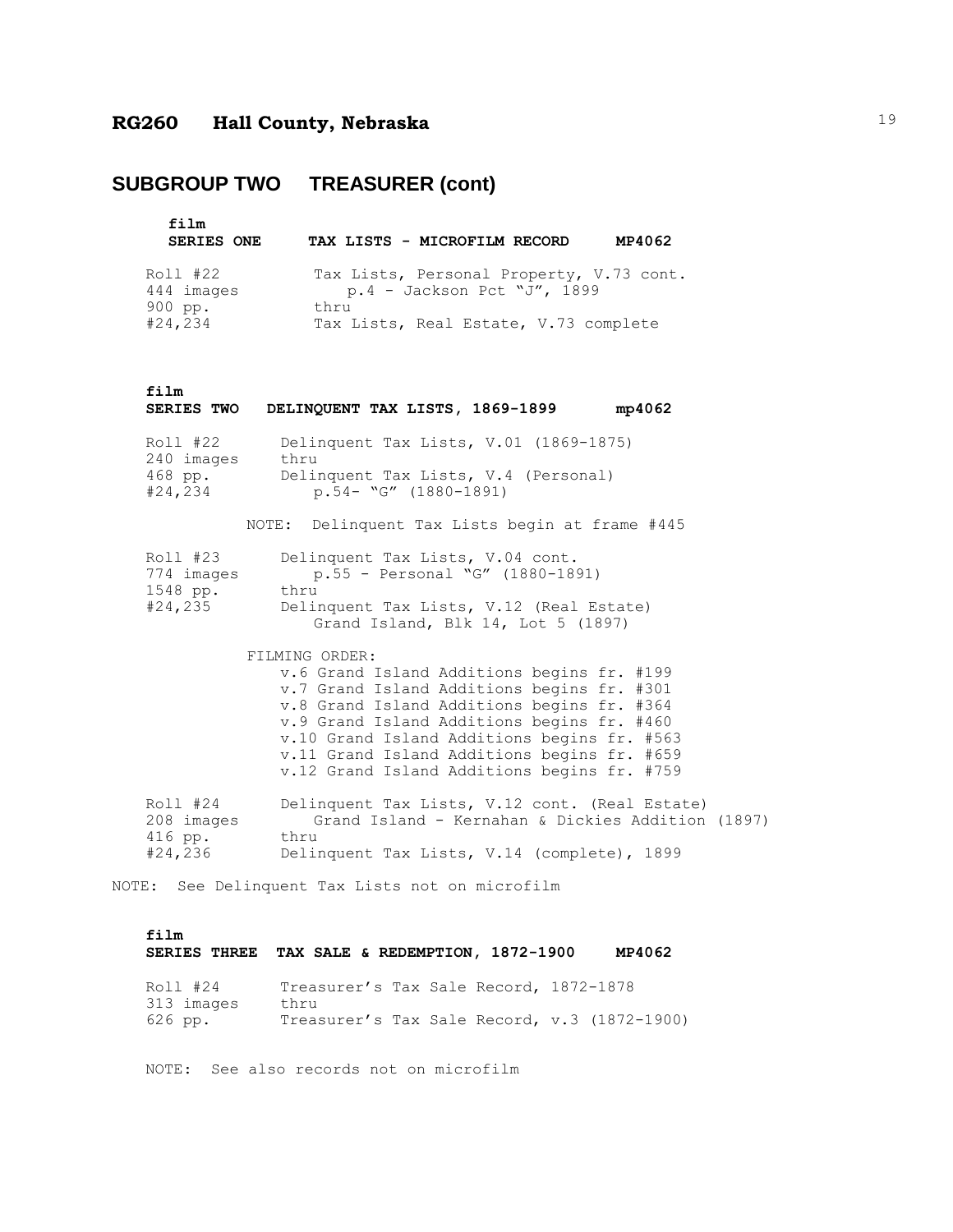## **SUBGROUP TWO TREASURER (cont)**

| film<br><b>SERIES ONE</b> | TAX LISTS - MICROFILM RECORD                                              | MP4062 |
|---------------------------|---------------------------------------------------------------------------|--------|
| Roll #22<br>444 images    | Tax Lists, Personal Property, V.73 cont.<br>$p.4$ - Jackson Pct "J", 1899 |        |
| 900 pp.<br>#24, 234       | thru<br>Tax Lists, Real Estate, V.73 complete                             |        |

```
film
```

|                                               | SERIES TWO DELINQUENT TAX LISTS, 1869-1899<br>mp4062                                                                                                                                                                                                                                                                                                |
|-----------------------------------------------|-----------------------------------------------------------------------------------------------------------------------------------------------------------------------------------------------------------------------------------------------------------------------------------------------------------------------------------------------------|
| Roll #22<br>240 images<br>468 pp.<br>#24,234  | Delinquent Tax Lists, V.01 (1869-1875)<br>thru<br>Delinquent Tax Lists, V.4 (Personal)<br>$p.54 - "G" (1880-1891)$<br>NOTE: Delinquent Tax Lists begin at frame #445                                                                                                                                                                                |
| Roll #23<br>774 images<br>1548 pp.            | Delinquent Tax Lists, V.04 cont.<br>$p.55 - Personal "G" (1880-1891)$<br>thru<br>#24,235 Delinquent Tax Lists, V.12 (Real Estate)<br>Grand Island, Blk 14, Lot 5 (1897)                                                                                                                                                                             |
|                                               | FILMING ORDER:<br>v.6 Grand Island Additions begins fr. #199<br>v.7 Grand Island Additions begins fr. #301<br>v.8 Grand Island Additions begins fr. #364<br>v.9 Grand Island Additions begins fr. #460<br>v.10 Grand Island Additions begins fr. #563<br>v.11 Grand Island Additions begins fr. #659<br>v.12 Grand Island Additions begins fr. #759 |
| Roll #24<br>208 images<br>416 pp.<br>#24, 236 | Delinquent Tax Lists, V.12 cont. (Real Estate)<br>Grand Island - Kernahan & Dickies Addition (1897)<br>thru<br>Delinquent Tax Lists, V.14 (complete), 1899                                                                                                                                                                                          |

NOTE: See Delinquent Tax Lists not on microfilm

### **film SERIES THREE TAX SALE & REDEMPTION, 1872-1900 MP4062** Roll #24 Treasurer's Tax Sale Record, 1872-1878 313 images thru 626 pp. Treasurer's Tax Sale Record, v.3 (1872-1900)

NOTE: See also records not on microfilm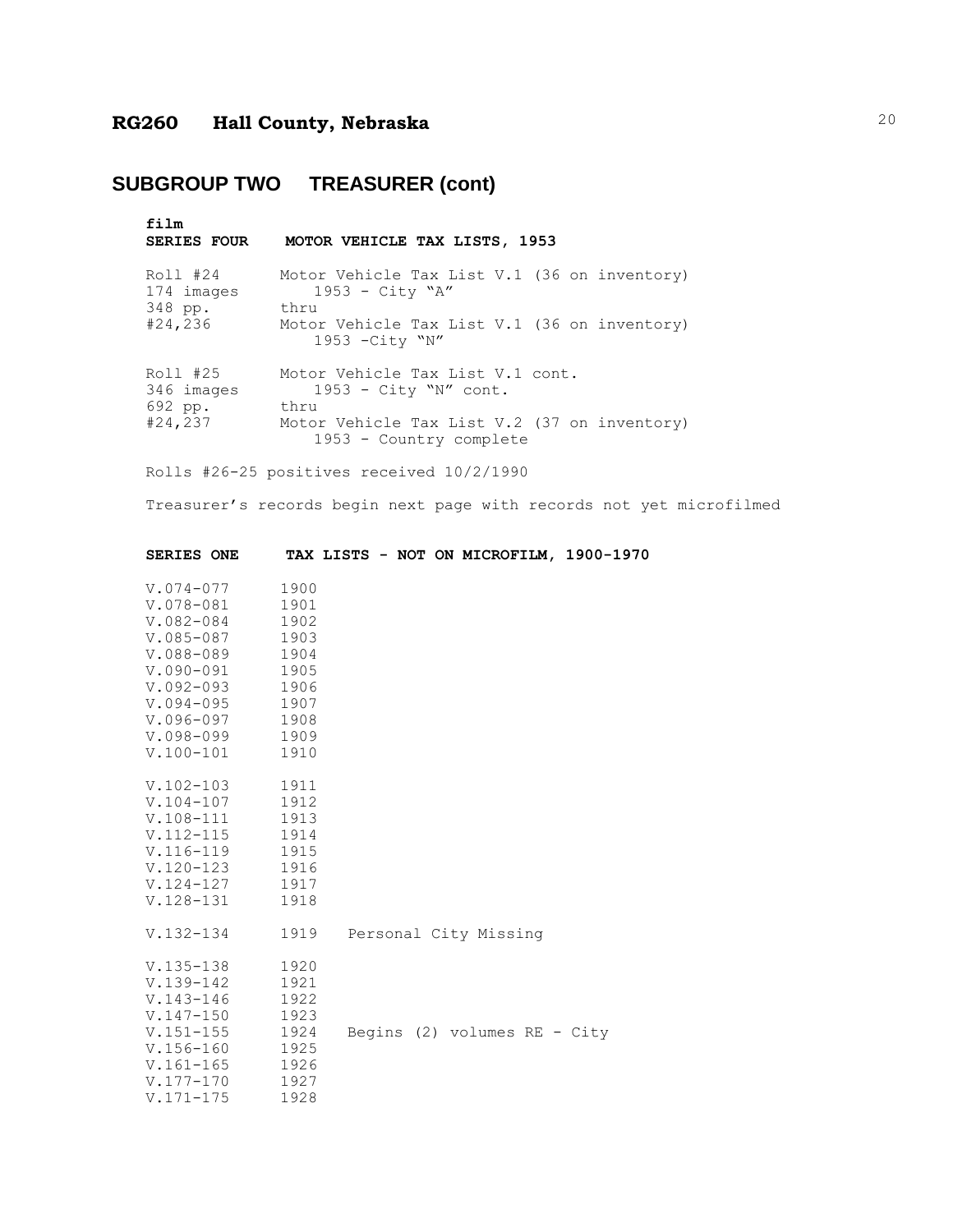# **SUBGROUP TWO TREASURER (cont)**

| film<br><b>SERIES FOUR</b>                   | MOTOR VEHICLE TAX LISTS, 1953                                                                                                                  |
|----------------------------------------------|------------------------------------------------------------------------------------------------------------------------------------------------|
| Roll #24<br>174 images<br>348 pp.<br>#24,236 | Motor Vehicle Tax List V.1 (36 on inventory)<br>$1953 - City "A"$<br>thru<br>Motor Vehicle Tax List V.1 (36 on inventory)<br>1953 - City "N"   |
| Roll #25<br>346 images<br>692 pp.<br>#24,237 | Motor Vehicle Tax List V.1 cont.<br>$1953$ - City "N" cont.<br>thru<br>Motor Vehicle Tax List V.2 (37 on inventory)<br>1953 - Country complete |

Rolls #26-25 positives received 10/2/1990

Treasurer's records begin next page with records not yet microfilmed

| <b>SERIES ONE</b>                                                                                                                                                           |                                                                                      |  |  |                                                         | TAX LISTS - NOT ON MICROFILM, 1900-1970 |  |
|-----------------------------------------------------------------------------------------------------------------------------------------------------------------------------|--------------------------------------------------------------------------------------|--|--|---------------------------------------------------------|-----------------------------------------|--|
| V.074-077<br>$V.078 - 081$<br>$V.082 - 084$<br>$V.085 - 087$<br>V.088-089<br>$V.090 - 091$<br>$V.092 - 093$<br>$V.094 - 095$<br>$V.096 - 097$<br>V.098-099<br>$V.100 - 101$ | 1900<br>1901<br>1902<br>1903<br>1904<br>1905<br>1906<br>1907<br>1908<br>1909<br>1910 |  |  |                                                         |                                         |  |
| $V.102 - 103$<br>$V.104 - 107$<br>$V.108 - 111$<br>$V.112 - 115$<br>V.116-119<br>$V.120 - 123$<br>V.124-127<br>$V.128 - 131$                                                | 1911<br>1912<br>1913<br>1914<br>1915<br>1916<br>1917<br>1918                         |  |  |                                                         |                                         |  |
| $V.132 - 134$<br>$V.135 - 138$<br>$V.139 - 142$<br>$V.143 - 146$<br>$V.147 - 150$<br>$V.151 - 155$<br>$V.156 - 160$<br>$V.161 - 165$<br>$V.177 - 170$<br>$V.171 - 175$      | 1919<br>1920<br>1921<br>1922<br>1923<br>1924<br>1925<br>1926<br>1927<br>1928         |  |  | Personal City Missing<br>Begins $(2)$ volumes RE - City |                                         |  |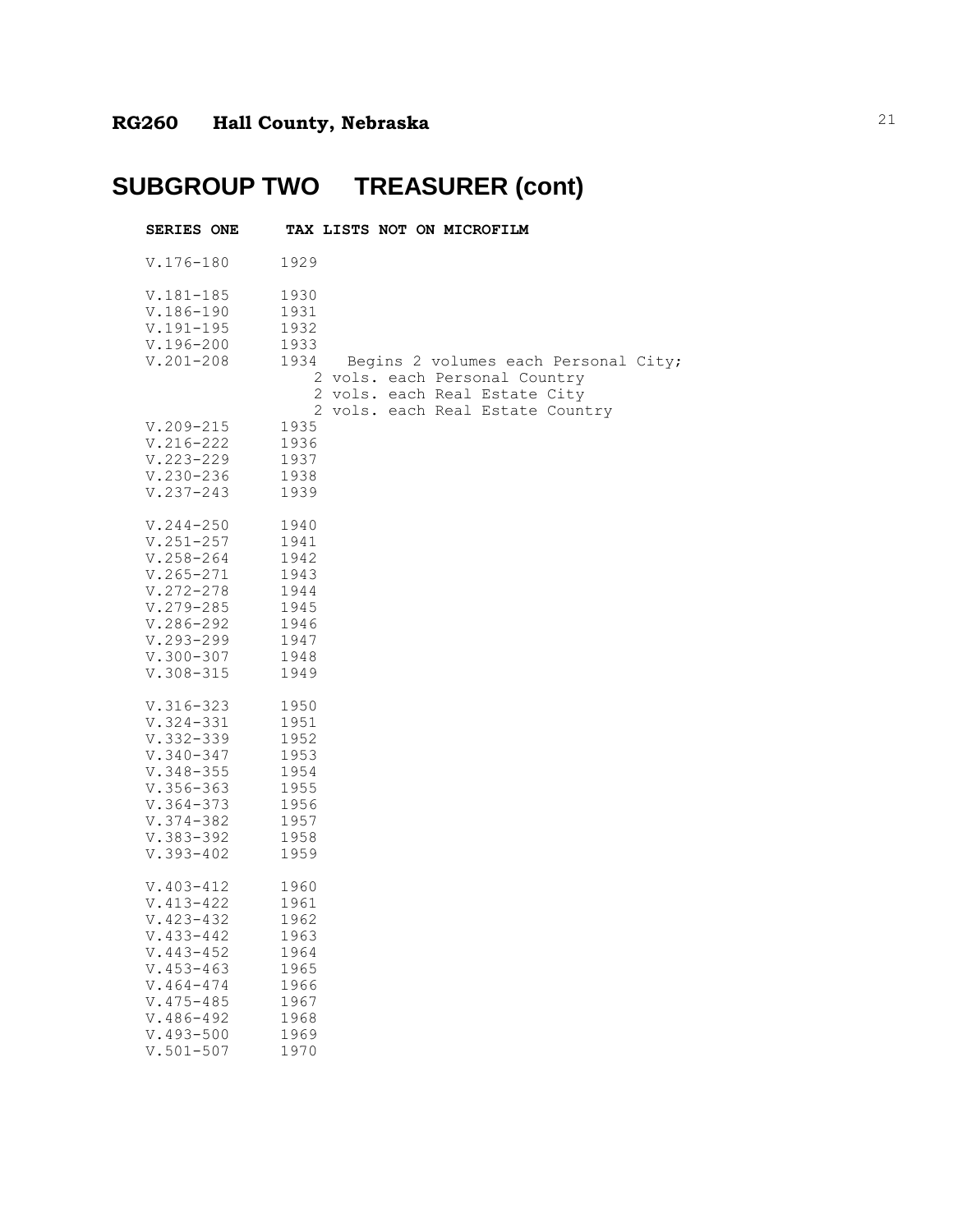| <b>SERIES ONE</b>                                                                                                                                                                       | TAX LISTS NOT ON MICROFILM                                                                                                                  |
|-----------------------------------------------------------------------------------------------------------------------------------------------------------------------------------------|---------------------------------------------------------------------------------------------------------------------------------------------|
| $V.176 - 180$                                                                                                                                                                           | 1929                                                                                                                                        |
| $V.181 - 185$<br>$V.186 - 190$<br>$V.191 - 195$<br>$V.196 - 200$<br>$V.201 - 208$                                                                                                       | 1930<br>1931<br>1932<br>1933<br>1934 Begins 2 volumes each Personal City;<br>2 vols. each Personal Country<br>2 vols. each Real Estate City |
| $V.209 - 215$<br>$V.216 - 222$<br>$V.223 - 229$<br>$V.230 - 236$<br>$V.237 - 243$                                                                                                       | 2 vols. each Real Estate Country<br>1935<br>1936<br>1937<br>1938<br>1939                                                                    |
| $V.244 - 250$<br>$V.251 - 257$<br>$V.258 - 264$<br>$V.265 - 271$<br>$V.272 - 278$<br>$V.279 - 285$<br>$V.286 - 292$<br>$V.293 - 299$<br>$V.300 - 307$<br>$V.308 - 315$                  | 1940<br>1941<br>1942<br>1943<br>1944<br>1945<br>1946<br>1947<br>1948<br>1949                                                                |
| $V.316 - 323$<br>$V.324 - 331$<br>$V.332 - 339$<br>$V.340 - 347$<br>$V.348 - 355$<br>$V.356 - 363$<br>$V.364 - 373$<br>$V.374 - 382$<br>$V.383 - 392$<br>$V.393 - 402$                  | 1950<br>1951<br>1952<br>1953<br>1954<br>1955<br>1956<br>1957<br>1958<br>1959                                                                |
| $V.403 - 412$<br>$V.413 - 422$<br>$V.423 - 432$<br>$V.433 - 442$<br>$V.443 - 452$<br>$V.453 - 463$<br>$V.464 - 474$<br>$V.475 - 485$<br>$V.486 - 492$<br>$V.493 - 500$<br>$V.501 - 507$ | 1960<br>1961<br>1962<br>1963<br>1964<br>1965<br>1966<br>1967<br>1968<br>1969<br>1970                                                        |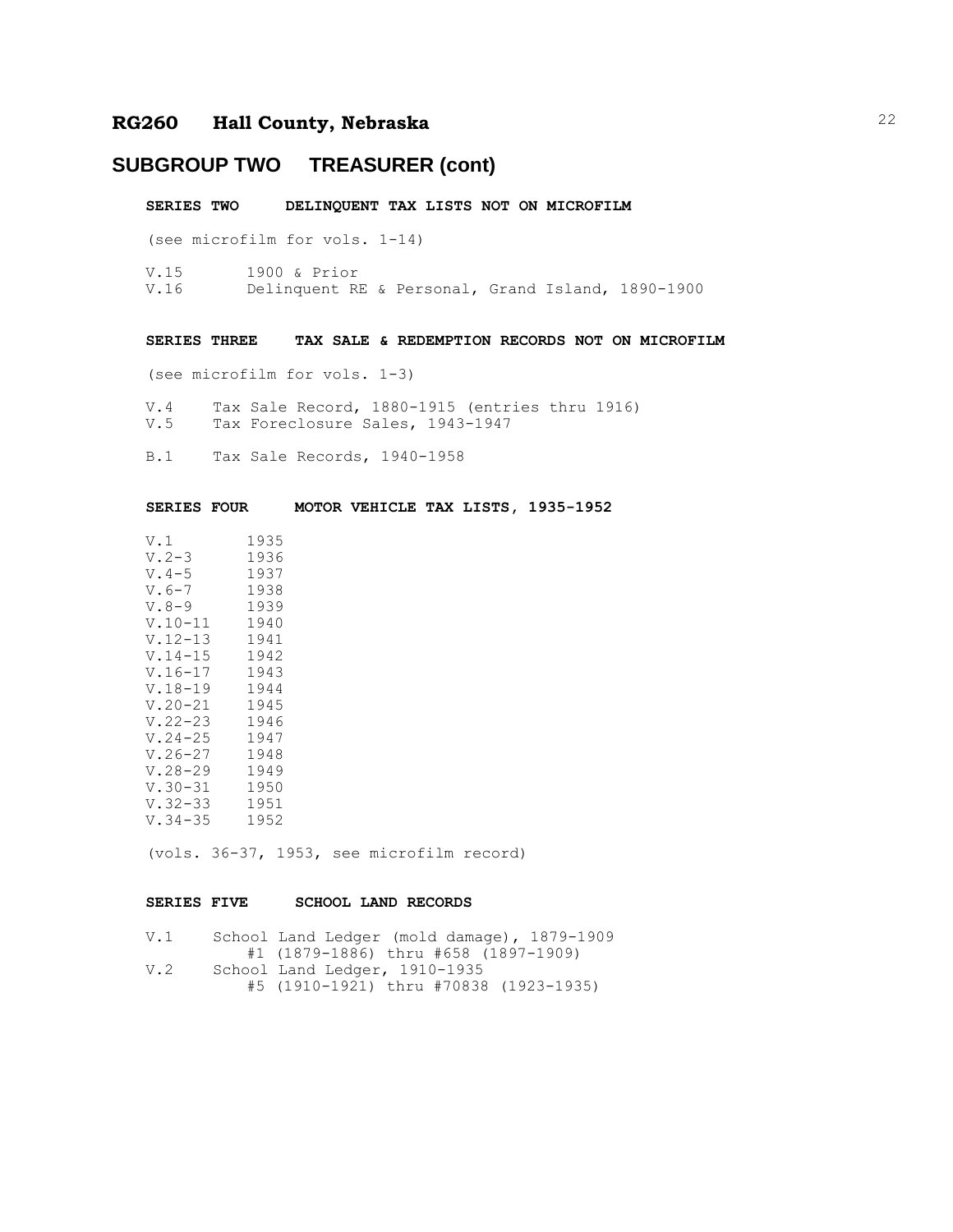### **SUBGROUP TWO TREASURER (cont)**

**SERIES TWO DELINQUENT TAX LISTS NOT ON MICROFILM**

(see microfilm for vols. 1-14)

V.15 1900 & Prior V.16 Delinquent RE & Personal, Grand Island, 1890-1900

#### **SERIES THREE TAX SALE & REDEMPTION RECORDS NOT ON MICROFILM**

(see microfilm for vols. 1-3)

- V.4 Tax Sale Record, 1880-1915 (entries thru 1916) V.5 Tax Foreclosure Sales, 1943-1947
- B.1 Tax Sale Records, 1940-1958

**SERIES FOUR MOTOR VEHICLE TAX LISTS, 1935-1952**

| 1935 |
|------|
|      |
| 1936 |
| 1937 |
| 1938 |
| 1939 |
| 1940 |
| 1941 |
| 1942 |
| 1943 |
| 1944 |
| 1945 |
|      |
| 1946 |
| 1947 |
| 1948 |
| 1949 |
| 1950 |
| 1951 |
| 1952 |
|      |

(vols. 36-37, 1953, see microfilm record)

#### **SERIES FIVE SCHOOL LAND RECORDS**

| V.1 | School Land Ledger (mold damage), 1879-1909 |
|-----|---------------------------------------------|
|     | #1 (1879-1886) thru #658 (1897-1909)        |
| V.2 | School Land Ledger, 1910-1935               |
|     | #5 (1910-1921) thru #70838 (1923-1935)      |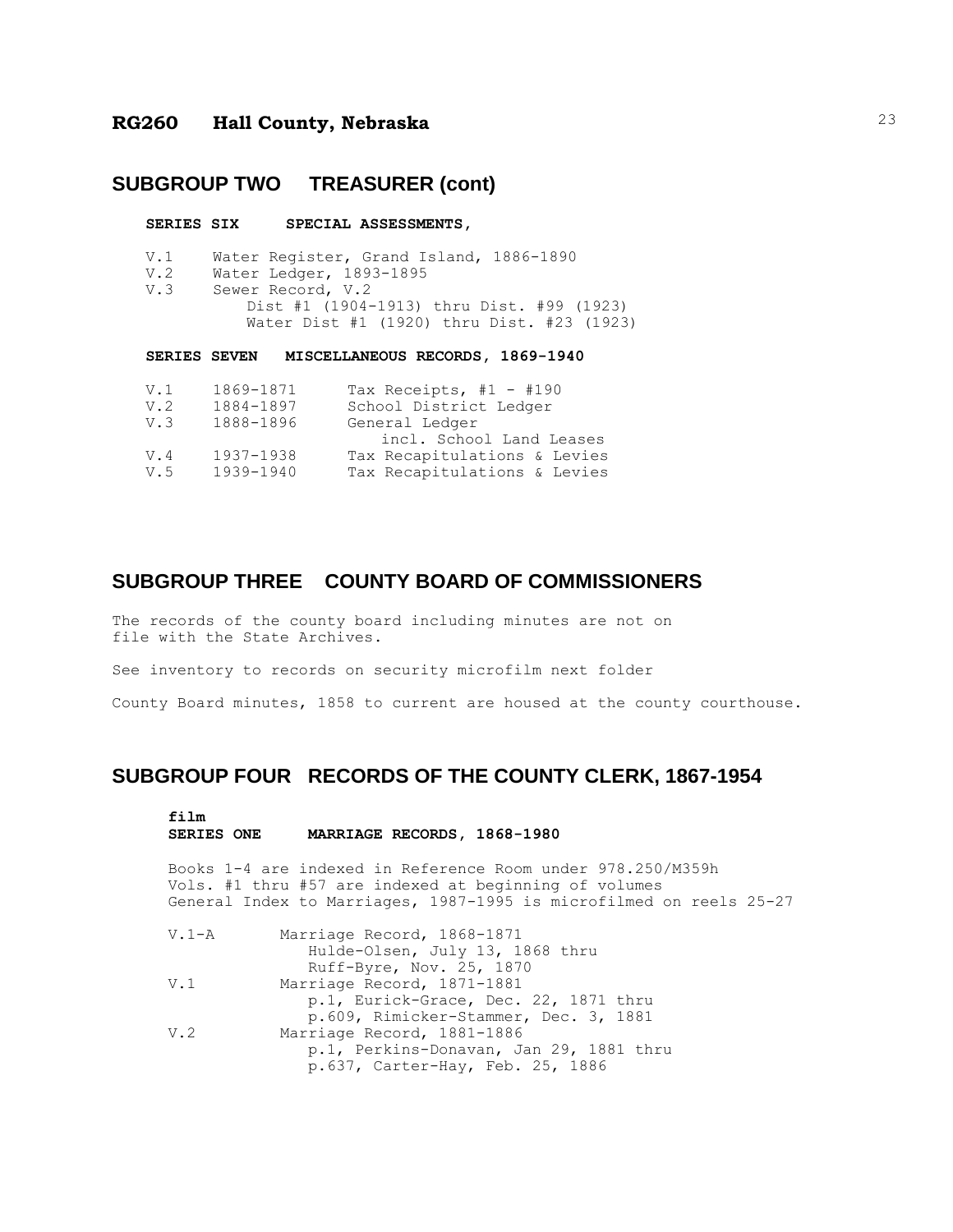#### **SUBGROUP TWO TREASURER (cont)**

#### **SERIES SIX SPECIAL ASSESSMENTS,**

- V.1 Water Register, Grand Island, 1886-1890
- V.2 Water Ledger, 1893-1895 V.3 Sewer Record, V.2
	- Dist #1 (1904-1913) thru Dist. #99 (1923) Water Dist #1 (1920) thru Dist. #23 (1923)

**SERIES SEVEN MISCELLANEOUS RECORDS, 1869-1940**

| V.1 | 1869-1871 | Tax Receipts, $#1 - #190$    |
|-----|-----------|------------------------------|
| V.2 | 1884-1897 | School District Ledger       |
| V.3 | 1888-1896 | General Ledger               |
|     |           | incl. School Land Leases     |
| V.4 | 1937-1938 | Tax Recapitulations & Levies |
| V.5 | 1939-1940 | Tax Recapitulations & Levies |
|     |           |                              |

#### **SUBGROUP THREE COUNTY BOARD OF COMMISSIONERS**

The records of the county board including minutes are not on file with the State Archives.

See inventory to records on security microfilm next folder

County Board minutes, 1858 to current are housed at the county courthouse.

#### **SUBGROUP FOUR RECORDS OF THE COUNTY CLERK, 1867-1954**

```
film
```
#### **SERIES ONE MARRIAGE RECORDS, 1868-1980**

Books 1-4 are indexed in Reference Room under 978.250/M359h Vols. #1 thru #57 are indexed at beginning of volumes General Index to Marriages, 1987-1995 is microfilmed on reels 25-27

V.1-A Marriage Record, 1868-1871 Hulde-Olsen, July 13, 1868 thru Ruff-Byre, Nov. 25, 1870 V.1 Marriage Record, 1871-1881 p.1, Eurick-Grace, Dec. 22, 1871 thru p.609, Rimicker-Stammer, Dec. 3, 1881 V.2 Marriage Record, 1881-1886 p.1, Perkins-Donavan, Jan 29, 1881 thru p.637, Carter-Hay, Feb. 25, 1886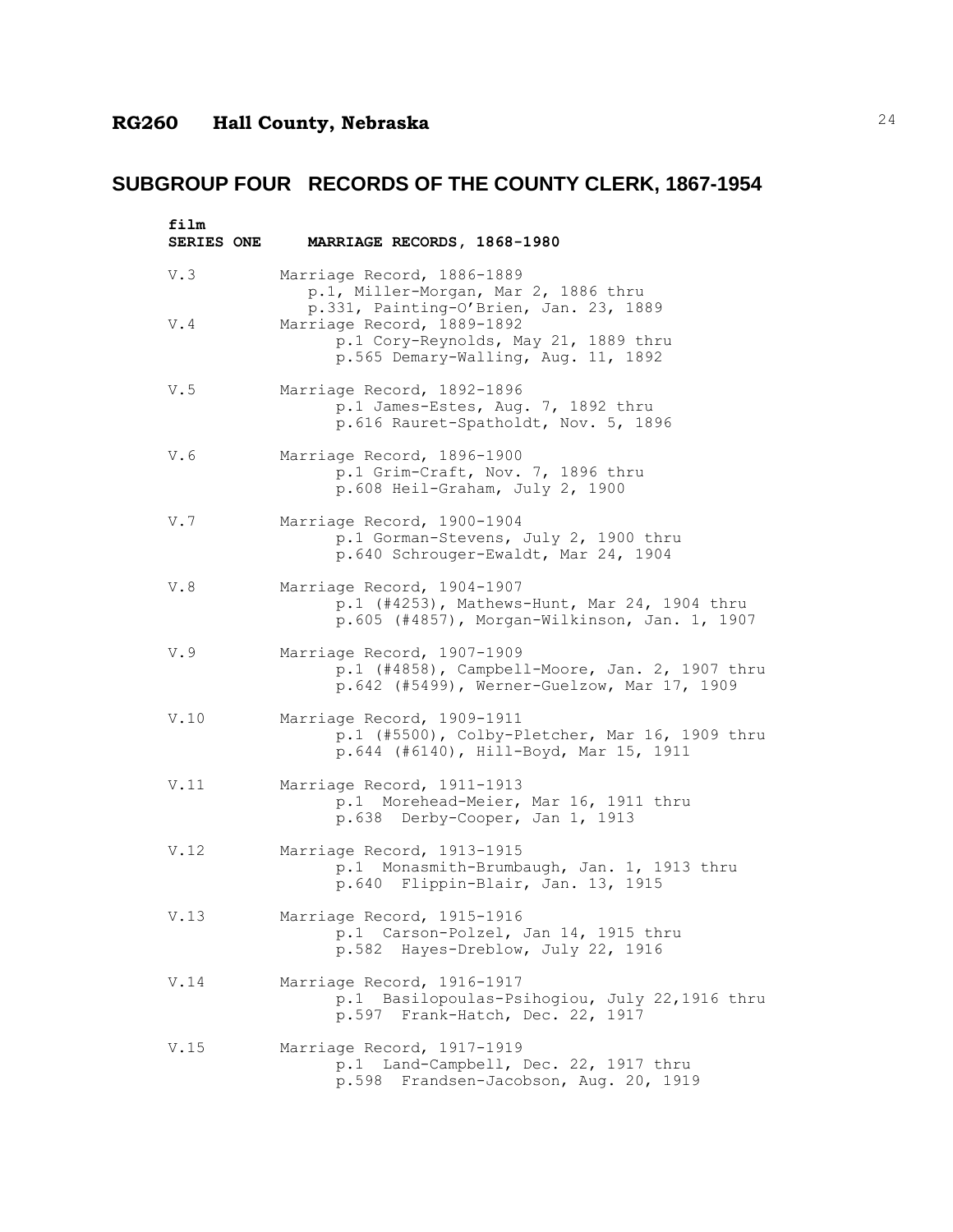| film<br><b>SERIES ONE</b> | MARRIAGE RECORDS, 1868-1980                                                                                                 |
|---------------------------|-----------------------------------------------------------------------------------------------------------------------------|
| V.3                       | Marriage Record, 1886-1889<br>p.1, Miller-Morgan, Mar 2, 1886 thru<br>p.331, Painting-O'Brien, Jan. 23, 1889                |
| V.4                       | Marriage Record, 1889-1892<br>p.1 Cory-Reynolds, May 21, 1889 thru<br>p.565 Demary-Walling, Aug. 11, 1892                   |
| V.5                       | Marriage Record, 1892-1896<br>p.1 James-Estes, Aug. 7, 1892 thru<br>p.616 Rauret-Spatholdt, Nov. 5, 1896                    |
| V.6                       | Marriage Record, 1896-1900<br>p.1 Grim-Craft, Nov. 7, 1896 thru<br>p.608 Heil-Graham, July 2, 1900                          |
| V.7                       | Marriage Record, 1900-1904<br>p.1 Gorman-Stevens, July 2, 1900 thru<br>p.640 Schrouger-Ewaldt, Mar 24, 1904                 |
| V.8                       | Marriage Record, 1904-1907<br>p.1 (#4253), Mathews-Hunt, Mar 24, 1904 thru<br>p.605 (#4857), Morgan-Wilkinson, Jan. 1, 1907 |
| V.9                       | Marriage Record, 1907-1909<br>p.1 (#4858), Campbell-Moore, Jan. 2, 1907 thru<br>p.642 (#5499), Werner-Guelzow, Mar 17, 1909 |
| V.10                      | Marriage Record, 1909-1911<br>p.1 (#5500), Colby-Pletcher, Mar 16, 1909 thru<br>p.644 (#6140), Hill-Boyd, Mar 15, 1911      |
| V.11                      | Marriage Record, 1911-1913<br>p.1 Morehead-Meier, Mar 16, 1911 thru<br>p.638 Derby-Cooper, Jan 1, 1913                      |
| V.12                      | Marriage Record, 1913-1915<br>p.1 Monasmith-Brumbaugh, Jan. 1, 1913 thru<br>p.640 Flippin-Blair, Jan. 13, 1915              |
| V.13                      | Marriage Record, 1915-1916<br>p.1 Carson-Polzel, Jan 14, 1915 thru<br>p.582 Hayes-Dreblow, July 22, 1916                    |
| V.14                      | Marriage Record, 1916-1917<br>p.1 Basilopoulas-Psihogiou, July 22,1916 thru<br>p.597 Frank-Hatch, Dec. 22, 1917             |
| V.15                      | Marriage Record, 1917-1919<br>p.1 Land-Campbell, Dec. 22, 1917 thru<br>p.598 Frandsen-Jacobson, Aug. 20, 1919               |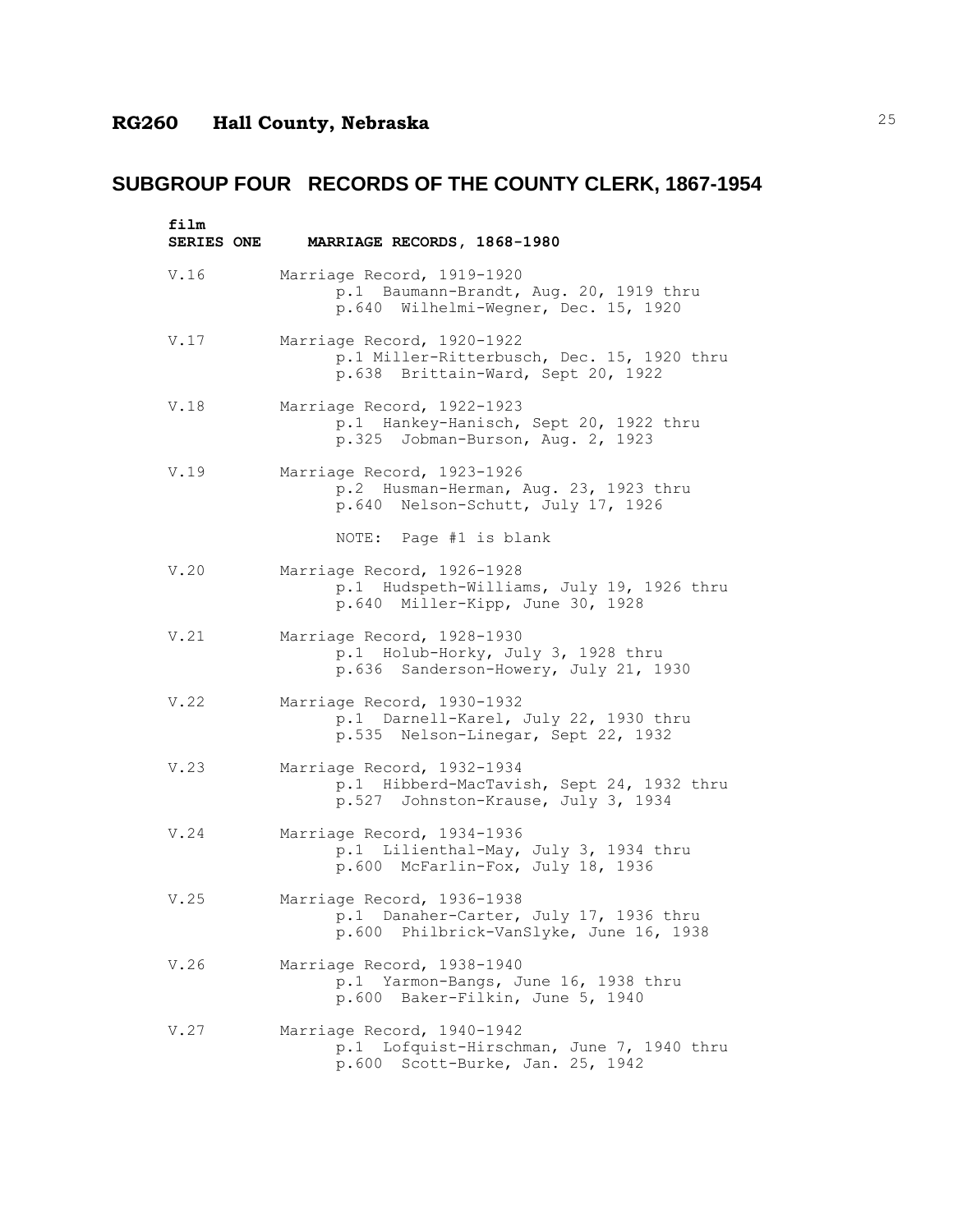| film       |                                                                                                                 |
|------------|-----------------------------------------------------------------------------------------------------------------|
| SERIES ONE | MARRIAGE RECORDS, 1868-1980                                                                                     |
| V.16       | Marriage Record, 1919-1920<br>p.1 Baumann-Brandt, Aug. 20, 1919 thru<br>p.640 Wilhelmi-Wegner, Dec. 15, 1920    |
| V.17       | Marriage Record, 1920-1922<br>p.1 Miller-Ritterbusch, Dec. 15, 1920 thru<br>p.638 Brittain-Ward, Sept 20, 1922  |
| V.18       | Marriage Record, 1922-1923<br>p.1 Hankey-Hanisch, Sept 20, 1922 thru<br>p.325 Jobman-Burson, Aug. 2, 1923       |
| V.19       | Marriage Record, 1923-1926<br>p.2 Husman-Herman, Aug. 23, 1923 thru<br>p.640 Nelson-Schutt, July 17, 1926       |
|            | NOTE: Page #1 is blank                                                                                          |
| V.20       | Marriage Record, 1926-1928<br>p.1 Hudspeth-Williams, July 19, 1926 thru<br>p.640 Miller-Kipp, June 30, 1928     |
| V.21       | Marriage Record, 1928-1930<br>p.1 Holub-Horky, July 3, 1928 thru<br>p.636 Sanderson-Howery, July 21, 1930       |
| V.22       | Marriage Record, 1930-1932<br>p.1 Darnell-Karel, July 22, 1930 thru<br>p.535 Nelson-Linegar, Sept 22, 1932      |
| V.23       | Marriage Record, 1932-1934<br>p.1 Hibberd-MacTavish, Sept 24, 1932 thru<br>p.527 Johnston-Krause, July 3, 1934  |
| V.24       | Marriage Record, 1934-1936<br>p.1 Lilienthal-May, July 3, 1934 thru<br>p.600 McFarlin-Fox, July 18, 1936        |
| V.25       | Marriage Record, 1936-1938<br>p.1 Danaher-Carter, July 17, 1936 thru<br>p.600 Philbrick-VanSlyke, June 16, 1938 |
| V.26       | Marriage Record, 1938-1940<br>p.1 Yarmon-Bangs, June 16, 1938 thru<br>p.600 Baker-Filkin, June 5, 1940          |
| V.27       | Marriage Record, 1940-1942<br>p.1 Lofquist-Hirschman, June 7, 1940 thru<br>p.600 Scott-Burke, Jan. 25, 1942     |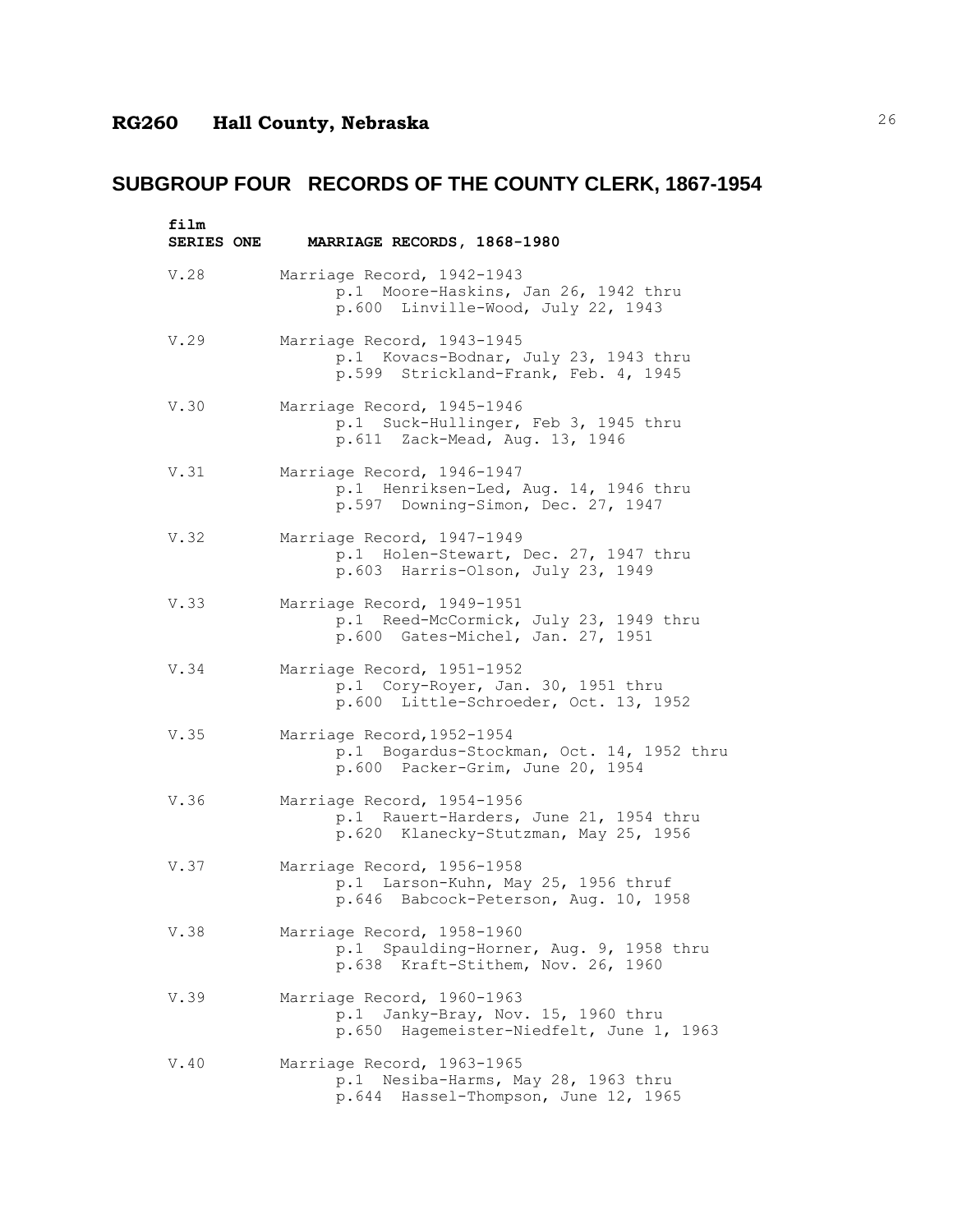| film<br>SERIES ONE | MARRIAGE RECORDS, 1868-1980                                                                                   |
|--------------------|---------------------------------------------------------------------------------------------------------------|
| V.28               | Marriage Record, 1942-1943<br>p.1 Moore-Haskins, Jan 26, 1942 thru<br>p.600 Linville-Wood, July 22, 1943      |
| V.29               | Marriage Record, 1943-1945<br>p.1 Kovacs-Bodnar, July 23, 1943 thru<br>p.599 Strickland-Frank, Feb. 4, 1945   |
| V.30               | Marriage Record, 1945-1946<br>p.1 Suck-Hullinger, Feb 3, 1945 thru<br>p.611 Zack-Mead, Aug. 13, 1946          |
| V.31               | Marriage Record, 1946-1947<br>p.1 Henriksen-Led, Aug. 14, 1946 thru<br>p.597 Downing-Simon, Dec. 27, 1947     |
| V.32               | Marriage Record, 1947-1949<br>p.1 Holen-Stewart, Dec. 27, 1947 thru<br>p.603 Harris-Olson, July 23, 1949      |
| V.33               | Marriage Record, 1949-1951<br>p.1 Reed-McCormick, July 23, 1949 thru<br>p.600 Gates-Michel, Jan. 27, 1951     |
| V.34               | Marriage Record, 1951-1952<br>p.1 Cory-Royer, Jan. 30, 1951 thru<br>p.600 Little-Schroeder, Oct. 13, 1952     |
| V.35               | Marriage Record, 1952-1954<br>p.1 Bogardus-Stockman, Oct. 14, 1952 thru<br>p.600 Packer-Grim, June 20, 1954   |
| V.36               | Marriage Record, 1954-1956<br>p.1 Rauert-Harders, June 21, 1954 thru<br>p.620 Klanecky-Stutzman, May 25, 1956 |
| V.37               | Marriage Record, 1956-1958<br>p.1 Larson-Kuhn, May 25, 1956 thruf<br>p.646 Babcock-Peterson, Aug. 10, 1958    |
| V.38               | Marriage Record, 1958-1960<br>p.1 Spaulding-Horner, Aug. 9, 1958 thru<br>p.638 Kraft-Stithem, Nov. 26, 1960   |
| V.39               | Marriage Record, 1960-1963<br>p.1 Janky-Bray, Nov. 15, 1960 thru<br>p.650 Hagemeister-Niedfelt, June 1, 1963  |
| V.40               | Marriage Record, 1963-1965<br>p.1 Nesiba-Harms, May 28, 1963 thru<br>p.644 Hassel-Thompson, June 12, 1965     |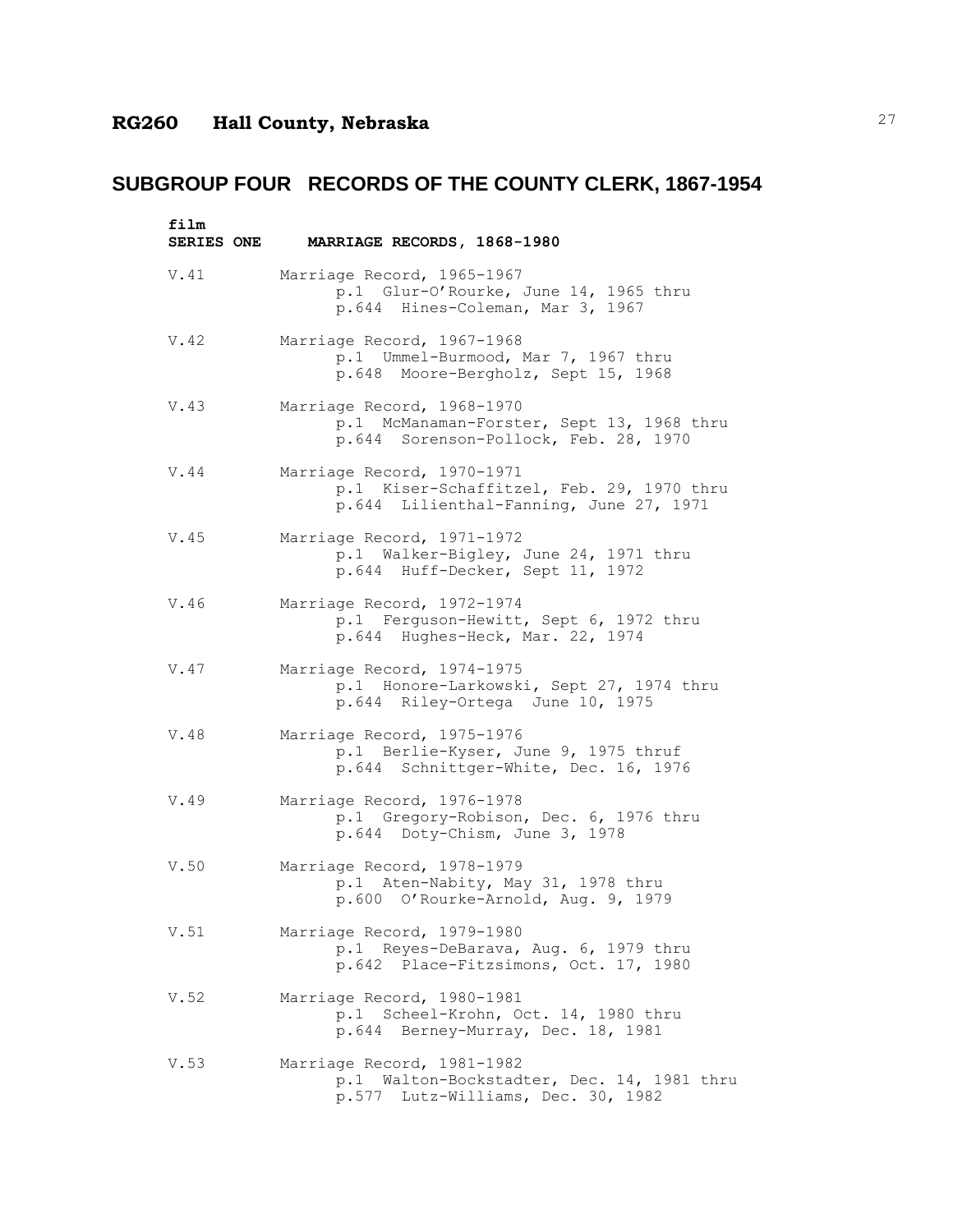| film<br>SERIES ONE | MARRIAGE RECORDS, 1868-1980                                                                                        |
|--------------------|--------------------------------------------------------------------------------------------------------------------|
| V.41               | Marriage Record, 1965-1967<br>p.1 Glur-O'Rourke, June 14, 1965 thru<br>p.644 Hines-Coleman, Mar 3, 1967            |
| V.42               | Marriage Record, 1967-1968<br>p.1 Ummel-Burmood, Mar 7, 1967 thru<br>p.648 Moore-Bergholz, Sept 15, 1968           |
| V.43               | Marriage Record, 1968-1970<br>p.1 McManaman-Forster, Sept 13, 1968 thru<br>p.644 Sorenson-Pollock, Feb. 28, 1970   |
| V.44               | Marriage Record, 1970-1971<br>p.1 Kiser-Schaffitzel, Feb. 29, 1970 thru<br>p.644 Lilienthal-Fanning, June 27, 1971 |
| V.45               | Marriage Record, 1971-1972<br>p.1 Walker-Bigley, June 24, 1971 thru<br>p.644 Huff-Decker, Sept 11, 1972            |
| V.46               | Marriage Record, 1972-1974<br>p.1 Ferguson-Hewitt, Sept 6, 1972 thru<br>p.644 Hughes-Heck, Mar. 22, 1974           |
| V.47               | Marriage Record, 1974-1975<br>p.1 Honore-Larkowski, Sept 27, 1974 thru<br>p.644 Riley-Ortega June 10, 1975         |
| V.48               | Marriage Record, 1975-1976<br>p.1 Berlie-Kyser, June 9, 1975 thruf<br>p.644 Schnittger-White, Dec. 16, 1976        |
| V.49               | Marriage Record, 1976-1978<br>p.1 Gregory-Robison, Dec. 6, 1976 thru<br>p.644 Doty-Chism, June 3, 1978             |
| V.50               | Marriage Record, 1978-1979<br>p.1 Aten-Nabity, May 31, 1978 thru<br>p.600 O'Rourke-Arnold, Aug. 9, 1979            |
| V.51               | Marriage Record, 1979-1980<br>p.1 Reyes-DeBarava, Aug. 6, 1979 thru<br>p.642 Place-Fitzsimons, Oct. 17, 1980       |
| V.52               | Marriage Record, 1980-1981<br>p.1 Scheel-Krohn, Oct. 14, 1980 thru<br>p.644 Berney-Murray, Dec. 18, 1981           |
| V.53               | Marriage Record, 1981-1982<br>p.1 Walton-Bockstadter, Dec. 14, 1981 thru<br>p.577 Lutz-Williams, Dec. 30, 1982     |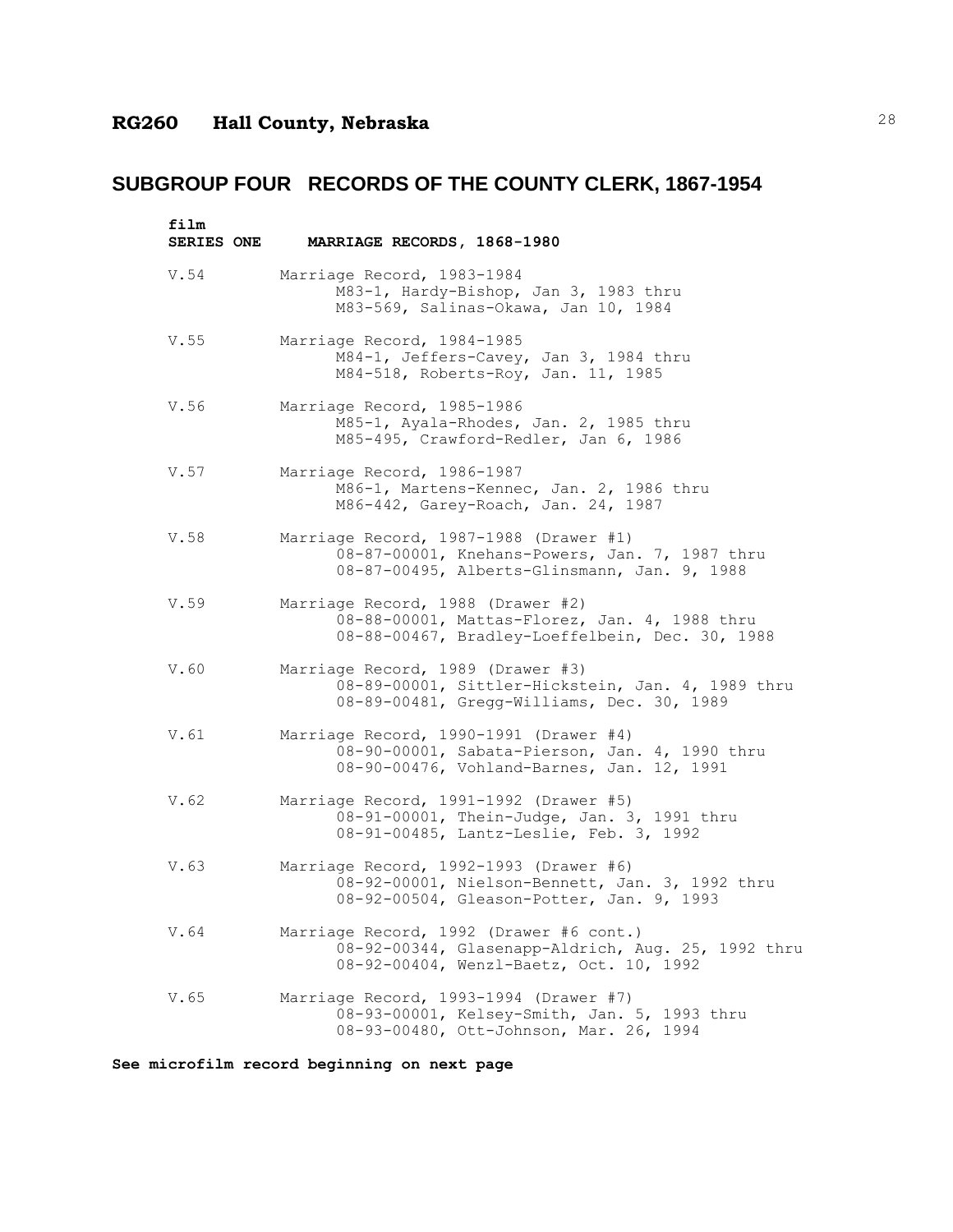| film<br><b>SERIES ONE</b> | MARRIAGE RECORDS, 1868-1980                                                                                                              |
|---------------------------|------------------------------------------------------------------------------------------------------------------------------------------|
| V.54                      | Marriage Record, 1983-1984<br>M83-1, Hardy-Bishop, Jan 3, 1983 thru<br>M83-569, Salinas-Okawa, Jan 10, 1984                              |
| V.55                      | Marriage Record, 1984-1985<br>M84-1, Jeffers-Cavey, Jan 3, 1984 thru<br>M84-518, Roberts-Roy, Jan. 11, 1985                              |
| V.56                      | Marriage Record, 1985-1986<br>M85-1, Ayala-Rhodes, Jan. 2, 1985 thru<br>M85-495, Crawford-Redler, Jan 6, 1986                            |
| V.57                      | Marriage Record, 1986-1987<br>M86-1, Martens-Kennec, Jan. 2, 1986 thru<br>M86-442, Garey-Roach, Jan. 24, 1987                            |
| V.58                      | Marriage Record, 1987-1988 (Drawer #1)<br>08-87-00001, Knehans-Powers, Jan. 7, 1987 thru<br>08-87-00495, Alberts-Glinsmann, Jan. 9, 1988 |
| V.59                      | Marriage Record, 1988 (Drawer #2)<br>08-88-00001, Mattas-Florez, Jan. 4, 1988 thru<br>08-88-00467, Bradley-Loeffelbein, Dec. 30, 1988    |
| V.60                      | Marriage Record, 1989 (Drawer #3)<br>08-89-00001, Sittler-Hickstein, Jan. 4, 1989 thru<br>08-89-00481, Gregg-Williams, Dec. 30, 1989     |
| V.61                      | Marriage Record, 1990-1991 (Drawer #4)<br>08-90-00001, Sabata-Pierson, Jan. 4, 1990 thru<br>08-90-00476, Vohland-Barnes, Jan. 12, 1991   |
| V.62                      | Marriage Record, 1991-1992 (Drawer #5)<br>08-91-00001, Thein-Judge, Jan. 3, 1991 thru<br>08-91-00485, Lantz-Leslie, Feb. 3, 1992         |
| V.63                      | Marriage Record, 1992-1993 (Drawer #6)<br>08-92-00001, Nielson-Bennett, Jan. 3, 1992 thru<br>08-92-00504, Gleason-Potter, Jan. 9, 1993   |
| V.64                      | Marriage Record, 1992 (Drawer #6 cont.)<br>08-92-00344, Glasenapp-Aldrich, Aug. 25, 1992 thru<br>08-92-00404, Wenzl-Baetz, Oct. 10, 1992 |
| V.65                      | Marriage Record, 1993-1994 (Drawer #7)<br>08-93-00001, Kelsey-Smith, Jan. 5, 1993 thru<br>08-93-00480, Ott-Johnson, Mar. 26, 1994        |

**See microfilm record beginning on next page**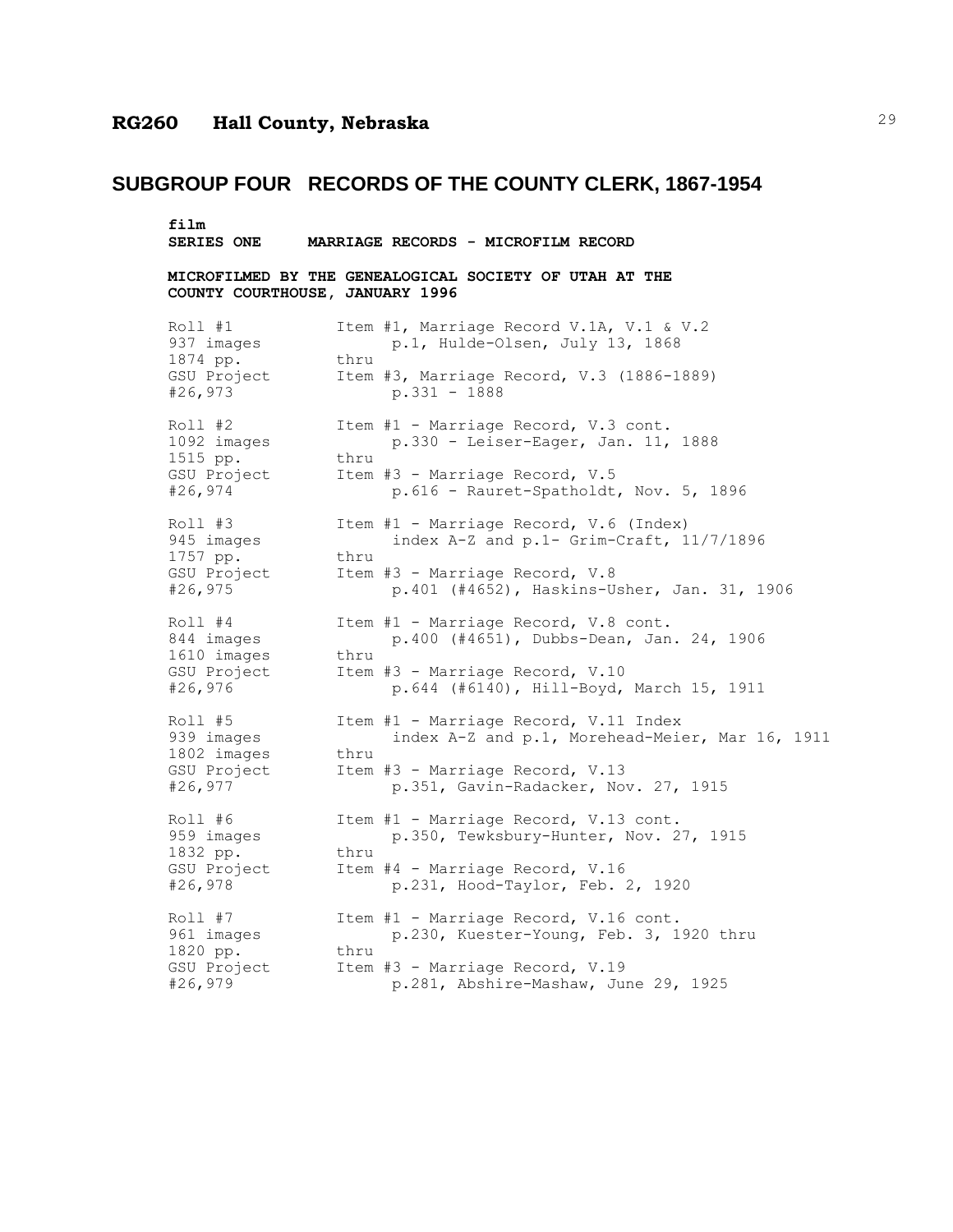## **SUBGROUP FOUR RECORDS OF THE COUNTY CLERK, 1867-1954**

**film SERIES ONE MARRIAGE RECORDS - MICROFILM RECORD**

**MICROFILMED BY THE GENEALOGICAL SOCIETY OF UTAH AT THE COUNTY COURTHOUSE, JANUARY 1996**

| Roll #1<br>937 images                                       |      | Item #1, Marriage Record V.1A, V.1 & V.2<br>p.1, Hulde-Olsen, July 13, 1868              |
|-------------------------------------------------------------|------|------------------------------------------------------------------------------------------|
| 1874 pp.<br>GSU Project<br>#26,973                          | thru | Item #3, Marriage Record, V.3 (1886-1889)<br>$p.331 - 1888$                              |
| $Roll$ #2<br>1092 images<br>1515 pp.                        | thru | Item #1 - Marriage Record, V.3 cont.<br>p.330 - Leiser-Eager, Jan. 11, 1888              |
| GSU Project<br>#26,974                                      |      | Item #3 - Marriage Record, V.5<br>p.616 - Rauret-Spatholdt, Nov. 5, 1896                 |
| Roll #3<br>945 images<br>1757 pp.                           | thru | Item #1 - Marriage Record, V.6 (Index)<br>index A-Z and p.1- Grim-Craft, 11/7/1896       |
| GSU Project<br>#26,975                                      |      | Item #3 - Marriage Record, V.8<br>p.401 (#4652), Haskins-Usher, Jan. 31, 1906            |
| $Roll$ #4<br>844 images<br>1610 images                      | thru | Item #1 - Marriage Record, V.8 cont.<br>p.400 (#4651), Dubbs-Dean, Jan. 24, 1906         |
| GSU Project<br>#26,976                                      |      | Item #3 - Marriage Record, V.10<br>p.644 (#6140), Hill-Boyd, March 15, 1911              |
| Roll #5<br>939 images                                       | thru | Item #1 - Marriage Record, V.11 Index<br>index A-Z and p.1, Morehead-Meier, Mar 16, 1911 |
| 1802 images<br>GSU Project<br>#26,977                       |      | Item #3 - Marriage Record, V.13<br>p.351, Gavin-Radacker, Nov. 27, 1915                  |
| Roll #6<br>959 images<br>1832 pp.<br>GSU Project<br>#26,978 |      | Item #1 - Marriage Record, V.13 cont.<br>p.350, Tewksbury-Hunter, Nov. 27, 1915          |
|                                                             | thru | Item #4 - Marriage Record, V.16<br>p.231, Hood-Taylor, Feb. 2, 1920                      |
| $Roll$ #7<br>961 images                                     |      | Item #1 - Marriage Record, V.16 cont.<br>p.230, Kuester-Young, Feb. 3, 1920 thru         |
| 1820 pp.<br>GSU Project<br>#26,979                          | thru | Item #3 - Marriage Record, V.19<br>p.281, Abshire-Mashaw, June 29, 1925                  |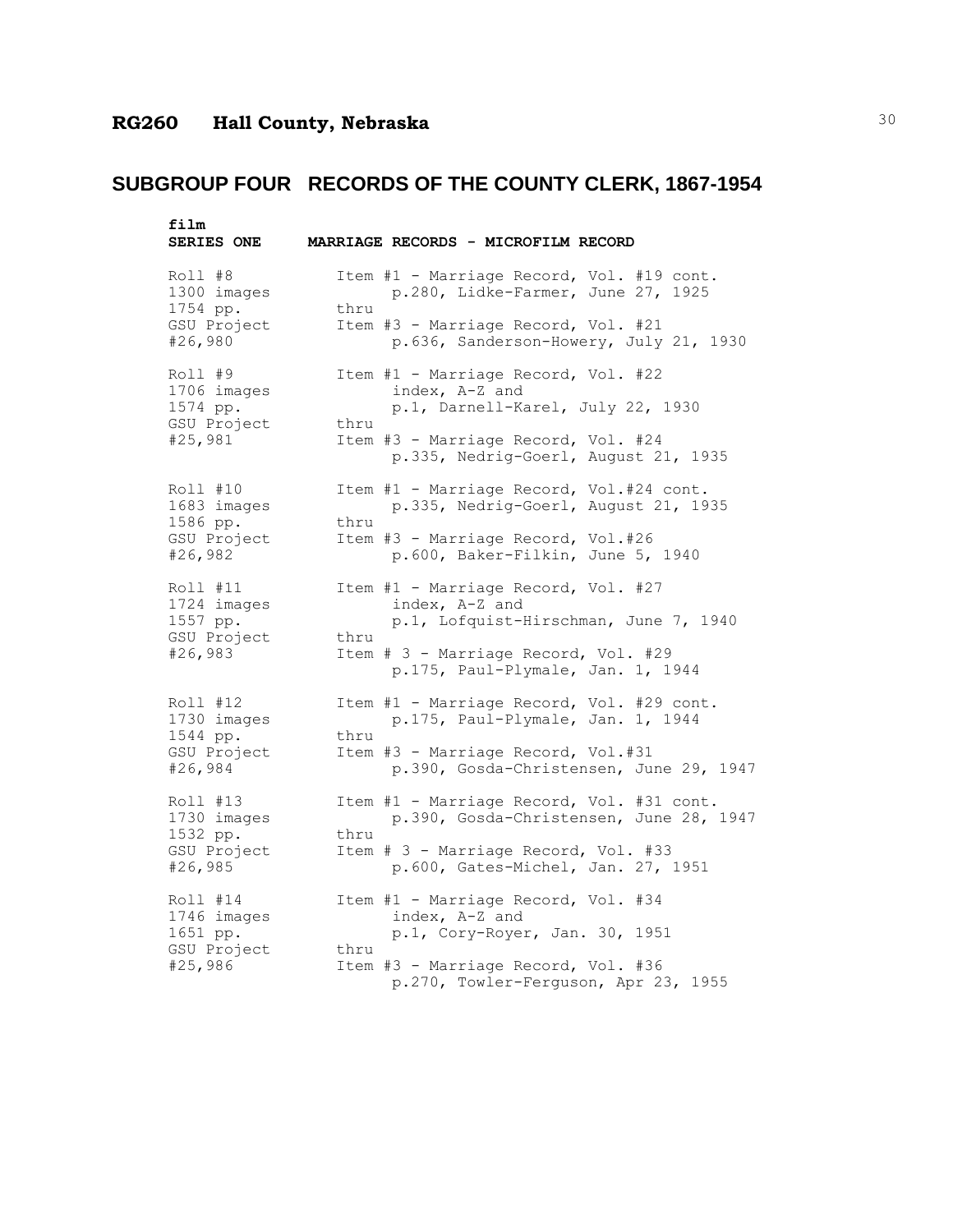| film<br><b>SERIES ONE</b>           |      | MARRIAGE RECORDS - MICROFILM RECORD                                                                           |
|-------------------------------------|------|---------------------------------------------------------------------------------------------------------------|
| Roll #8<br>1300 images<br>1754 pp.  | thru | Item #1 - Marriage Record, Vol. #19 cont.<br>p.280, Lidke-Farmer, June 27, 1925                               |
| GSU Project<br>#26,980              |      | Item #3 - Marriage Record, Vol. #21<br>p.636, Sanderson-Howery, July 21, 1930                                 |
| Roll #9<br>1706 images<br>1574 pp.  |      | Item #1 - Marriage Record, Vol. #22<br>index, A-Z and<br>p.1, Darnell-Karel, July 22, 1930                    |
| GSU Project<br>#25,981              | thru | Item #3 - Marriage Record, Vol. #24<br>p.335, Nedrig-Goerl, August 21, 1935                                   |
| Roll #10<br>1683 images             | thru | Item #1 - Marriage Record, Vol.#24 cont.<br>p.335, Nedrig-Goerl, August 21, 1935                              |
| 1586 pp.<br>GSU Project<br>#26,982  |      | Item #3 - Marriage Record, Vol.#26<br>p.600, Baker-Filkin, June 5, 1940                                       |
| Roll #11<br>1724 images<br>1557 pp. |      | Item #1 - Marriage Record, Vol. #27<br>index, A-Z and<br>p.1, Lofquist-Hirschman, June 7, 1940                |
| GSU Project<br>#26,983              | thru | Item # 3 - Marriage Record, Vol. #29<br>p.175, Paul-Plymale, Jan. 1, 1944                                     |
| Roll #12<br>1730 images<br>1544 pp. | thru | Item #1 - Marriage Record, Vol. #29 cont.<br>p.175, Paul-Plymale, Jan. 1, 1944                                |
| GSU Project<br>#26,984              |      | Item #3 - Marriage Record, Vol.#31<br>p.390, Gosda-Christensen, June 29, 1947                                 |
| Roll #13<br>1730 images             |      | Item #1 - Marriage Record, Vol. #31 cont.<br>p.390, Gosda-Christensen, June 28, 1947                          |
| 1532 pp.<br>GSU Project<br>#26,985  | thru | Item # 3 - Marriage Record, Vol. #33<br>p.600, Gates-Michel, Jan. 27, 1951                                    |
| Roll #14<br>1746 images             |      | Item #1 - Marriage Record, Vol. #34<br>index, A-Z and                                                         |
| 1651 pp.<br>GSU Project<br>#25,986  | thru | p.1, Cory-Royer, Jan. 30, 1951<br>Item #3 - Marriage Record, Vol. #36<br>p.270, Towler-Ferguson, Apr 23, 1955 |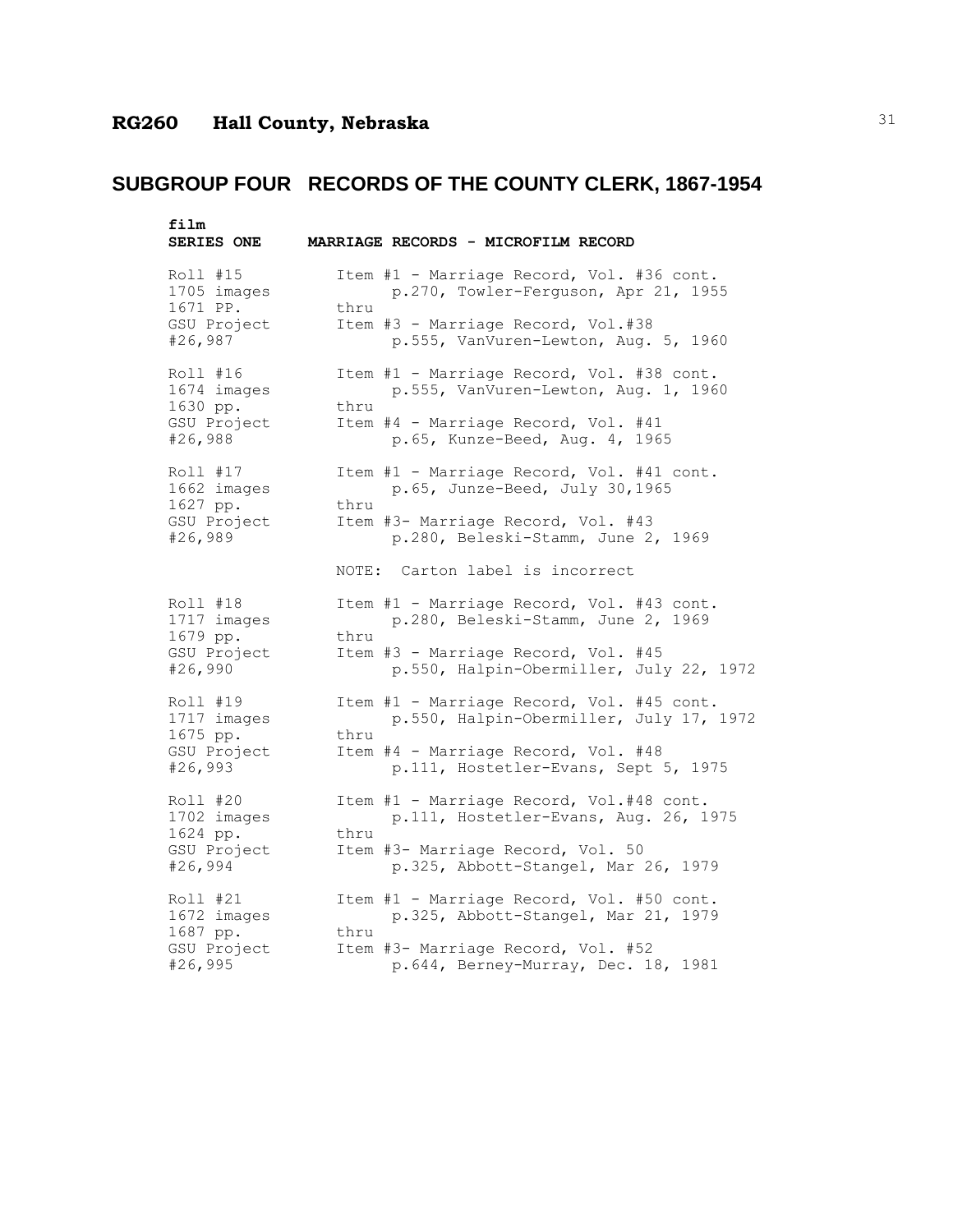| film<br><b>SERIES ONE</b> | MARRIAGE RECORDS - MICROFILM RECORD       |
|---------------------------|-------------------------------------------|
| Roll #15                  | Item #1 - Marriage Record, Vol. #36 cont. |
| 1705 images               | p.270, Towler-Ferguson, Apr 21, 1955      |
| 1671 PP.                  | thru                                      |
| GSU Project               | Item #3 - Marriage Record, Vol.#38        |
| #26,987                   | p.555, VanVuren-Lewton, Aug. 5, 1960      |
| Roll #16                  | Item #1 - Marriage Record, Vol. #38 cont. |
| 1674 images               | p.555, VanVuren-Lewton, Aug. 1, 1960      |
| 1630 pp.                  | thru                                      |
| GSU Project               | Item #4 - Marriage Record, Vol. #41       |
| #26,988                   | p.65, Kunze-Beed, Aug. 4, 1965            |
| Roll #17                  | Item #1 - Marriage Record, Vol. #41 cont. |
| 1662 images               | p.65, Junze-Beed, July 30,1965            |
| 1627 pp.                  | thru                                      |
| GSU Project               | Item #3- Marriage Record, Vol. #43        |
| #26,989                   | p.280, Beleski-Stamm, June 2, 1969        |
|                           | NOTE: Carton label is incorrect           |
| Roll #18                  | Item #1 - Marriage Record, Vol. #43 cont. |
| 1717 images               | p.280, Beleski-Stamm, June 2, 1969        |
| 1679 pp.                  | thru                                      |
| GSU Project               | Item #3 - Marriage Record, Vol. #45       |
| #26,990                   | p.550, Halpin-Obermiller, July 22, 1972   |
| Roll #19                  | Item #1 - Marriage Record, Vol. #45 cont. |
| 1717 images               | p.550, Halpin-Obermiller, July 17, 1972   |
| 1675 pp.                  | thru                                      |
| GSU Project               | Item #4 - Marriage Record, Vol. #48       |
| #26,993                   | p.111, Hostetler-Evans, Sept 5, 1975      |
| Roll #20                  | Item #1 - Marriage Record, Vol.#48 cont.  |
| 1702 images               | p.111, Hostetler-Evans, Aug. 26, 1975     |
| 1624 pp.                  | thru                                      |
| GSU Project               | Item #3- Marriage Record, Vol. 50         |
| #26,994                   | p.325, Abbott-Stangel, Mar 26, 1979       |
| Roll #21                  | Item #1 - Marriage Record, Vol. #50 cont. |
| 1672 images               | p.325, Abbott-Stangel, Mar 21, 1979       |
| 1687 pp.                  | thru                                      |
| GSU Project               | Item #3- Marriage Record, Vol. #52        |
| #26,995                   | p.644, Berney-Murray, Dec. 18, 1981       |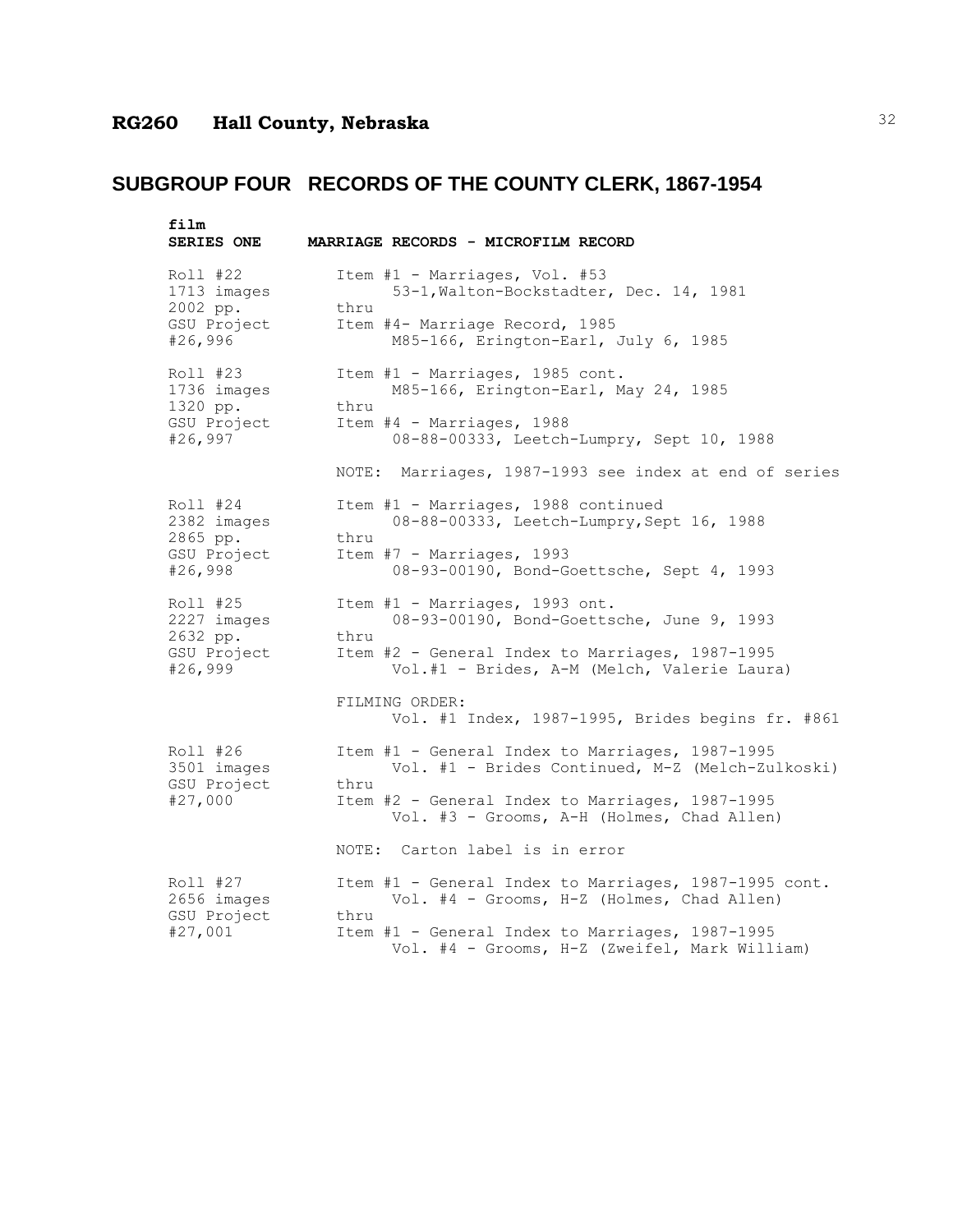| film<br><b>SERIES ONE</b> | MARRIAGE RECORDS - MICROFILM RECORD                                                                      |
|---------------------------|----------------------------------------------------------------------------------------------------------|
| Roll #22                  | Item #1 - Marriages, Vol. #53                                                                            |
| 1713 images               | 53-1, Walton-Bockstadter, Dec. 14, 1981                                                                  |
| 2002 pp.                  | thru                                                                                                     |
| GSU Project               | Item #4- Marriage Record, 1985                                                                           |
| #26,996                   | M85-166, Erington-Earl, July 6, 1985                                                                     |
| Roll #23                  | Item #1 - Marriages, 1985 cont.                                                                          |
| 1736 images               | M85-166, Erington-Earl, May 24, 1985                                                                     |
| 1320 pp.                  | thru                                                                                                     |
| GSU Project               | Item #4 - Marriages, 1988                                                                                |
| #26,997                   | 08-88-00333, Leetch-Lumpry, Sept 10, 1988                                                                |
|                           | NOTE: Marriages, 1987-1993 see index at end of series                                                    |
| Roll #24                  | Item #1 - Marriages, 1988 continued                                                                      |
| 2382 images               | 08-88-00333, Leetch-Lumpry, Sept 16, 1988                                                                |
| 2865 pp.                  | thru                                                                                                     |
| GSU Project               | Item #7 - Marriages, 1993                                                                                |
| #26,998                   | 08-93-00190, Bond-Goettsche, Sept 4, 1993                                                                |
| Roll #25                  | Item #1 - Marriages, 1993 ont.                                                                           |
| 2227 images               | 08-93-00190, Bond-Goettsche, June 9, 1993                                                                |
| 2632 pp.                  | thru                                                                                                     |
| GSU Project               | Item #2 - General Index to Marriages, 1987-1995                                                          |
| #26,999                   | Vol.#1 - Brides, A-M (Melch, Valerie Laura)                                                              |
|                           | FILMING ORDER:<br>Vol. #1 Index, 1987-1995, Brides begins fr. #861                                       |
| Roll #26                  | Item #1 - General Index to Marriages, 1987-1995                                                          |
| 3501 images               | Vol. #1 - Brides Continued, M-Z (Melch-Zulkoski)                                                         |
| GSU Project<br>#27,000    | thru<br>Item #2 - General Index to Marriages, 1987-1995<br>Vol. #3 - Grooms, A-H (Holmes, Chad Allen)    |
|                           | NOTE: Carton label is in error                                                                           |
| Roll #27                  | Item #1 - General Index to Marriages, 1987-1995 cont.                                                    |
| 2656 images               | Vol. #4 - Grooms, H-Z (Holmes, Chad Allen)                                                               |
| GSU Project<br>#27,001    | thru<br>Item #1 - General Index to Marriages, 1987-1995<br>Vol. #4 - Grooms, H-Z (Zweifel, Mark William) |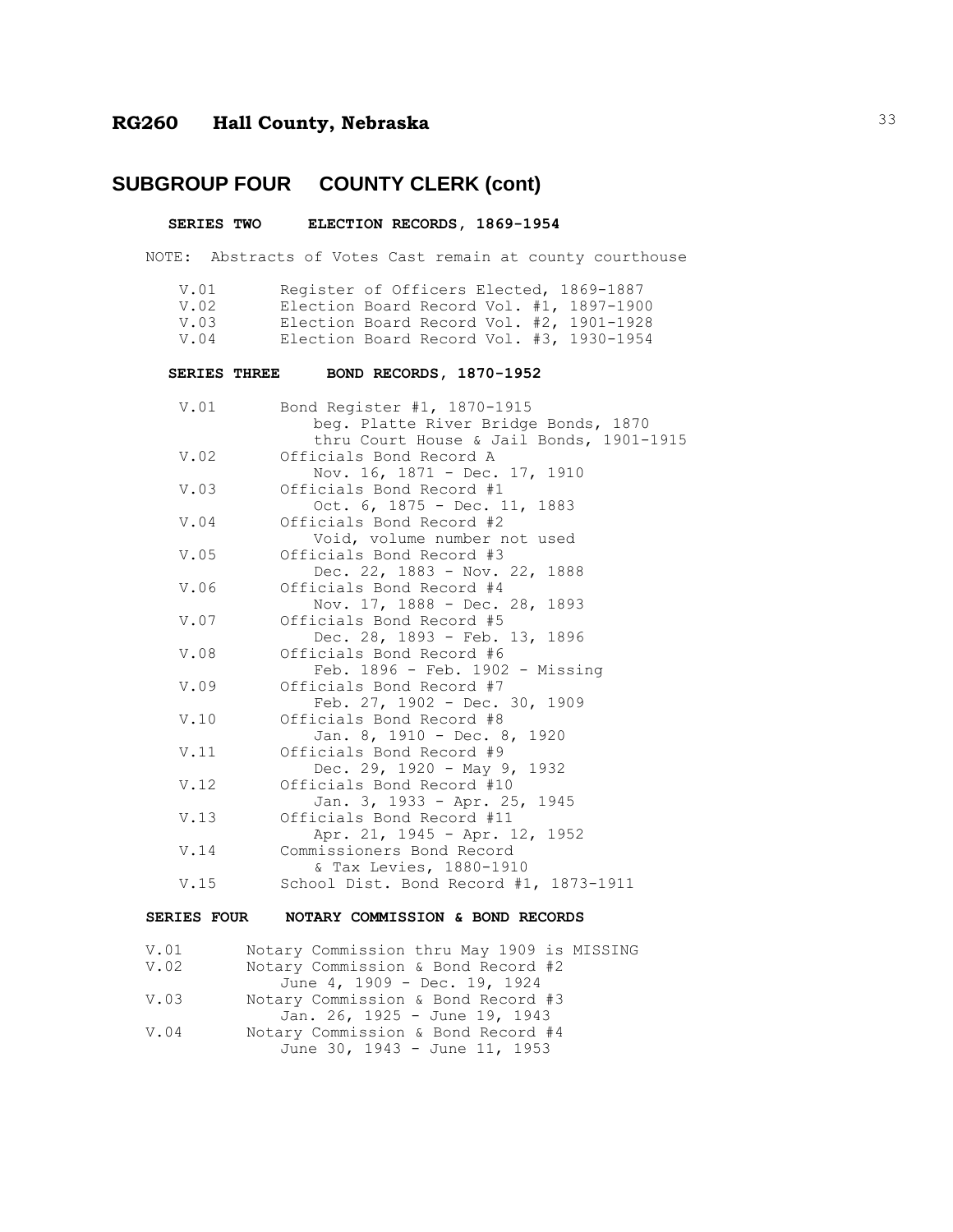## **SUBGROUP FOUR COUNTY CLERK (cont)**

#### **SERIES TWO ELECTION RECORDS, 1869-1954**

NOTE: Abstracts of Votes Cast remain at county courthouse

| V.01<br>V.02        | Register of Officers Elected, 1869-1887<br>Election Board Record Vol. #1, 1897-1900                             |
|---------------------|-----------------------------------------------------------------------------------------------------------------|
| V.03                | Election Board Record Vol. #2, 1901-1928                                                                        |
| V.04                | Election Board Record Vol. #3, 1930-1954                                                                        |
|                     |                                                                                                                 |
| <b>SERIES THREE</b> | BOND RECORDS, 1870-1952                                                                                         |
| V.01                | Bond Register #1, 1870-1915<br>beg. Platte River Bridge Bonds, 1870<br>thru Court House & Jail Bonds, 1901-1915 |
| V.02                | Officials Bond Record A<br>Nov. 16, 1871 - Dec. 17, 1910                                                        |
| V.03                | Officials Bond Record #1<br>Oct. 6, 1875 - Dec. 11, 1883                                                        |
| V.04                | Officials Bond Record #2<br>Void, volume number not used                                                        |
| V.05                | Officials Bond Record #3<br>Dec. 22, 1883 - Nov. 22, 1888                                                       |
| V.06                | Officials Bond Record #4<br>Nov. 17, 1888 - Dec. 28,<br>1893                                                    |
| V.07                | Officials Bond Record #5<br>Dec. 28, 1893 - Feb. 13, 1896                                                       |
| V.08                | Officials Bond Record #6<br>Feb. 1896 - Feb. 1902 - Missing                                                     |
| V.09                | Officials Bond Record #7<br>Feb. 27, 1902 - Dec. 30, 1909                                                       |
| V.10                | Officials Bond Record #8<br>Jan. 8, 1910 - Dec. 8, 1920                                                         |
| V.11                | Officials Bond Record #9<br>Dec. 29, 1920 - May 9, 1932                                                         |
| V.12                | Officials Bond Record #10<br>Jan. 3, 1933 - Apr. 25, 1945                                                       |
| V.13                | Officials Bond Record #11<br>Apr. 21, 1945 - Apr. 12, 1952                                                      |
| V.14                | Commissioners Bond Record<br>& Tax Levies, 1880-1910                                                            |
| V.15                | School Dist. Bond Record #1, 1873-1911                                                                          |
| <b>SERIES FOUR</b>  | NOTARY COMMISSION & BOND RECORDS                                                                                |

```
V.01 Notary Commission thru May 1909 is MISSING<br>V.02 Notary Commission & Bond Record #2
           Notary Commission & Bond Record #2
                June 4, 1909 - Dec. 19, 1924
V.03 Notary Commission & Bond Record #3
               Jan. 26, 1925 - June 19, 1943
V.04 Notary Commission & Bond Record #4
               June 30, 1943 - June 11, 1953
```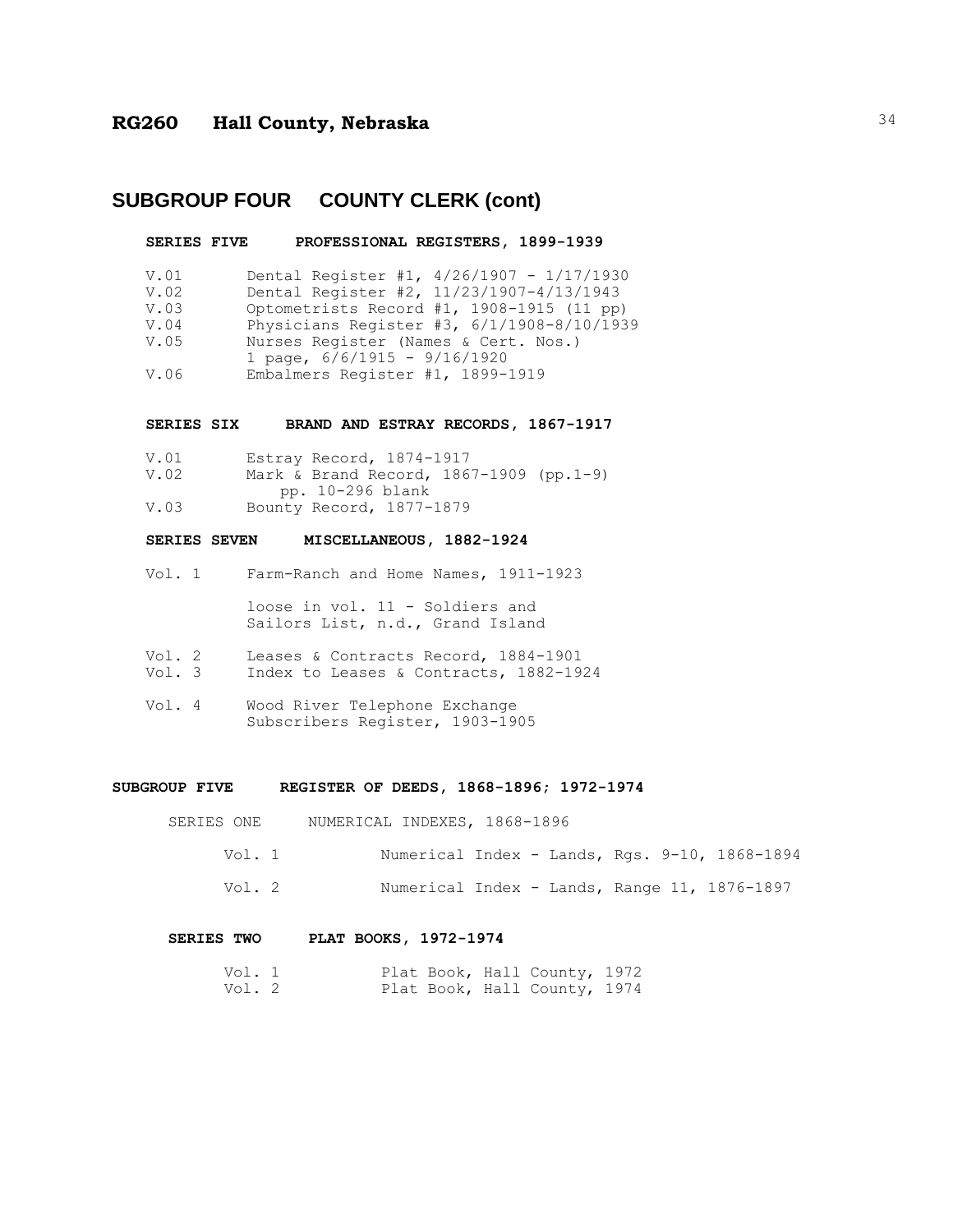# **SUBGROUP FOUR COUNTY CLERK (cont)**

|                                              | SERIES FIVE PROFESSIONAL REGISTERS, 1899-1939                                                                                                                                                                                                                                                    |
|----------------------------------------------|--------------------------------------------------------------------------------------------------------------------------------------------------------------------------------------------------------------------------------------------------------------------------------------------------|
| V.01<br>V.02<br>V.03<br>V.04<br>V.05<br>V.06 | Dental Register #1, $4/26/1907 - 1/17/1930$<br>Dental Register #2, 11/23/1907-4/13/1943<br>Optometrists Record #1, 1908-1915 (11 pp)<br>Physicians Register #3, 6/1/1908-8/10/1939<br>Nurses Register (Names & Cert. Nos.)<br>1 page, $6/6/1915 - 9/16/1920$<br>Embalmers Register #1, 1899-1919 |
|                                              | SERIES SIX BRAND AND ESTRAY RECORDS, 1867-1917                                                                                                                                                                                                                                                   |
| V.01<br>V.02                                 | Estray Record, 1874-1917<br>Mark & Brand Record, 1867-1909 (pp.1-9)<br>pp. 10-296 blank                                                                                                                                                                                                          |
| V.03                                         | Bounty Record, 1877-1879                                                                                                                                                                                                                                                                         |
|                                              | MISCELLANEOUS, 1882-1924<br><b>SERIES SEVEN</b>                                                                                                                                                                                                                                                  |
|                                              |                                                                                                                                                                                                                                                                                                  |
|                                              | Vol. 1 Farm-Ranch and Home Names, 1911-1923                                                                                                                                                                                                                                                      |

Vol. 2 Leases & Contracts Record, 1884-1901 Vol. 3 Index to Leases & Contracts, 1882-1924

Sailors List, n.d., Grand Island

Vol. 4 Wood River Telephone Exchange Subscribers Register, 1903-1905

#### **SUBGROUP FIVE REGISTER OF DEEDS, 1868-1896; 1972-1974**

| SERIES ONE |  |  | NUMERICAL INDEXES, 1868-1896 |
|------------|--|--|------------------------------|
|------------|--|--|------------------------------|

| Vol. 1 | Numerical Index - Lands, Rgs. 9-10, 1868-1894 |  |  |  |
|--------|-----------------------------------------------|--|--|--|
| Vol. 2 | Numerical Index - Lands, Range 11, 1876-1897  |  |  |  |

#### **SERIES TWO PLAT BOOKS, 1972-1974**

| Vol. 1 |  |  | Plat Book, Hall County, 1972 |  |
|--------|--|--|------------------------------|--|
| Vol. 2 |  |  | Plat Book, Hall County, 1974 |  |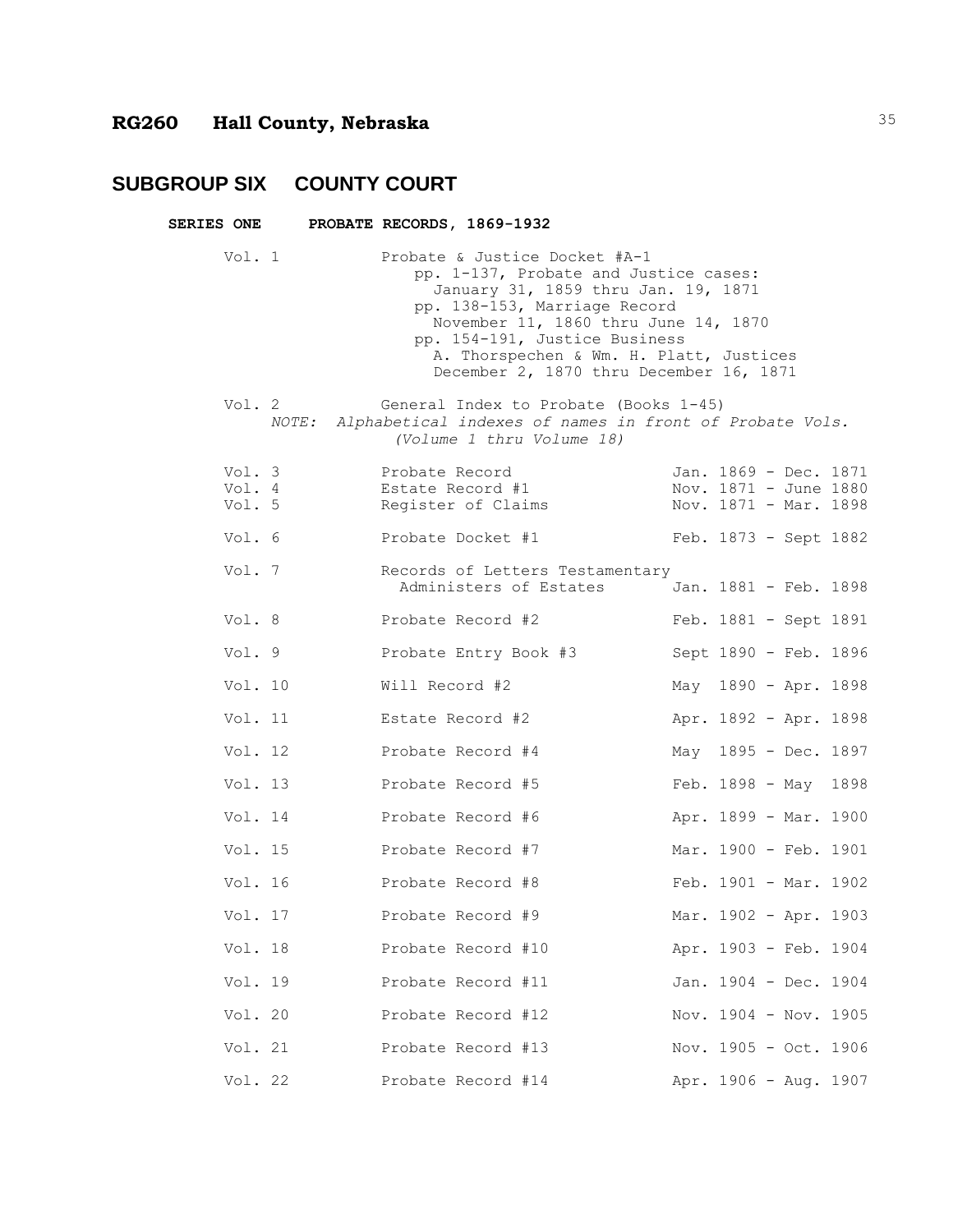## **SUBGROUP SIX COUNTY COURT**

| <b>SERIES ONE</b> |                            | PROBATE RECORDS, 1869-1932                               |                                                                                                                                                                                                                                                                                                              |                                                                         |  |  |
|-------------------|----------------------------|----------------------------------------------------------|--------------------------------------------------------------------------------------------------------------------------------------------------------------------------------------------------------------------------------------------------------------------------------------------------------------|-------------------------------------------------------------------------|--|--|
|                   | Vol. 1                     |                                                          | Probate & Justice Docket #A-1<br>pp. 1-137, Probate and Justice cases:<br>January 31, 1859 thru Jan. 19, 1871<br>pp. 138-153, Marriage Record<br>November 11, 1860 thru June 14, 1870<br>pp. 154-191, Justice Business<br>A. Thorspechen & Wm. H. Platt, Justices<br>December 2, 1870 thru December 16, 1871 |                                                                         |  |  |
|                   | Vol. $2$                   | (Volume 1 thru Volume 18)                                | General Index to Probate (Books 1-45)<br>NOTE: Alphabetical indexes of names in front of Probate Vols.                                                                                                                                                                                                       |                                                                         |  |  |
|                   | Vol. 3<br>Vol. 4<br>Vol. 5 | Probate Record<br>Estate Record #1<br>Register of Claims |                                                                                                                                                                                                                                                                                                              | Jan. 1869 - Dec. 1871<br>Nov. 1871 - June 1880<br>Nov. 1871 - Mar. 1898 |  |  |
|                   | Vol. 6                     | Probate Docket #1                                        |                                                                                                                                                                                                                                                                                                              | Feb. 1873 - Sept 1882                                                   |  |  |
|                   | Vol. 7                     |                                                          | Records of Letters Testamentary<br>Administers of Estates                                                                                                                                                                                                                                                    | Jan. 1881 - Feb. 1898                                                   |  |  |
|                   | Vol. 8                     | Probate Record #2                                        |                                                                                                                                                                                                                                                                                                              | Feb. 1881 - Sept 1891                                                   |  |  |
|                   | Vol. 9                     | Probate Entry Book #3                                    |                                                                                                                                                                                                                                                                                                              | Sept 1890 - Feb. 1896                                                   |  |  |
|                   | Vol. 10                    | Will Record #2                                           |                                                                                                                                                                                                                                                                                                              | May 1890 - Apr. 1898                                                    |  |  |
|                   | Vol. 11                    | Estate Record #2                                         |                                                                                                                                                                                                                                                                                                              | Apr. 1892 - Apr. 1898                                                   |  |  |
|                   | Vol. 12                    | Probate Record #4                                        |                                                                                                                                                                                                                                                                                                              | May 1895 - Dec. 1897                                                    |  |  |
|                   | Vol. 13                    | Probate Record #5                                        |                                                                                                                                                                                                                                                                                                              | Feb. 1898 - May 1898                                                    |  |  |
|                   | Vol. 14                    | Probate Record #6                                        |                                                                                                                                                                                                                                                                                                              | Apr. 1899 - Mar. 1900                                                   |  |  |
|                   | Vol. 15                    | Probate Record #7                                        |                                                                                                                                                                                                                                                                                                              | Mar. 1900 - Feb. 1901                                                   |  |  |
|                   | Vol. 16                    | Probate Record #8                                        |                                                                                                                                                                                                                                                                                                              | Feb. 1901 - Mar. 1902                                                   |  |  |
|                   | Vol. 17                    | Probate Record #9                                        |                                                                                                                                                                                                                                                                                                              | Mar. 1902 - Apr. 1903                                                   |  |  |
|                   | Vol. 18                    | Probate Record #10                                       |                                                                                                                                                                                                                                                                                                              | Apr. 1903 - Feb. 1904                                                   |  |  |
|                   | Vol. 19                    | Probate Record #11                                       |                                                                                                                                                                                                                                                                                                              | Jan. 1904 - Dec. 1904                                                   |  |  |
|                   | Vol. 20                    | Probate Record #12                                       |                                                                                                                                                                                                                                                                                                              | Nov. 1904 - Nov. 1905                                                   |  |  |
|                   | Vol. 21                    | Probate Record #13                                       |                                                                                                                                                                                                                                                                                                              | Nov. 1905 - Oct. 1906                                                   |  |  |
|                   | Vol. 22                    | Probate Record #14                                       |                                                                                                                                                                                                                                                                                                              | Apr. 1906 - Aug. 1907                                                   |  |  |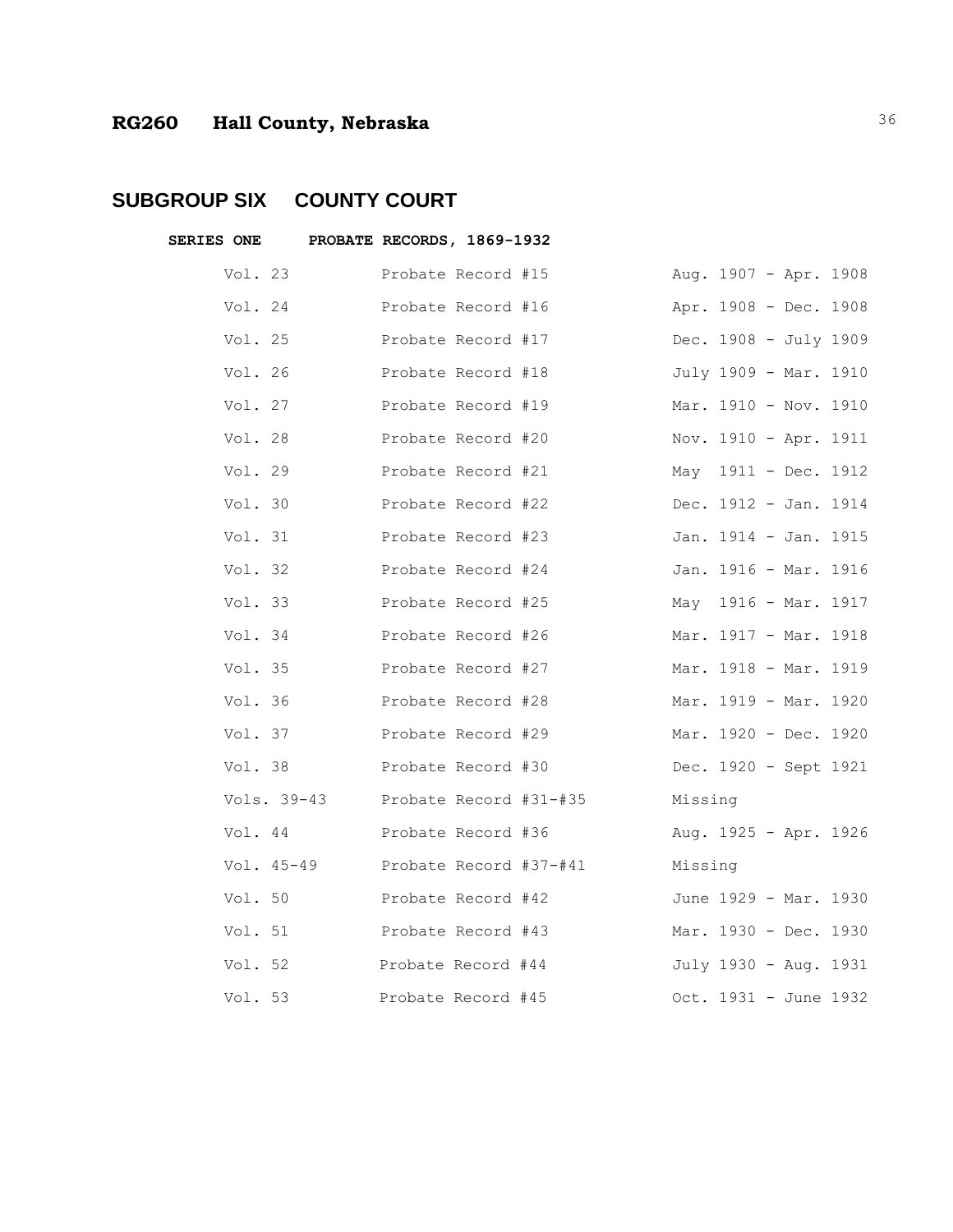## **SUBGROUP SIX COUNTY COURT**

| <b>SERIES ONE</b> |         |             | PROBATE RECORDS, 1869-1932 |                        |         |  |                        |  |
|-------------------|---------|-------------|----------------------------|------------------------|---------|--|------------------------|--|
|                   | Vol. 23 |             | Probate Record #15         |                        |         |  | Aug. 1907 - Apr. 1908  |  |
|                   | Vol. 24 |             | Probate Record #16         |                        |         |  | Apr. 1908 - Dec. 1908  |  |
|                   | Vol. 25 |             | Probate Record #17         |                        |         |  | Dec. 1908 - July 1909  |  |
|                   | Vol. 26 |             | Probate Record #18         |                        |         |  | July 1909 - Mar. 1910  |  |
|                   | Vol. 27 |             | Probate Record #19         |                        |         |  | Mar. 1910 - Nov. 1910  |  |
|                   | Vol. 28 |             | Probate Record #20         |                        |         |  | Nov. 1910 - Apr. 1911  |  |
|                   | Vol. 29 |             | Probate Record #21         |                        |         |  | May $1911 - Dec. 1912$ |  |
|                   | Vol. 30 |             | Probate Record #22         |                        |         |  | Dec. 1912 - Jan. 1914  |  |
|                   | Vol. 31 |             | Probate Record #23         |                        |         |  | Jan. 1914 - Jan. 1915  |  |
|                   | Vol. 32 |             | Probate Record #24         |                        |         |  | Jan. 1916 - Mar. 1916  |  |
|                   | Vol. 33 |             | Probate Record #25         |                        |         |  | May 1916 - Mar. 1917   |  |
|                   | Vol. 34 |             | Probate Record #26         |                        |         |  | Mar. 1917 - Mar. 1918  |  |
|                   | Vol. 35 |             | Probate Record #27         |                        |         |  | Mar. 1918 - Mar. 1919  |  |
|                   | Vol. 36 |             | Probate Record #28         |                        |         |  | Mar. 1919 - Mar. 1920  |  |
|                   | Vol. 37 |             | Probate Record #29         |                        |         |  | Mar. 1920 - Dec. 1920  |  |
|                   | Vol. 38 |             | Probate Record #30         |                        |         |  | Dec. 1920 - Sept 1921  |  |
|                   |         | Vols. 39-43 |                            | Probate Record #31-#35 | Missing |  |                        |  |
|                   | Vol. 44 |             | Probate Record #36         |                        |         |  | Aug. 1925 - Apr. 1926  |  |
|                   |         | Vol. 45-49  |                            | Probate Record #37-#41 | Missing |  |                        |  |
|                   | Vol. 50 |             | Probate Record #42         |                        |         |  | June 1929 - Mar. 1930  |  |
|                   | Vol. 51 |             | Probate Record #43         |                        |         |  | Mar. 1930 - Dec. 1930  |  |
|                   | Vol. 52 |             | Probate Record #44         |                        |         |  | July 1930 - Aug. 1931  |  |
|                   | Vol. 53 |             | Probate Record #45         |                        |         |  | Oct. 1931 - June 1932  |  |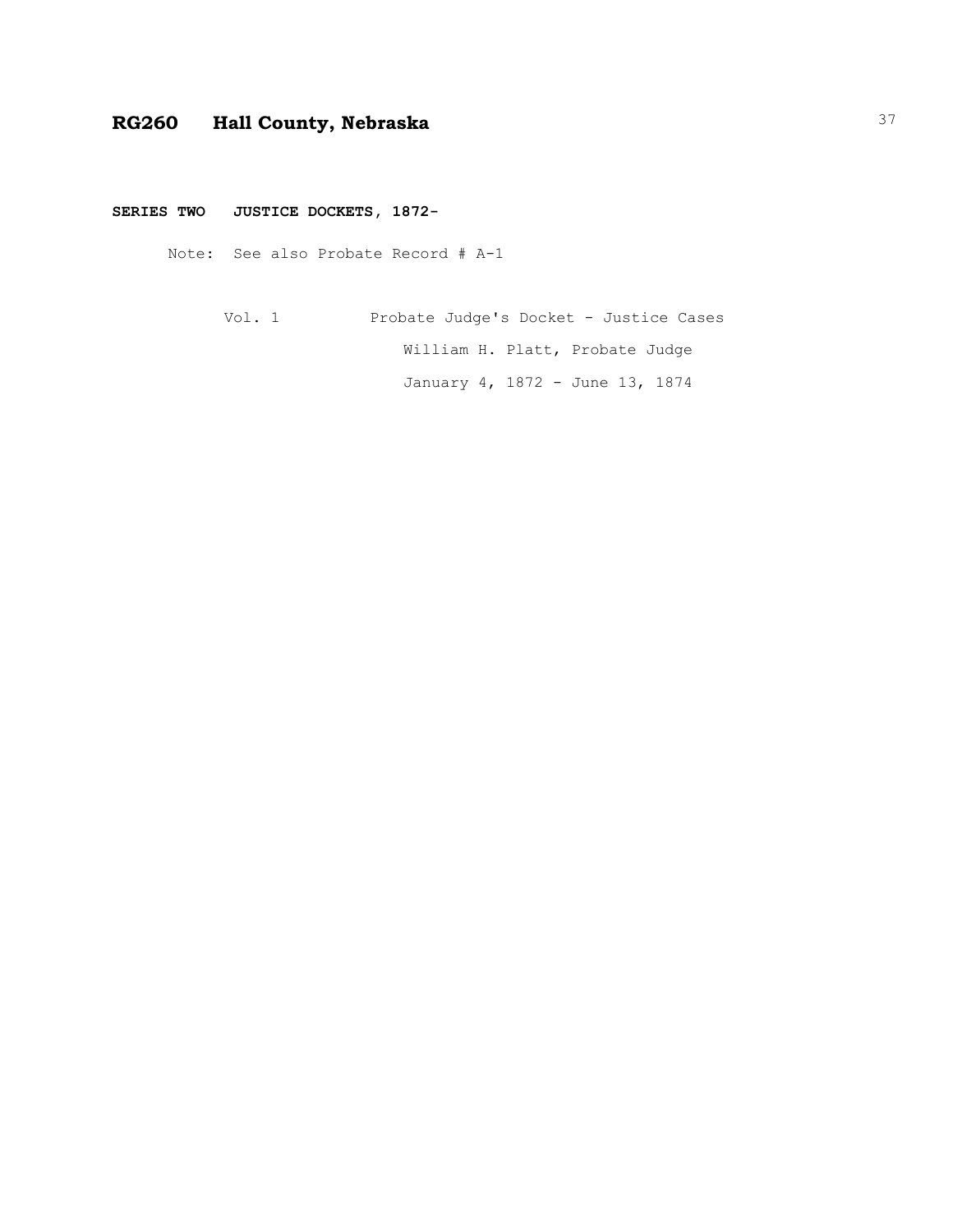#### **SERIES TWO JUSTICE DOCKETS, 1872-**

Note: See also Probate Record # A-1

Vol. 1 Probate Judge's Docket - Justice Cases William H. Platt, Probate Judge January 4, 1872 - June 13, 1874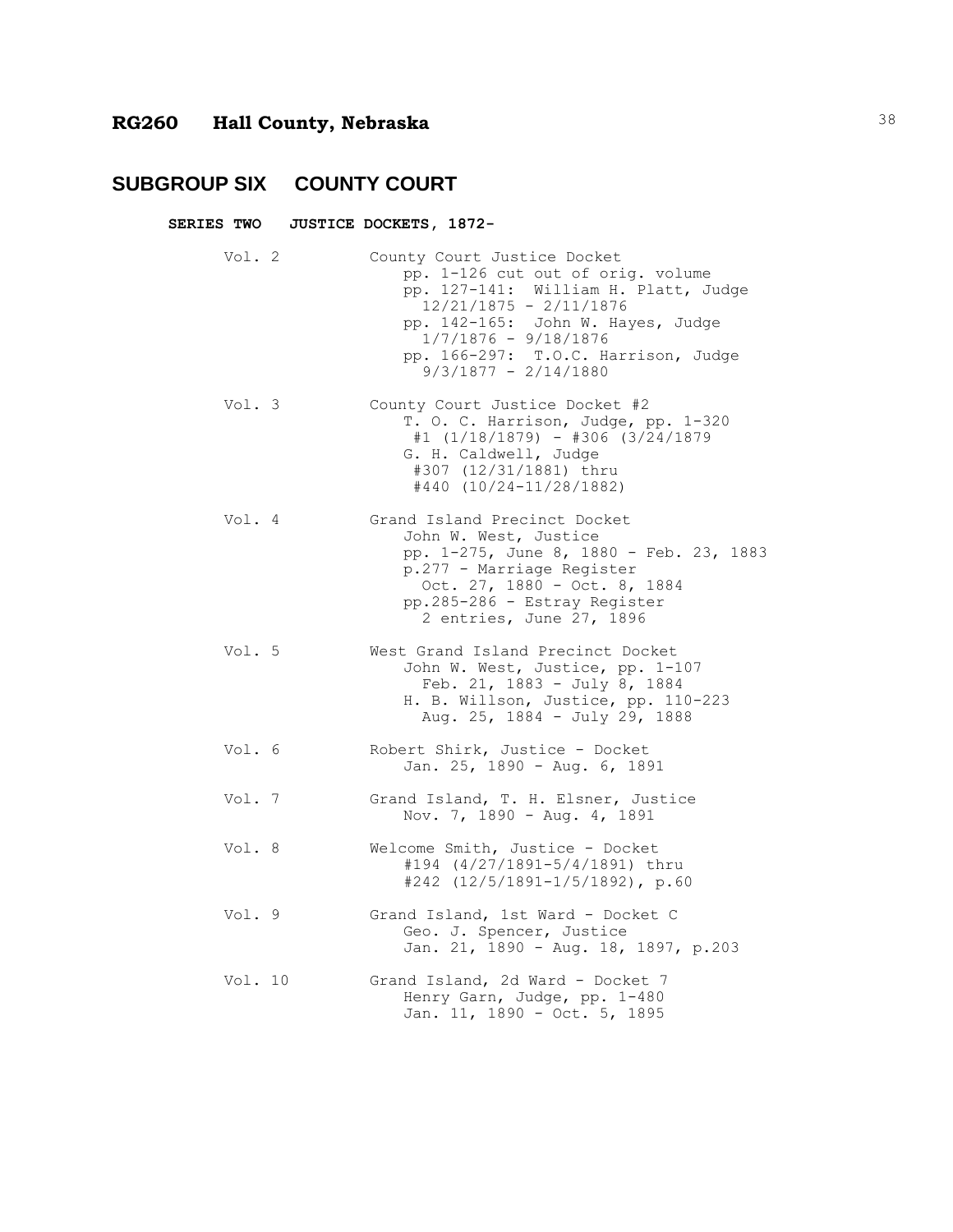#### **SUBGROUP SIX COUNTY COURT**

**SERIES TWO JUSTICE DOCKETS, 1872-**

Vol. 2 County Court Justice Docket pp. 1-126 cut out of orig. volume pp. 127-141: William H. Platt, Judge 12/21/1875 - 2/11/1876 pp. 142-165: John W. Hayes, Judge 1/7/1876 - 9/18/1876 pp. 166-297: T.O.C. Harrison, Judge 9/3/1877 - 2/14/1880 Vol. 3 County Court Justice Docket #2 T. O. C. Harrison, Judge, pp. 1-320 #1 (1/18/1879) - #306 (3/24/1879 G. H. Caldwell, Judge #307 (12/31/1881) thru #440 (10/24-11/28/1882) Vol. 4 Grand Island Precinct Docket John W. West, Justice pp. 1-275, June 8, 1880 - Feb. 23, 1883 p.277 - Marriage Register Oct. 27, 1880 - Oct. 8, 1884 pp.285-286 - Estray Register 2 entries, June 27, 1896 Vol. 5 West Grand Island Precinct Docket John W. West, Justice, pp. 1-107 Feb. 21, 1883 - July 8, 1884 H. B. Willson, Justice, pp. 110-223 Aug. 25, 1884 - July 29, 1888 Vol. 6 Robert Shirk, Justice - Docket Jan. 25, 1890 - Aug. 6, 1891 Vol. 7 Grand Island, T. H. Elsner, Justice Nov. 7, 1890 - Aug. 4, 1891 Vol. 8 Welcome Smith, Justice - Docket #194 (4/27/1891-5/4/1891) thru #242 (12/5/1891-1/5/1892), p.60 Vol. 9 Grand Island, 1st Ward - Docket C Geo. J. Spencer, Justice Jan. 21, 1890 - Aug. 18, 1897, p.203 Vol. 10 Grand Island, 2d Ward - Docket 7 Henry Garn, Judge, pp. 1-480 Jan. 11, 1890 - Oct. 5, 1895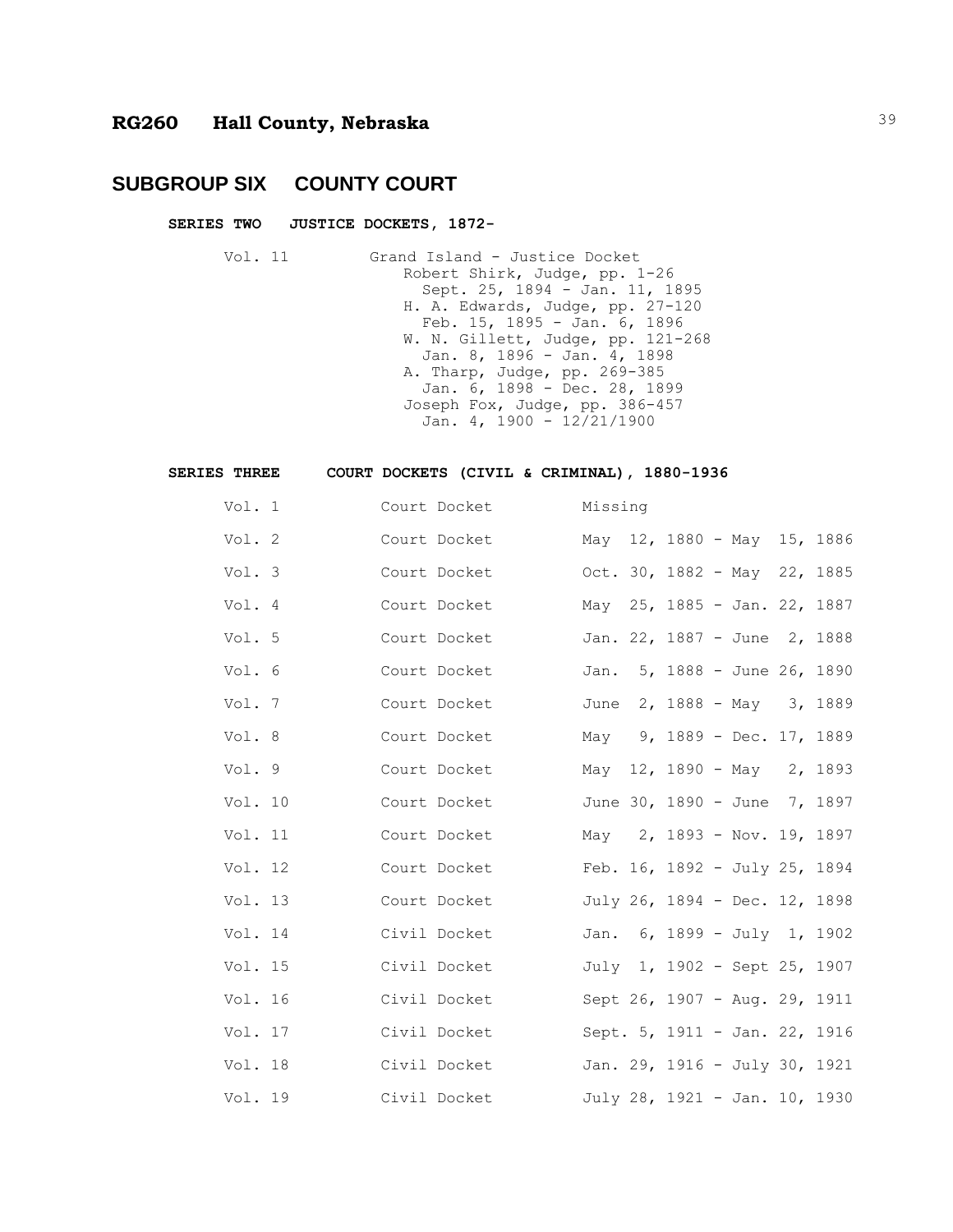#### **SUBGROUP SIX COUNTY COURT**

#### **SERIES TWO JUSTICE DOCKETS, 1872-**

Vol. 11 Grand Island - Justice Docket Robert Shirk, Judge, pp. 1-26 Sept. 25, 1894 - Jan. 11, 1895 H. A. Edwards, Judge, pp. 27-120 Feb. 15, 1895 - Jan. 6, 1896 W. N. Gillett, Judge, pp. 121-268 Jan. 8, 1896 - Jan. 4, 1898 A. Tharp, Judge, pp. 269-385 Jan. 6, 1898 - Dec. 28, 1899 Joseph Fox, Judge, pp. 386-457 Jan. 4, 1900 -  $12/21/1900$ 

#### **SERIES THREE COURT DOCKETS (CIVIL & CRIMINAL), 1880-1936**

| Vol. 1  |  | Court Docket | Missing                      |                                       |  |  |
|---------|--|--------------|------------------------------|---------------------------------------|--|--|
| Vol. 2  |  | Court Docket |                              | May 12, 1880 - May 15, 1886           |  |  |
| Vol. 3  |  | Court Docket | Oct. 30, 1882 - May 22, 1885 |                                       |  |  |
| Vol. 4  |  | Court Docket |                              | May 25, 1885 - Jan. 22, 1887          |  |  |
| Vol. 5  |  | Court Docket |                              | Jan. 22, 1887 - June 2, 1888          |  |  |
| Vol. 6  |  | Court Docket |                              | Jan. 5, 1888 - June 26, 1890          |  |  |
| Vol. 7  |  | Court Docket |                              | June 2, 1888 - May 3, 1889            |  |  |
| Vol. 8  |  | Court Docket |                              | May 9, 1889 - Dec. 17, 1889           |  |  |
| Vol. 9  |  | Court Docket |                              | May 12, 1890 - May 2, 1893            |  |  |
| Vol. 10 |  | Court Docket |                              | June 30, 1890 - June 7, 1897          |  |  |
| Vol. 11 |  | Court Docket |                              | May 2, 1893 - Nov. 19, 1897           |  |  |
| Vol. 12 |  | Court Docket |                              | Feb. $16$ , $1892 - July 25$ , $1894$ |  |  |
| Vol. 13 |  | Court Docket |                              | July 26, 1894 - Dec. 12, 1898         |  |  |
| Vol. 14 |  | Civil Docket |                              | Jan. 6, 1899 - July 1, 1902           |  |  |
| Vol. 15 |  | Civil Docket |                              | July 1, 1902 - Sept 25, 1907          |  |  |
| Vol. 16 |  | Civil Docket |                              | Sept 26, 1907 - Aug. 29, 1911         |  |  |
| Vol. 17 |  | Civil Docket |                              | Sept. 5, 1911 - Jan. 22, 1916         |  |  |
| Vol. 18 |  | Civil Docket |                              | Jan. 29, 1916 - July 30, 1921         |  |  |
| Vol. 19 |  | Civil Docket |                              | July 28, 1921 - Jan. 10, 1930         |  |  |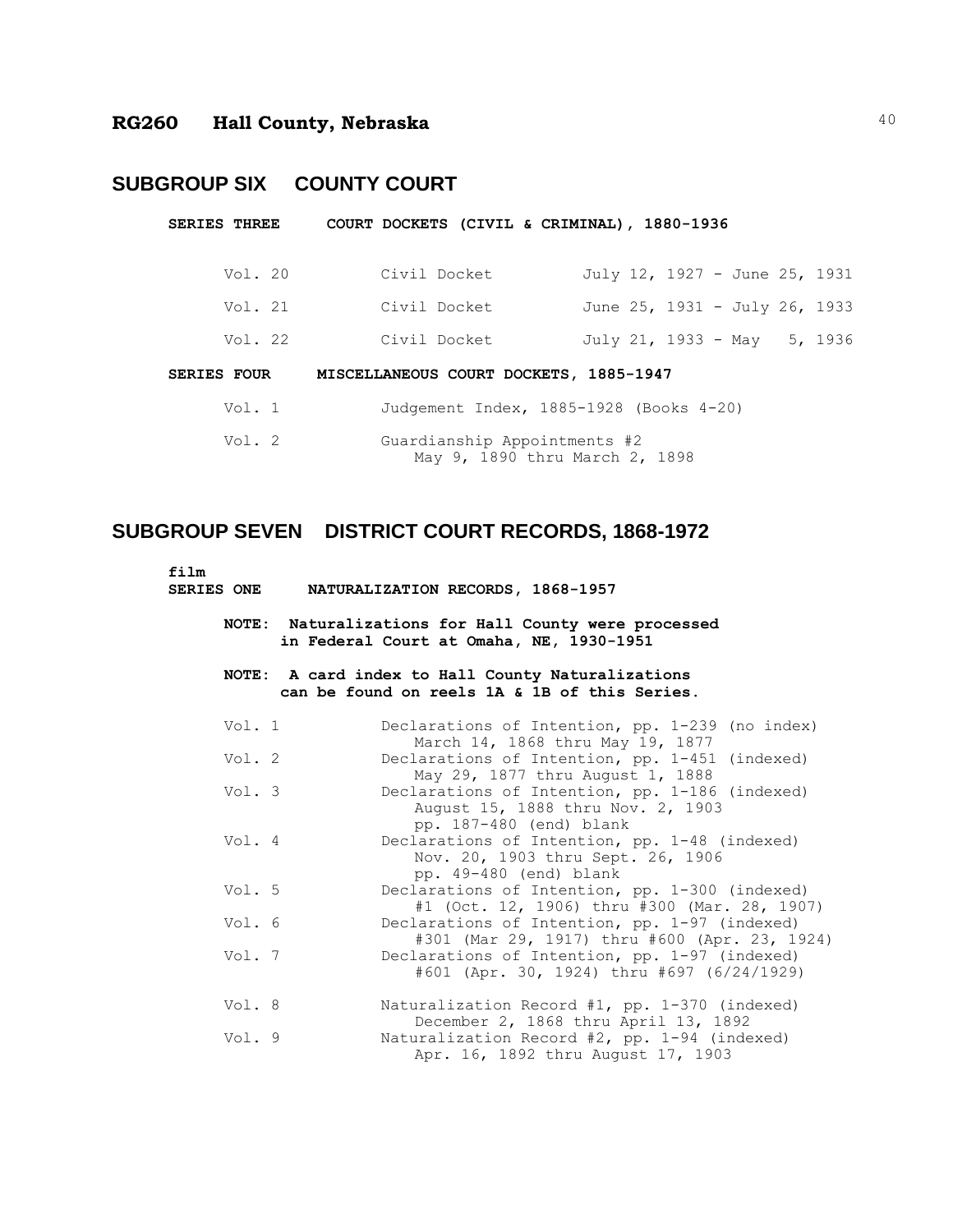## **SUBGROUP SIX COUNTY COURT**

| <b>SERIES THREE</b> |         |                                        | COURT DOCKETS (CIVIL & CRIMINAL), 1880-1936 |                                |  |  |                               |  |  |
|---------------------|---------|----------------------------------------|---------------------------------------------|--------------------------------|--|--|-------------------------------|--|--|
|                     | Vol. 20 |                                        | Civil Docket                                |                                |  |  | July 12, 1927 - June 25, 1931 |  |  |
|                     | Vol. 21 |                                        | Civil Docket                                |                                |  |  | June 25, 1931 - July 26, 1933 |  |  |
|                     | Vol. 22 |                                        | Civil Docket                                |                                |  |  | July 21, 1933 - May 5, 1936   |  |  |
| <b>SERIES FOUR</b>  |         | MISCELLANEOUS COURT DOCKETS, 1885-1947 |                                             |                                |  |  |                               |  |  |
|                     | Vol. 1  |                                        | Judgement Index, 1885-1928 (Books 4-20)     |                                |  |  |                               |  |  |
|                     | Vol. 2  |                                        | Guardianship Appointments #2                | May 9, 1890 thru March 2, 1898 |  |  |                               |  |  |

# **SUBGROUP SEVEN DISTRICT COURT RECORDS, 1868-1972**

film<br>SERIES ONE **SERIES ONE NATURALIZATION RECORDS, 1868-1957**

> **NOTE: Naturalizations for Hall County were processed in Federal Court at Omaha, NE, 1930-1951**

#### **NOTE: A card index to Hall County Naturalizations can be found on reels 1A & 1B of this Series.**

| Vol. 1 | Declarations of Intention, pp. 1-239 (no index)<br>March 14, 1868 thru May 19, 1877                            |
|--------|----------------------------------------------------------------------------------------------------------------|
| Vol. 2 | Declarations of Intention, pp. 1-451 (indexed)<br>May 29, 1877 thru August 1, 1888                             |
| Vol. 3 | Declarations of Intention, pp. 1-186 (indexed)<br>August 15, 1888 thru Nov. 2, 1903<br>pp. 187-480 (end) blank |
| Vol. 4 | Declarations of Intention, pp. 1-48 (indexed)<br>Nov. 20, 1903 thru Sept. 26, 1906<br>pp. 49-480 (end) blank   |
| Vol. 5 | Declarations of Intention, pp. 1-300 (indexed)<br>#1 (Oct. 12, 1906) thru #300 (Mar. 28, 1907)                 |
| Vol. 6 | Declarations of Intention, pp. 1-97 (indexed)<br>#301 (Mar 29, 1917) thru #600 (Apr. 23, 1924)                 |
| Vol.7  | Declarations of Intention, pp. 1-97 (indexed)<br>#601 (Apr. 30, 1924) thru #697 (6/24/1929)                    |
| Vol. 8 | Naturalization Record #1, pp. $1-370$ (indexed)<br>December 2, 1868 thru April 13, 1892                        |
| Vol. 9 | Naturalization Record $#2$ , pp. 1-94 (indexed)<br>Apr. 16, 1892 thru August 17, 1903                          |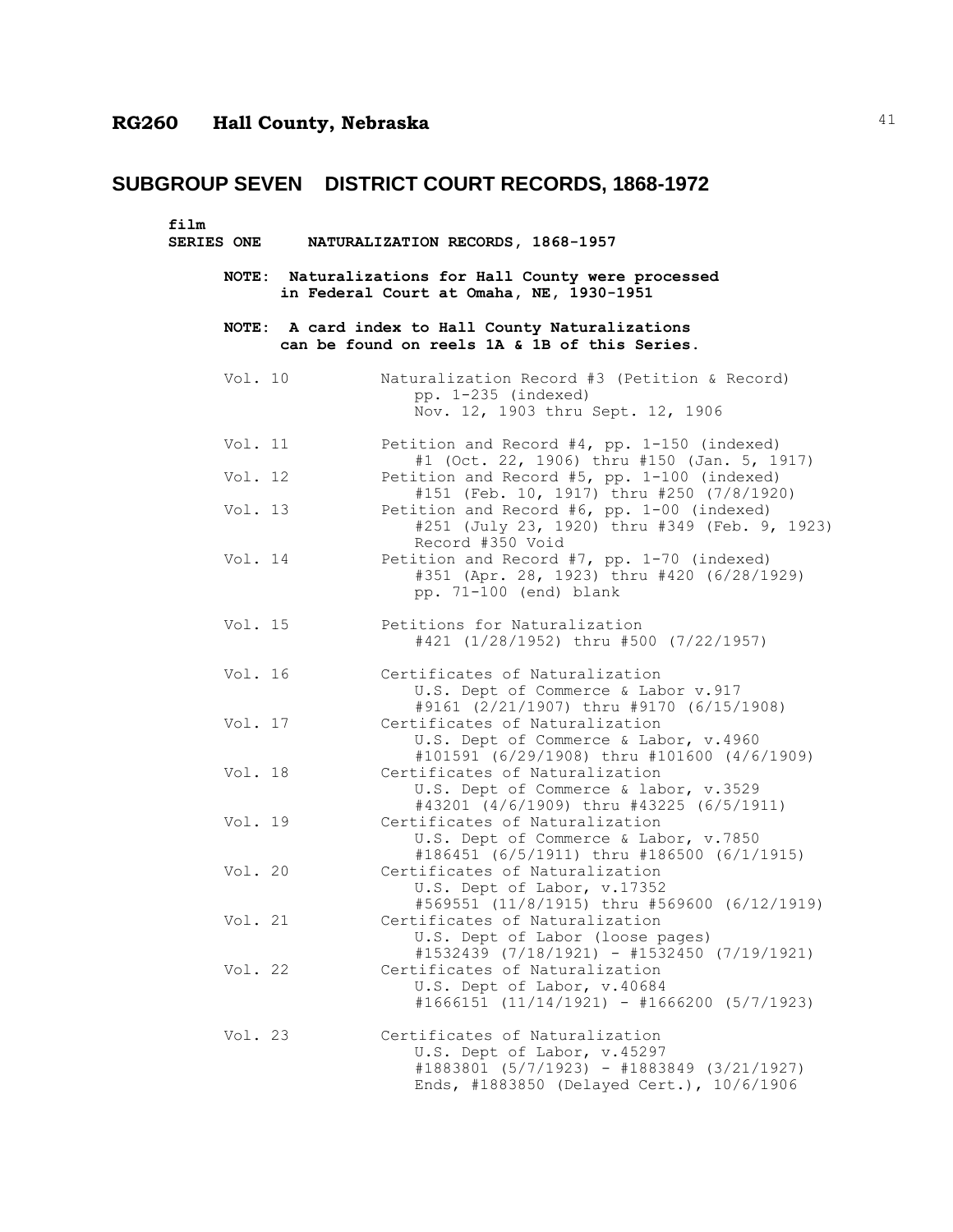| film<br><b>SERIES ONE</b> | NATURALIZATION RECORDS, 1868-1957                                                                                                                        |
|---------------------------|----------------------------------------------------------------------------------------------------------------------------------------------------------|
|                           | NOTE: Naturalizations for Hall County were processed<br>in Federal Court at Omaha, NE, 1930-1951                                                         |
|                           | NOTE: A card index to Hall County Naturalizations<br>can be found on reels 1A & 1B of this Series.                                                       |
| Vol. 10                   | Naturalization Record #3 (Petition & Record)<br>pp. 1-235 (indexed)<br>Nov. 12, 1903 thru Sept. 12, 1906                                                 |
| Vol. 11                   | Petition and Record #4, pp. 1-150 (indexed)<br>#1 (Oct. 22, 1906) thru #150 (Jan. 5, 1917)                                                               |
| Vol. 12                   | Petition and Record #5, pp. 1-100 (indexed)<br>#151 (Feb. 10, 1917) thru #250 (7/8/1920)                                                                 |
| Vol. 13                   | Petition and Record #6, pp. 1-00 (indexed)<br>#251 (July 23, 1920) thru #349 (Feb. 9, 1923)<br>Record #350 Void                                          |
| Vol. 14                   | Petition and Record #7, pp. 1-70 (indexed)<br>#351 (Apr. 28, 1923) thru #420 (6/28/1929)<br>pp. 71-100 (end) blank                                       |
| Vol. 15                   | Petitions for Naturalization<br>#421 (1/28/1952) thru #500 (7/22/1957)                                                                                   |
| Vol. 16                   | Certificates of Naturalization<br>U.S. Dept of Commerce & Labor v.917<br>#9161 (2/21/1907) thru #9170 (6/15/1908)                                        |
| Vol. 17                   | Certificates of Naturalization<br>U.S. Dept of Commerce & Labor, v.4960<br>#101591 (6/29/1908) thru #101600 (4/6/1909)                                   |
| Vol. 18                   | Certificates of Naturalization<br>U.S. Dept of Commerce & labor, v.3529<br>#43201 (4/6/1909) thru #43225 (6/5/1911)                                      |
| Vol. 19                   | Certificates of Naturalization<br>U.S. Dept of Commerce & Labor, v.7850<br>#186451 (6/5/1911) thru #186500 (6/1/1915)                                    |
| Vol. 20                   | Certificates of Naturalization<br>U.S. Dept of Labor, v.17352<br>#569551 (11/8/1915) thru #569600 (6/12/1919)                                            |
| Vol. 21                   | Certificates of Naturalization<br>U.S. Dept of Labor (loose pages)<br>#1532439 (7/18/1921) - #1532450 (7/19/1921)                                        |
| Vol. 22                   | Certificates of Naturalization<br>U.S. Dept of Labor, v.40684<br>$\#1666151$ (11/14/1921) - $\#1666200$ (5/7/1923)                                       |
| Vol. 23                   | Certificates of Naturalization<br>U.S. Dept of Labor, v.45297<br>#1883801 (5/7/1923) - #1883849 (3/21/1927)<br>Ends, #1883850 (Delayed Cert.), 10/6/1906 |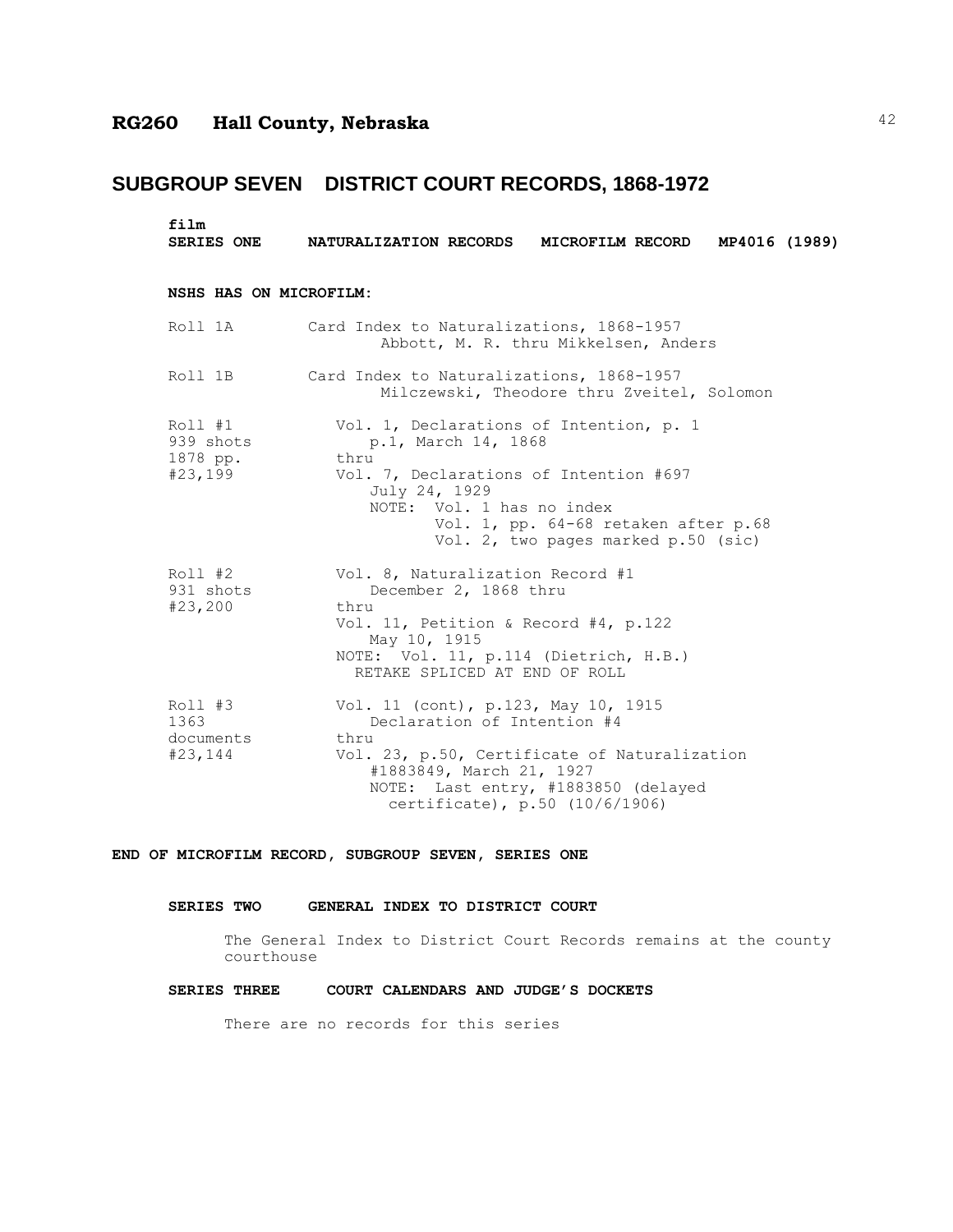## **SUBGROUP SEVEN DISTRICT COURT RECORDS, 1868-1972**

| film<br><b>SERIES ONE</b>                   | NATURALIZATION RECORDS MICROFILM RECORD MP4016 (1989)                                                                                                                                                                                         |
|---------------------------------------------|-----------------------------------------------------------------------------------------------------------------------------------------------------------------------------------------------------------------------------------------------|
| NSHS HAS ON MICROFILM:                      |                                                                                                                                                                                                                                               |
| Roll 1A                                     | Card Index to Naturalizations, 1868-1957<br>Abbott, M. R. thru Mikkelsen, Anders                                                                                                                                                              |
| Roll 1B                                     | Card Index to Naturalizations, 1868-1957<br>Milczewski, Theodore thru Zveitel, Solomon                                                                                                                                                        |
| Roll #1<br>939 shots<br>1878 pp.<br>#23,199 | Vol. 1, Declarations of Intention, p. 1<br>p.1, March 14, 1868<br>thru<br>Vol. 7, Declarations of Intention #697<br>July 24, 1929<br>NOTE: Vol. 1 has no index<br>Vol. 1, pp. 64-68 retaken after p.68<br>Vol. 2, two pages marked p.50 (sic) |
| Roll #2<br>931 shots<br>#23,200             | Vol. 8, Naturalization Record #1<br>December 2, 1868 thru<br>thru<br>Vol. 11, Petition & Record #4, p.122<br>May 10, 1915<br>NOTE: Vol. 11, p.114 (Dietrich, H.B.)<br>RETAKE SPLICED AT END OF ROLL                                           |
| Roll #3<br>1363<br>documents<br>#23, 144    | Vol. 11 (cont), p.123, May 10, 1915<br>Declaration of Intention #4<br>thru<br>Vol. 23, p.50, Certificate of Naturalization<br>#1883849, March 21, 1927<br>NOTE: Last entry, #1883850 (delayed<br>certificate), p.50 (10/6/1906)               |

**END OF MICROFILM RECORD, SUBGROUP SEVEN, SERIES ONE**

#### **SERIES TWO GENERAL INDEX TO DISTRICT COURT**

The General Index to District Court Records remains at the county courthouse

#### **SERIES THREE COURT CALENDARS AND JUDGE'S DOCKETS**

There are no records for this series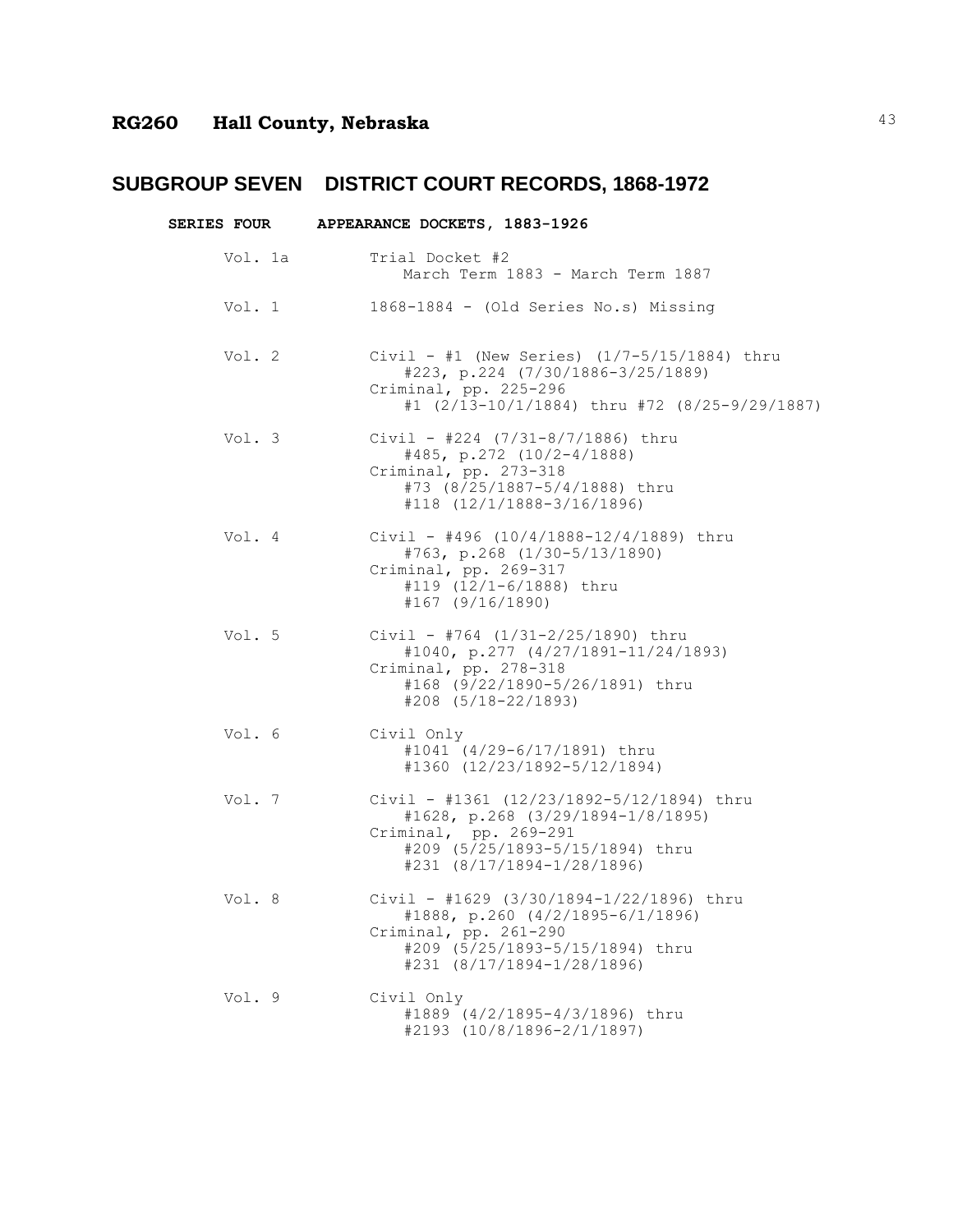|         | SERIES FOUR APPEARANCE DOCKETS, 1883-1926                                                                                                                                        |
|---------|----------------------------------------------------------------------------------------------------------------------------------------------------------------------------------|
| Vol. 1a | Trial Docket #2<br>March Term 1883 - March Term 1887                                                                                                                             |
| Vol. 1  | 1868-1884 - (Old Series No.s) Missing                                                                                                                                            |
| Vol. 2  | Civil - #1 (New Series) $(1/7-5/15/1884)$ thru<br>$#223, p.224 (7/30/1886-3/25/1889)$<br>Criminal, pp. 225-296<br>#1 (2/13-10/1/1884) thru #72 (8/25-9/29/1887)                  |
| Vol. 3  | Civil - #224 $(7/31-8/7/1886)$ thru<br>$\#485$ , p.272 (10/2-4/1888)<br>Criminal, pp. 273-318<br>#73 (8/25/1887-5/4/1888) thru<br>#118 (12/1/1888-3/16/1896)                     |
| Vol. 4  | Civil - #496 $(10/4/1888 - 12/4/1889)$ thru<br>#763, p.268 (1/30-5/13/1890)<br>Criminal, pp. 269-317<br>#119 (12/1-6/1888) thru<br>$#167$ (9/16/1890)                            |
| Vol. 5  | Civil - #764 $(1/31-2/25/1890)$ thru<br>#1040, p.277 (4/27/1891-11/24/1893)<br>Criminal, pp. 278-318<br>#168 (9/22/1890-5/26/1891) thru<br>$#208$ $(5/18-22/1893)$               |
| Vol. 6  | Civil Only<br>#1041 (4/29-6/17/1891) thru<br>#1360 (12/23/1892-5/12/1894)                                                                                                        |
| Vol. 7  | Civil - #1361 (12/23/1892-5/12/1894) thru<br>#1628, p.268 (3/29/1894-1/8/1895)<br>Criminal, pp. 269-291<br>#209 (5/25/1893-5/15/1894) thru<br>$#231$ $(8/17/1894 - 1/28/1896)$   |
| Vol. 8  | Civil - #1629 (3/30/1894-1/22/1896) thru<br>#1888, p.260 (4/2/1895-6/1/1896)<br>Criminal, pp. 261-290<br>#209 (5/25/1893-5/15/1894) thru<br>$\text{\#231}$ (8/17/1894-1/28/1896) |
| Vol. 9  | Civil Only<br>#1889 (4/2/1895-4/3/1896) thru<br>#2193 (10/8/1896-2/1/1897)                                                                                                       |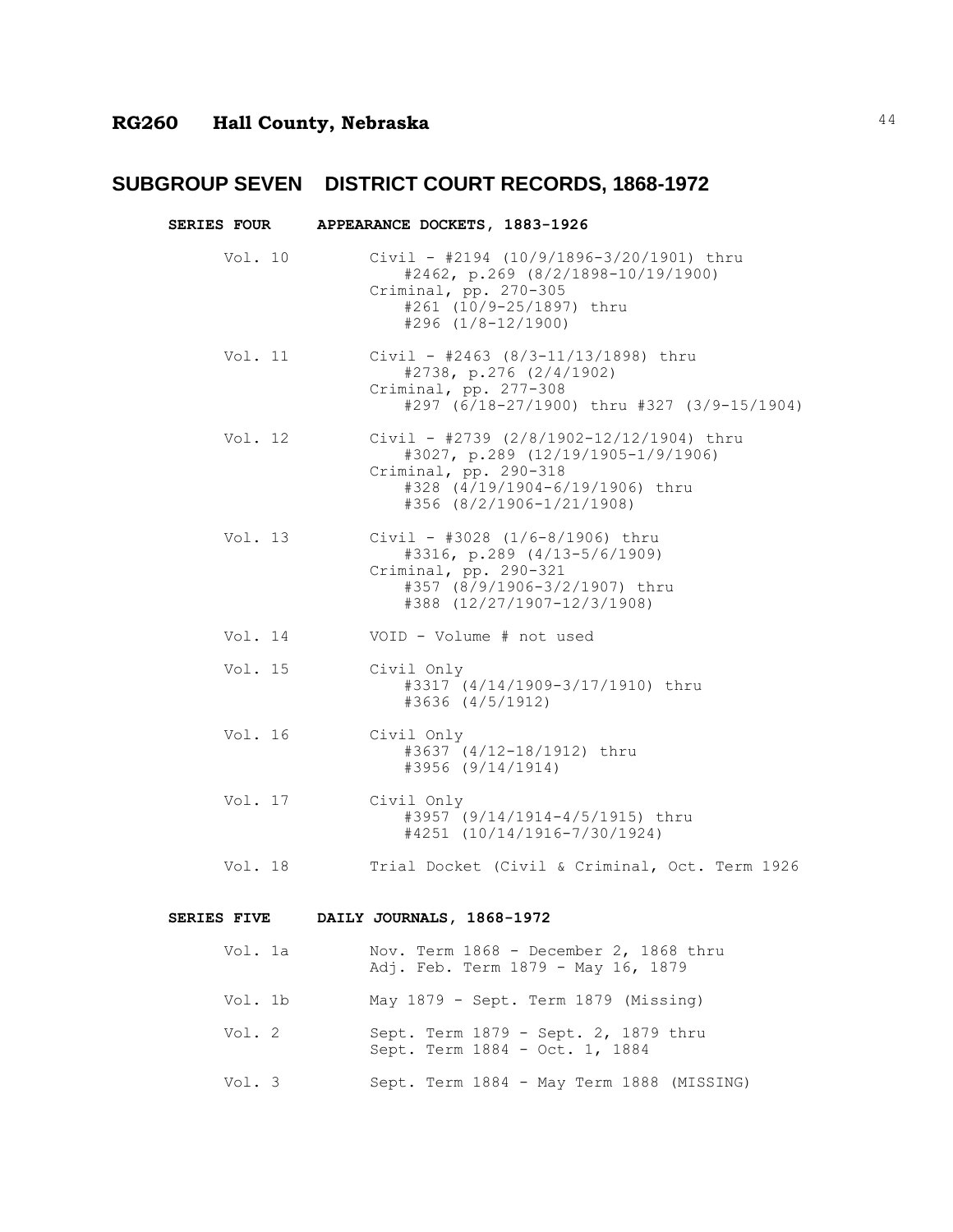| <b>SERIES FOUR</b> |                                                                                                                                                                         |
|--------------------|-------------------------------------------------------------------------------------------------------------------------------------------------------------------------|
| Vol. 10            | Civil - #2194 (10/9/1896-3/20/1901) thru<br>#2462, p.269 (8/2/1898-10/19/1900)<br>Criminal, pp. 270-305<br>#261 (10/9-25/1897) thru<br>$#296$ $(1/8-12/1900)$           |
| Vol. 11            | Civil - #2463 (8/3-11/13/1898) thru<br>#2738, p.276 (2/4/1902)<br>Criminal, pp. 277-308<br>#297 (6/18-27/1900) thru #327 (3/9-15/1904)                                  |
| Vol. 12            | Civil - #2739 (2/8/1902-12/12/1904) thru<br>#3027, p.289 (12/19/1905-1/9/1906)<br>Criminal, pp. 290-318<br>#328 (4/19/1904-6/19/1906) thru<br>#356 (8/2/1906-1/21/1908) |
| Vol. 13            | Civil - #3028 $(1/6-8/1906)$ thru<br>#3316, p.289 (4/13-5/6/1909)<br>Criminal, pp. 290-321<br>#357 (8/9/1906-3/2/1907) thru<br>#388 (12/27/1907-12/3/1908)              |
| Vol. 14            | VOID - Volume # not used                                                                                                                                                |
| Vol. 15            | Civil Only<br>#3317 (4/14/1909-3/17/1910) thru<br>#3636 (4/5/1912)                                                                                                      |
| Vol. 16            | Civil Only<br>#3637 (4/12-18/1912) thru<br>#3956 (9/14/1914)                                                                                                            |
| Vol. 17            | Civil Only<br>#3957 (9/14/1914-4/5/1915) thru<br>#4251 (10/14/1916-7/30/1924)                                                                                           |
| Vol. 18            | Trial Docket (Civil & Criminal, Oct. Term 1926                                                                                                                          |

#### **SERIES FIVE DAILY JOURNALS, 1868-1972**

| Vol. 1a | Nov. Term 1868 - December 2, 1868 thru<br>Adj. Feb. Term 1879 - May 16, 1879 |
|---------|------------------------------------------------------------------------------|
| Vol. 1b | May 1879 - Sept. Term 1879 (Missing)                                         |
| Vol. 2  | Sept. Term 1879 - Sept. 2, 1879 thru<br>Sept. Term 1884 - Oct. 1, 1884       |
| Vol. 3  | Sept. Term 1884 - May Term 1888 (MISSING)                                    |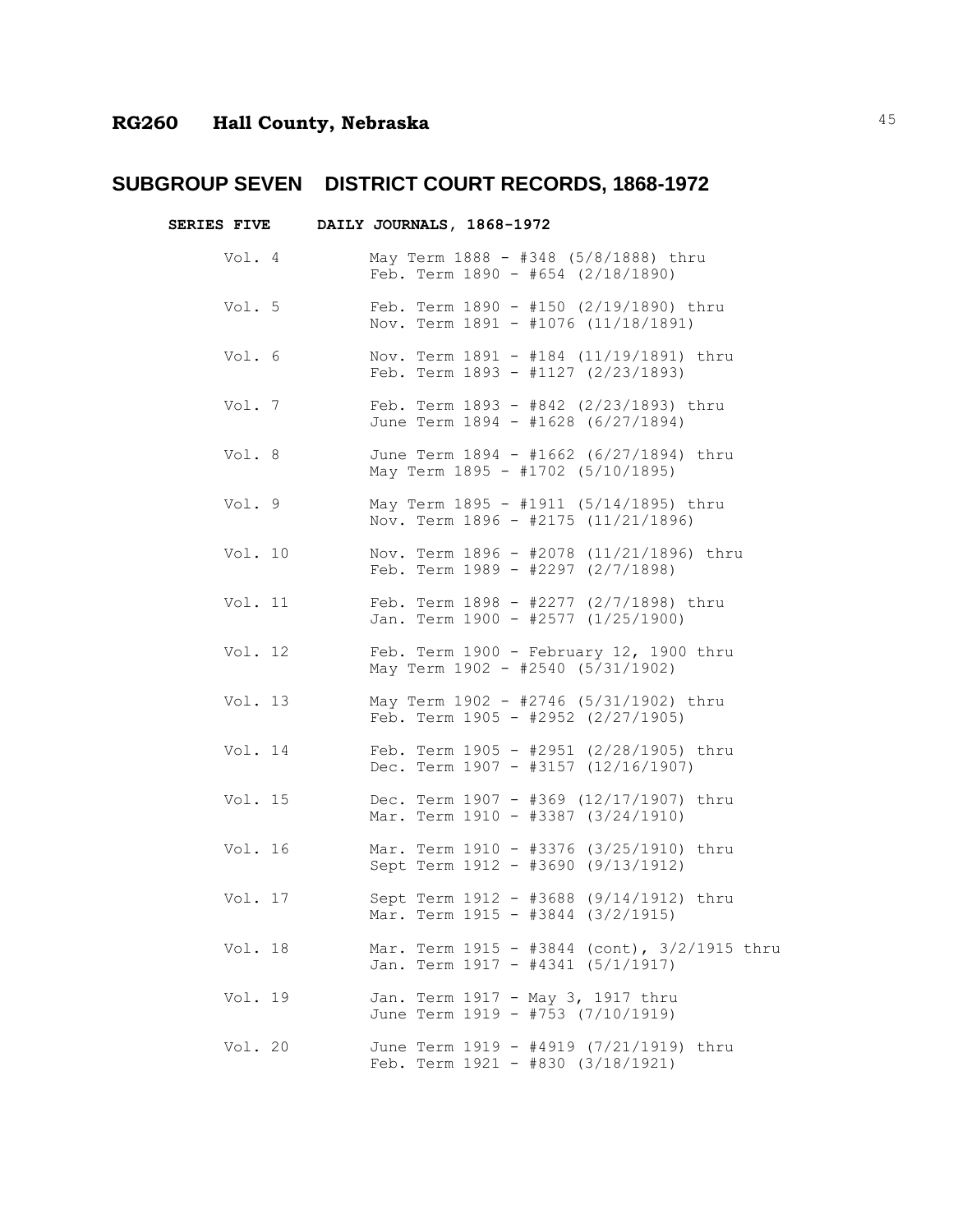| <b>SERIES FIVE</b> |          | DAILY JOURNALS, 1868-1972 |  |  |                                                                                  |  |                                              |  |
|--------------------|----------|---------------------------|--|--|----------------------------------------------------------------------------------|--|----------------------------------------------|--|
| Vol. 4             |          |                           |  |  | May Term 1888 - #348 (5/8/1888) thru<br>Feb. Term $1890 - #654$ (2/18/1890)      |  |                                              |  |
| Vol. 5             |          |                           |  |  | Feb. Term $1890 - 150$ (2/19/1890) thru<br>Nov. Term 1891 - #1076 (11/18/1891)   |  |                                              |  |
| Vol. 6             |          |                           |  |  | Nov. Term 1891 - #184 (11/19/1891) thru<br>Feb. Term 1893 - #1127 (2/23/1893)    |  |                                              |  |
|                    | Vol. $7$ |                           |  |  | Feb. Term 1893 - #842 (2/23/1893) thru<br>June Term 1894 - #1628 (6/27/1894)     |  |                                              |  |
| Vol. 8             |          |                           |  |  | June Term 1894 - #1662 (6/27/1894) thru<br>May Term 1895 - #1702 (5/10/1895)     |  |                                              |  |
|                    | Vol. 9   |                           |  |  | May Term 1895 - #1911 (5/14/1895) thru<br>Nov. Term 1896 - #2175 (11/21/1896)    |  |                                              |  |
|                    | Vol. 10  |                           |  |  | Feb. Term $1989 - 42297$ (2/7/1898)                                              |  | Nov. Term 1896 - #2078 (11/21/1896) thru     |  |
|                    | Vol. 11  |                           |  |  | Feb. Term $1898 - 277$ (2/7/1898) thru<br>Jan. Term 1900 - #2577 (1/25/1900)     |  |                                              |  |
|                    | Vol. 12  |                           |  |  | Feb. Term $1900$ - February 12, 1900 thru<br>May Term 1902 - #2540 (5/31/1902)   |  |                                              |  |
|                    | Vol. 13  |                           |  |  | May Term 1902 - #2746 (5/31/1902) thru<br>Feb. Term $1905 - 42952$ (2/27/1905)   |  |                                              |  |
|                    | Vol. 14  |                           |  |  | Feb. Term 1905 - #2951 (2/28/1905) thru<br>Dec. Term $1907 - 43157 (12/16/1907)$ |  |                                              |  |
|                    | Vol. 15  |                           |  |  | Dec. Term 1907 - #369 (12/17/1907) thru<br>Mar. Term 1910 - #3387 (3/24/1910)    |  |                                              |  |
|                    | Vol. 16  |                           |  |  | Mar. Term 1910 - #3376 (3/25/1910) thru<br>Sept Term 1912 - #3690 (9/13/1912)    |  |                                              |  |
| Vol. 17            |          |                           |  |  | Sept Term 1912 - #3688 (9/14/1912) thru<br>Mar. Term 1915 - #3844 (3/2/1915)     |  |                                              |  |
| Vol. 18            |          |                           |  |  | Jan. Term 1917 - #4341 (5/1/1917)                                                |  | Mar. Term 1915 - #3844 (cont), 3/2/1915 thru |  |
| Vol. 19            |          |                           |  |  | Jan. Term 1917 - May 3, 1917 thru<br>June Term 1919 - #753 (7/10/1919)           |  |                                              |  |
| Vol. 20            |          |                           |  |  | June Term 1919 - #4919 (7/21/1919) thru<br>Feb. Term 1921 - #830 (3/18/1921)     |  |                                              |  |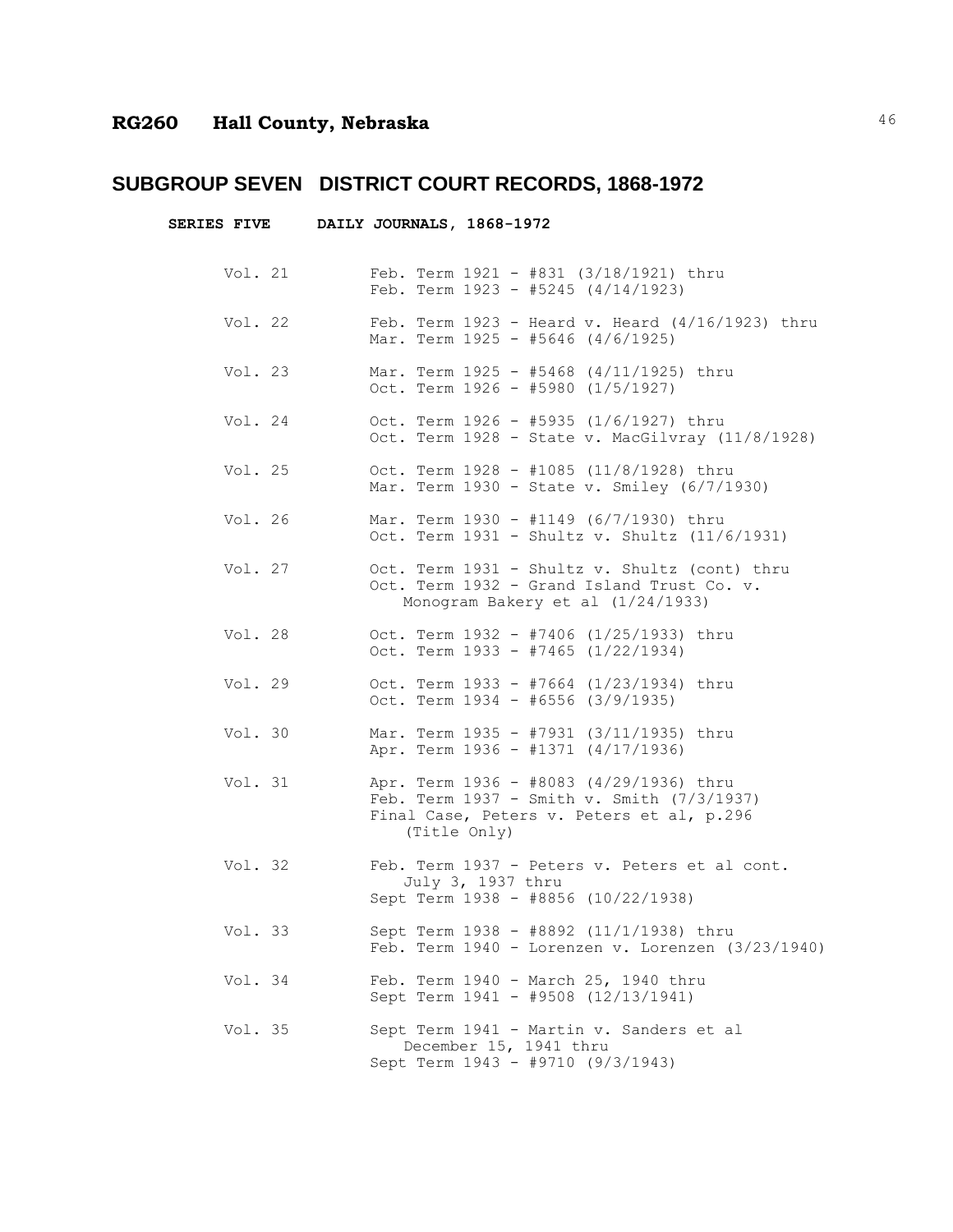|         | SERIES FIVE DAILY JOURNALS, 1868-1972 |                                                                                                                                                    |
|---------|---------------------------------------|----------------------------------------------------------------------------------------------------------------------------------------------------|
| Vol. 21 |                                       | Feb. Term 1921 - #831 (3/18/1921) thru<br>Feb. Term $1923 - #5245 (4/14/1923)$                                                                     |
| Vol. 22 |                                       | Feb. Term $1923$ - Heard v. Heard $(4/16/1923)$ thru<br>Mar. Term $1925 - #5646$ (4/6/1925)                                                        |
| Vol. 23 |                                       | Mar. Term 1925 - #5468 (4/11/1925) thru<br>Oct. Term $1926 - #5980$ (1/5/1927)                                                                     |
| Vol. 24 |                                       | Oct. Term 1926 - #5935 (1/6/1927) thru<br>Oct. Term 1928 - State v. MacGilvray (11/8/1928)                                                         |
| Vol. 25 |                                       | Oct. Term $1928 - #1085 (11/8/1928)$ thru<br>Mar. Term 1930 - State v. Smiley (6/7/1930)                                                           |
| Vol. 26 |                                       | Mar. Term 1930 - #1149 (6/7/1930) thru<br>Oct. Term 1931 - Shultz v. Shultz (11/6/1931)                                                            |
| Vol. 27 |                                       | Oct. Term 1931 - Shultz v. Shultz (cont) thru<br>Oct. Term 1932 - Grand Island Trust Co. v.<br>Monogram Bakery et al (1/24/1933)                   |
| Vol. 28 |                                       | Oct. Term 1932 - #7406 (1/25/1933) thru<br>Oct. Term 1933 - #7465 (1/22/1934)                                                                      |
| Vol. 29 |                                       | Oct. Term 1933 - #7664 (1/23/1934) thru<br>Oct. Term $1934 - 46556$ (3/9/1935)                                                                     |
| Vol. 30 |                                       | Mar. Term 1935 - #7931 (3/11/1935) thru<br>Apr. Term 1936 - #1371 (4/17/1936)                                                                      |
| Vol. 31 |                                       | Apr. Term 1936 - #8083 (4/29/1936) thru<br>Feb. Term 1937 - Smith v. Smith (7/3/1937)<br>Final Case, Peters v. Peters et al, p.296<br>(Title Only) |
| Vol. 32 |                                       | Feb. Term 1937 - Peters v. Peters et al cont.<br>July 3, 1937 thru<br>Sept Term 1938 - #8856 (10/22/1938)                                          |
| Vol. 33 |                                       | Sept Term 1938 - #8892 (11/1/1938) thru<br>Feb. Term $1940$ - Lorenzen v. Lorenzen (3/23/1940)                                                     |
| Vol. 34 |                                       | Feb. Term 1940 - March 25, 1940 thru<br>Sept Term 1941 - #9508 (12/13/1941)                                                                        |
| Vol. 35 |                                       | Sept Term 1941 - Martin v. Sanders et al<br>December 15, 1941 thru<br>Sept Term 1943 - #9710 (9/3/1943)                                            |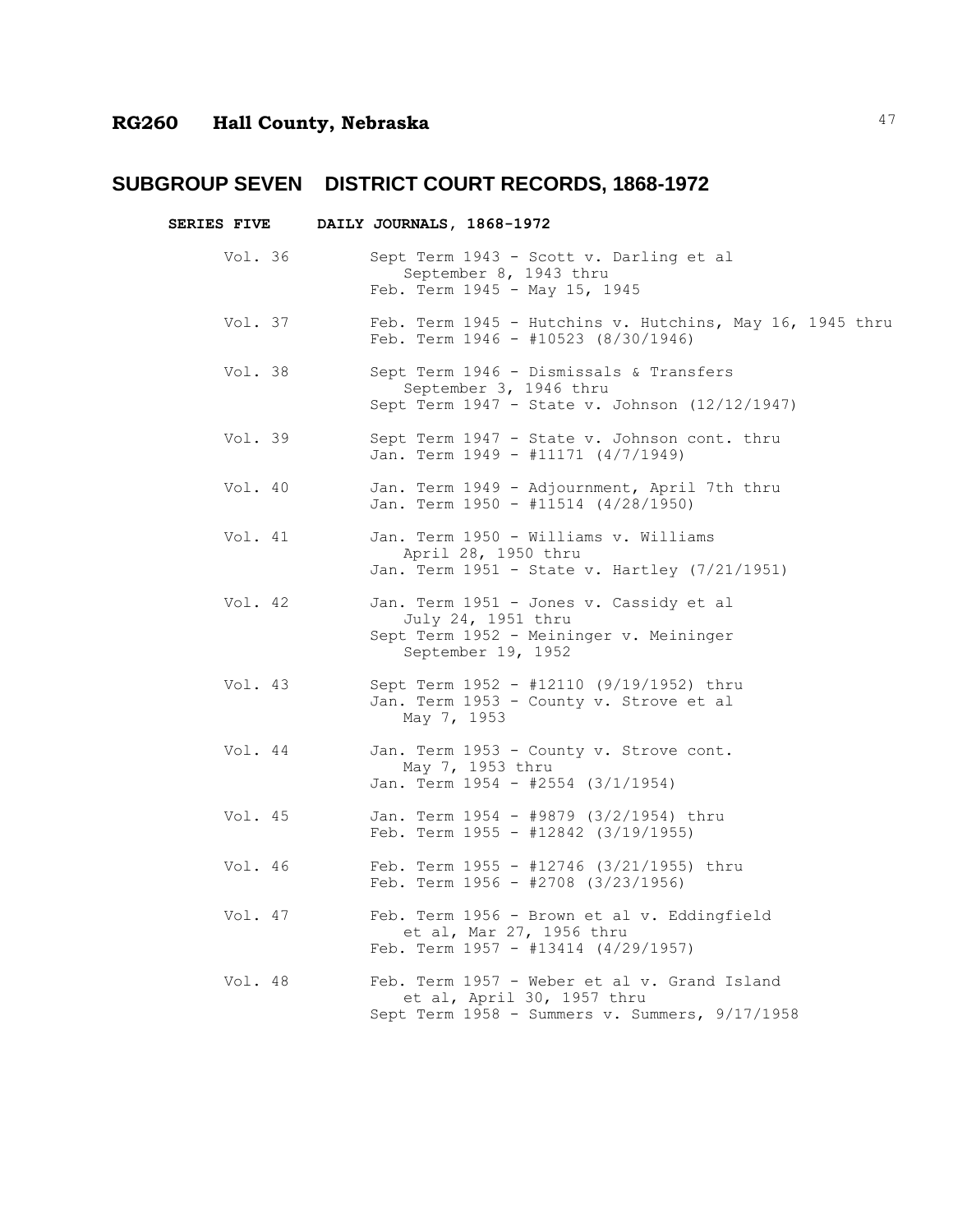|         | SERIES FIVE DAILY JOURNALS, 1868-1972                                                                                          |  |
|---------|--------------------------------------------------------------------------------------------------------------------------------|--|
| Vol. 36 | Sept Term 1943 - Scott v. Darling et al<br>September 8, 1943 thru<br>Feb. Term 1945 - May 15, 1945                             |  |
| Vol. 37 | Feb. Term 1945 - Hutchins v. Hutchins, May 16, 1945 thru<br>Feb. Term $1946 - 10523$ (8/30/1946)                               |  |
| Vol. 38 | Sept Term 1946 - Dismissals & Transfers<br>September 3, 1946 thru<br>Sept Term 1947 - State v. Johnson (12/12/1947)            |  |
| Vol. 39 | Sept Term 1947 - State v. Johnson cont. thru<br>Jan. Term 1949 - #11171 (4/7/1949)                                             |  |
| Vol. 40 | Jan. Term 1949 - Adjournment, April 7th thru<br>Jan. Term 1950 - #11514 (4/28/1950)                                            |  |
| Vol. 41 | Jan. Term 1950 - Williams v. Williams<br>April 28, 1950 thru<br>Jan. Term 1951 - State v. Hartley (7/21/1951)                  |  |
| Vol. 42 | Jan. Term 1951 - Jones v. Cassidy et al<br>July 24, 1951 thru<br>Sept Term 1952 - Meininger v. Meininger<br>September 19, 1952 |  |
| Vol. 43 | Sept Term 1952 - #12110 (9/19/1952) thru<br>Jan. Term 1953 - County v. Strove et al<br>May 7, 1953                             |  |
| Vol. 44 | Jan. Term 1953 - County v. Strove cont.<br>May 7, 1953 thru<br>Jan. Term 1954 - #2554 (3/1/1954)                               |  |
| Vol. 45 | Jan. Term 1954 - #9879 (3/2/1954) thru<br>Feb. Term $1955 - 12842$ (3/19/1955)                                                 |  |
| Vol. 46 | Feb. Term 1955 - #12746 (3/21/1955) thru<br>Feb. Term $1956 - 2708$ (3/23/1956)                                                |  |
| Vol. 47 | Feb. Term 1956 - Brown et al v. Eddingfield<br>et al, Mar 27, 1956 thru<br>Feb. Term $1957 - #13414$ (4/29/1957)               |  |
| Vol. 48 | Feb. Term 1957 - Weber et al v. Grand Island<br>et al, April 30, 1957 thru<br>Sept Term 1958 - Summers v. Summers, 9/17/1958   |  |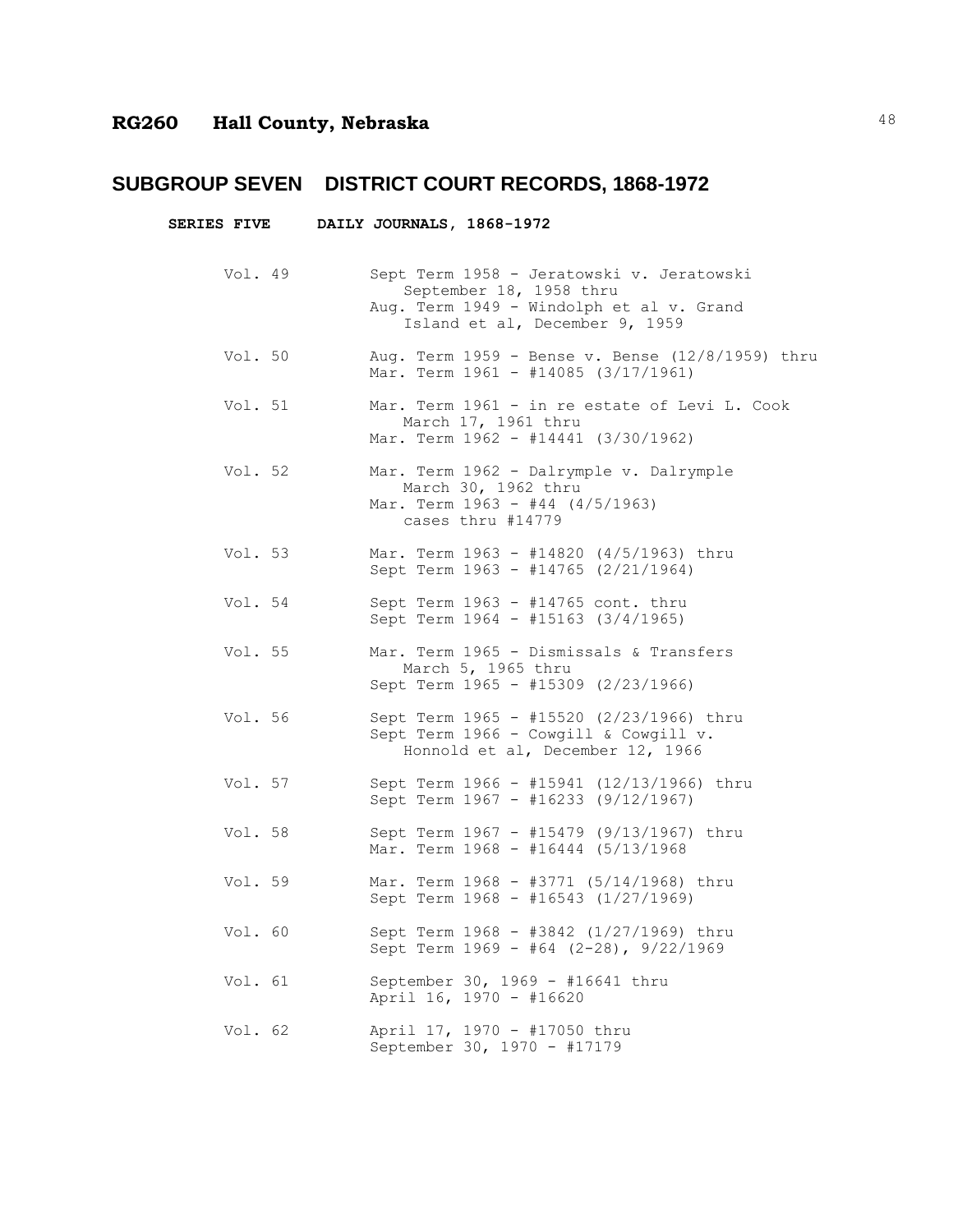|         | SERIES FIVE DAILY JOURNALS, 1868-1972                                                                                                              |  |
|---------|----------------------------------------------------------------------------------------------------------------------------------------------------|--|
| Vol. 49 | Sept Term 1958 - Jeratowski v. Jeratowski<br>September 18, 1958 thru<br>Aug. Term 1949 - Windolph et al v. Grand<br>Island et al, December 9, 1959 |  |
| Vol. 50 | Aug. Term 1959 - Bense v. Bense (12/8/1959) thru<br>Mar. Term 1961 - #14085 (3/17/1961)                                                            |  |
| Vol. 51 | Mar. Term 1961 - in re estate of Levi L. Cook<br>March 17, 1961 thru<br>Mar. Term 1962 - #14441 (3/30/1962)                                        |  |
| Vol. 52 | Mar. Term 1962 - Dalrymple v. Dalrymple<br>March 30, 1962 thru<br>Mar. Term 1963 - #44 (4/5/1963)<br>cases thru #14779                             |  |
| Vol. 53 | Mar. Term 1963 - #14820 (4/5/1963) thru<br>Sept Term 1963 - #14765 (2/21/1964)                                                                     |  |
| Vol. 54 | Sept Term 1963 - #14765 cont. thru<br>Sept Term 1964 - #15163 (3/4/1965)                                                                           |  |
| Vol. 55 | Mar. Term 1965 - Dismissals & Transfers<br>March 5, 1965 thru<br>Sept Term 1965 - #15309 (2/23/1966)                                               |  |
| Vol. 56 | Sept Term 1965 - #15520 (2/23/1966) thru<br>Sept Term 1966 - Cowgill & Cowgill v.<br>Honnold et al, December 12, 1966                              |  |
| Vol. 57 | Sept Term 1966 - #15941 (12/13/1966) thru<br>Sept Term 1967 - #16233 (9/12/1967)                                                                   |  |
| Vol. 58 | Sept Term 1967 - #15479 (9/13/1967) thru<br>Mar. Term 1968 - #16444 (5/13/1968                                                                     |  |
| Vol. 59 | Mar. Term 1968 - #3771 (5/14/1968) thru<br>Sept Term 1968 - #16543 (1/27/1969)                                                                     |  |
| Vol. 60 | Sept Term 1968 - #3842 (1/27/1969) thru<br>Sept Term 1969 - #64 (2-28), 9/22/1969                                                                  |  |
| Vol. 61 | September 30, 1969 - #16641 thru<br>April 16, 1970 - #16620                                                                                        |  |
| Vol. 62 | April 17, 1970 - #17050 thru<br>September 30, 1970 - #17179                                                                                        |  |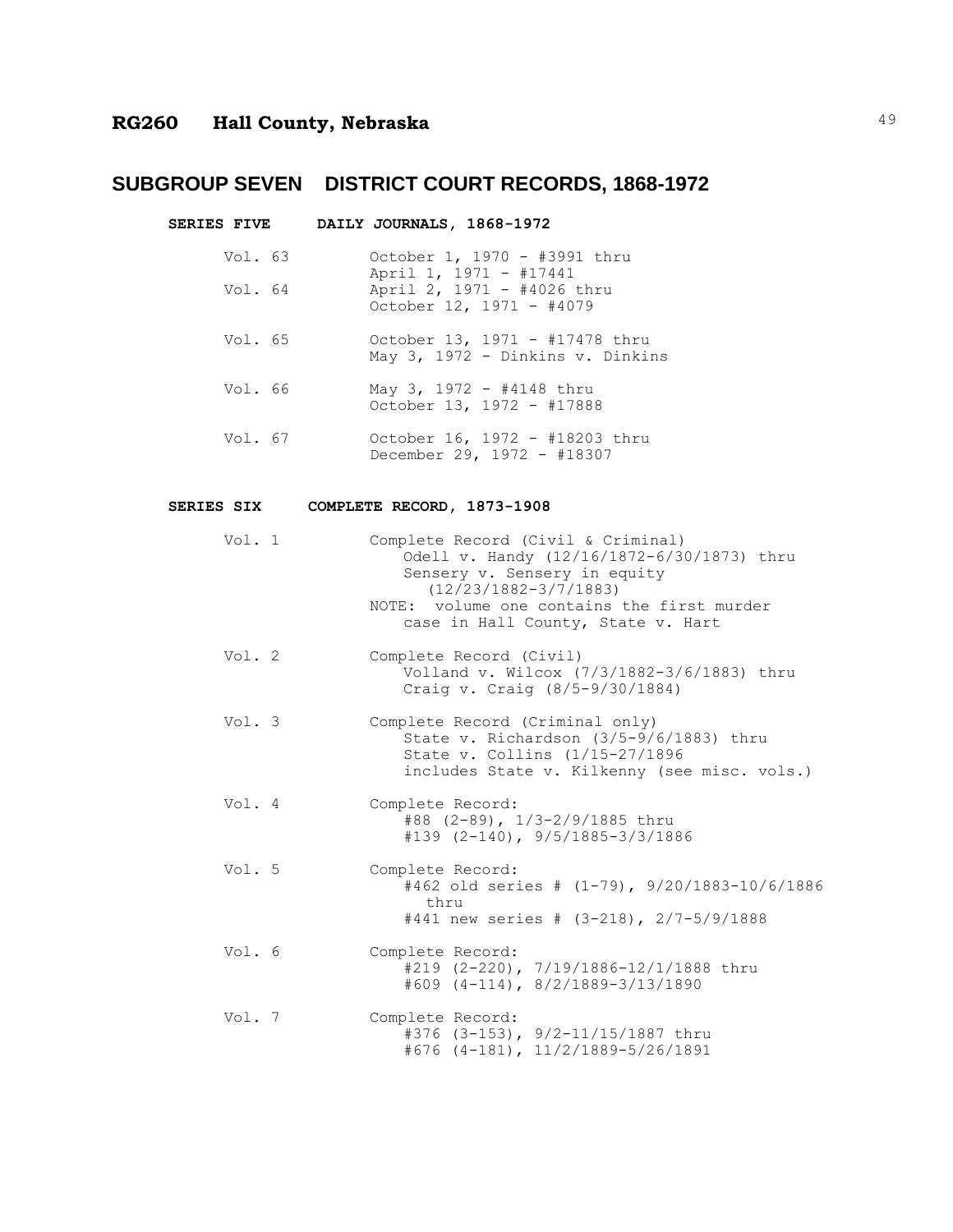**SERIES FIVE DAILY JOURNALS, 1868-1972**

- Vol. 63 October 1, 1970 #3991 thru April 1, 1971 - #17441 Vol. 64 April 2, 1971 - #4026 thru October 12, 1971 - #4079
- Vol. 65 October 13, 1971 #17478 thru May 3, 1972 - Dinkins v. Dinkins
- Vol. 66 May 3, 1972 #4148 thru October 13, 1972 - #17888
- Vol. 67 October 16, 1972 #18203 thru December 29, 1972 - #18307

#### **SERIES SIX COMPLETE RECORD, 1873-1908**

| Vol. 1 | Complete Record (Civil & Criminal)<br>Odell v. Handy (12/16/1872-6/30/1873) thru<br>Sensery v. Sensery in equity<br>$(12/23/1882 - 3/7/1883)$<br>NOTE: volume one contains the first murder<br>case in Hall County, State v. Hart |
|--------|-----------------------------------------------------------------------------------------------------------------------------------------------------------------------------------------------------------------------------------|
| Vol. 2 | Complete Record (Civil)<br>Volland v. Wilcox (7/3/1882-3/6/1883) thru<br>Craig v. Craig (8/5-9/30/1884)                                                                                                                           |
| Vol. 3 | Complete Record (Criminal only)<br>State v. Richardson (3/5-9/6/1883) thru<br>State v. Collins (1/15-27/1896<br>includes State v. Kilkenny (see misc. vols.)                                                                      |
| Vol. 4 | Complete Record:<br>#88 (2-89), 1/3-2/9/1885 thru<br>$\text{\#139}$ (2-140), 9/5/1885-3/3/1886                                                                                                                                    |
| Vol. 5 | Complete Record:<br>#462 old series # (1-79), 9/20/1883-10/6/1886<br>thru<br>#441 new series # (3-218), 2/7-5/9/1888                                                                                                              |
| Vol. 6 | Complete Record:<br>#219 (2-220), 7/19/1886-12/1/1888 thru<br>$\#609$ (4-114), 8/2/1889-3/13/1890                                                                                                                                 |
| Vol. 7 | Complete Record:<br>#376 (3-153), 9/2-11/15/1887 thru<br>$\#676$ (4-181), 11/2/1889-5/26/1891                                                                                                                                     |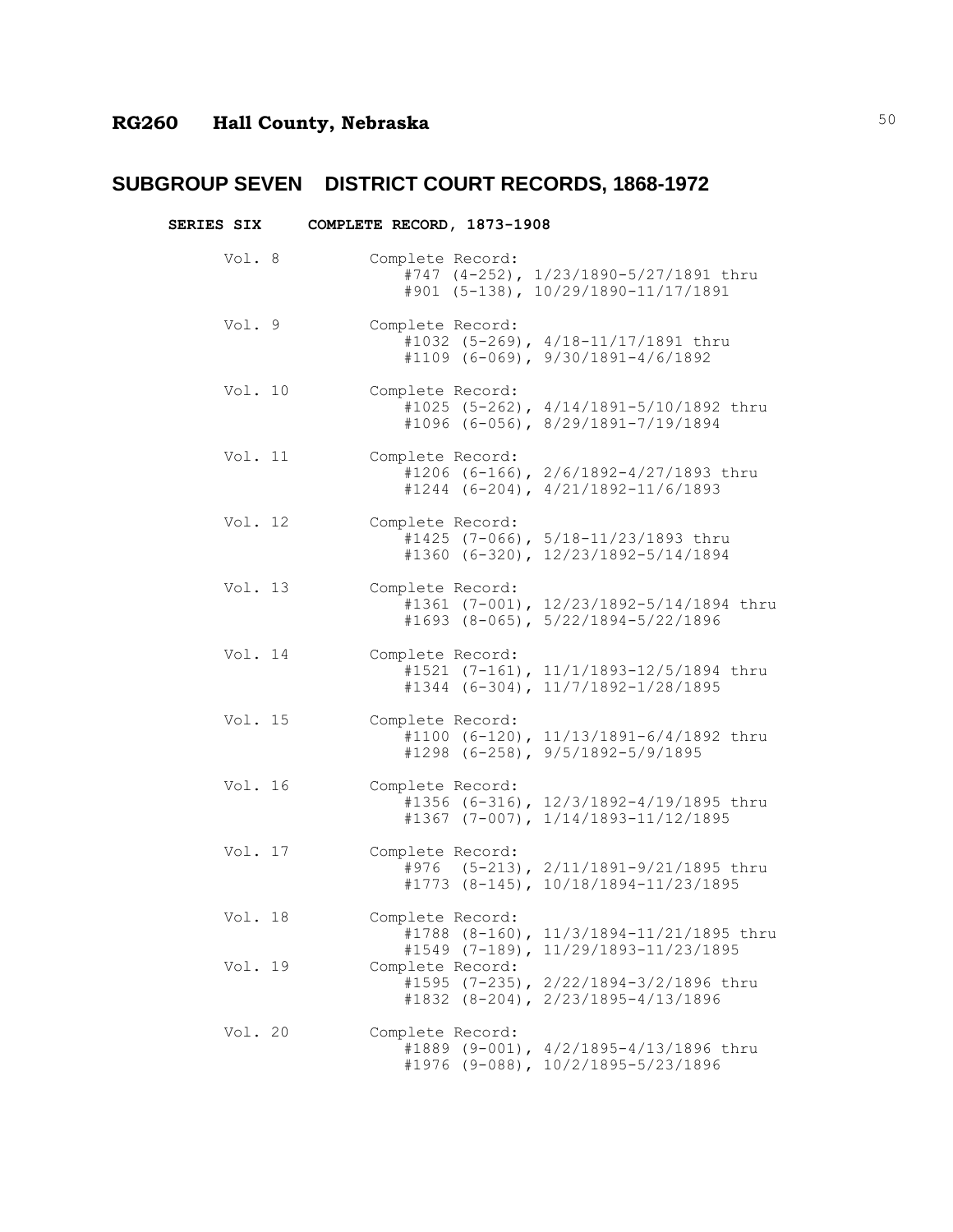| <b>SERIES SIX</b> | COMPLETE RECORD, 1873-1908                                                                                                               |
|-------------------|------------------------------------------------------------------------------------------------------------------------------------------|
| Vol. 8            | Complete Record:<br>#747 (4-252), 1/23/1890-5/27/1891 thru<br>#901 (5-138), 10/29/1890-11/17/1891                                        |
| Vol. 9            | Complete Record:<br>#1032 (5-269), 4/18-11/17/1891 thru<br>$\#1109$ (6-069), 9/30/1891-4/6/1892                                          |
| Vol. 10           | Complete Record:<br>#1025 (5-262), 4/14/1891-5/10/1892 thru<br>#1096 (6-056), 8/29/1891-7/19/1894                                        |
| Vol. 11           | Complete Record:<br>#1206 (6-166), 2/6/1892-4/27/1893 thru<br>$#1244$ (6-204), 4/21/1892-11/6/1893                                       |
| Vol. 12           | Complete Record:<br>#1425 (7-066), 5/18-11/23/1893 thru<br>#1360 (6-320), 12/23/1892-5/14/1894                                           |
| Vol. 13           | Complete Record:<br>#1361 (7-001), 12/23/1892-5/14/1894 thru<br>#1693 (8-065), 5/22/1894-5/22/1896                                       |
| Vol. 14           | Complete Record:<br>#1521 (7-161), 11/1/1893-12/5/1894 thru<br>$\text{\#1344}$ (6-304), 11/7/1892-1/28/1895                              |
| Vol. 15           | Complete Record:<br>#1100 (6-120), 11/13/1891-6/4/1892 thru<br>$\text{\#1298}$ (6-258), 9/5/1892-5/9/1895                                |
| Vol. 16           | Complete Record:<br>#1356 (6-316), 12/3/1892-4/19/1895 thru<br>$#1367$ (7-007), $1/14/1893-11/12/1895$                                   |
| Vol. 17           | Complete Record:<br>#976 (5-213), 2/11/1891-9/21/1895 thru<br>#1773 (8-145), 10/18/1894-11/23/1895                                       |
| Vol. 18           | Complete Record:<br>#1788 (8-160), 11/3/1894-11/21/1895 thru                                                                             |
| Vol. 19           | #1549 (7-189), 11/29/1893-11/23/1895<br>Complete Record:<br>#1595 (7-235), 2/22/1894-3/2/1896 thru<br>#1832 (8-204), 2/23/1895-4/13/1896 |
| Vol. 20           | Complete Record:<br>#1889 (9-001), 4/2/1895-4/13/1896 thru<br>#1976 (9-088), 10/2/1895-5/23/1896                                         |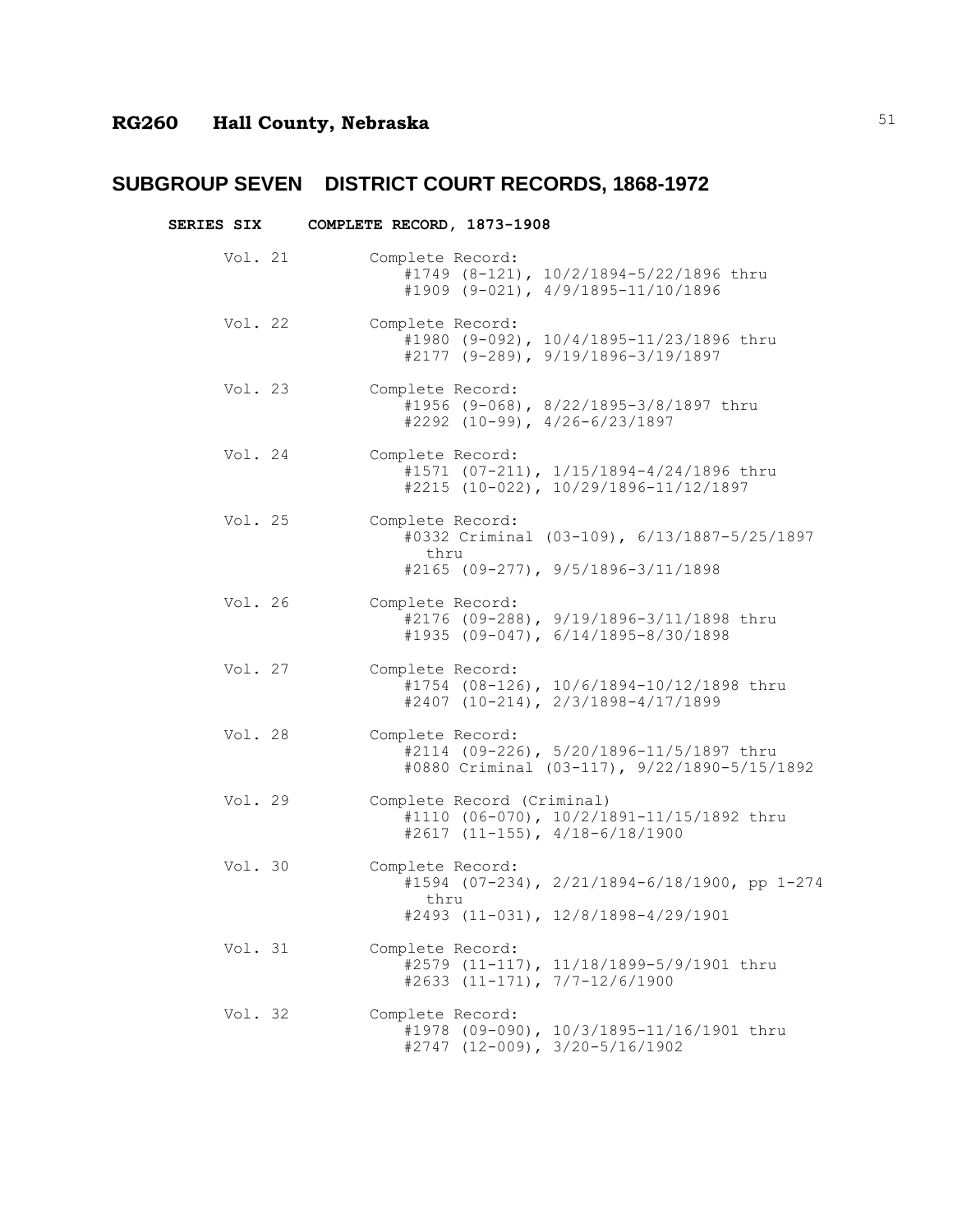| <b>SERIES SIX</b> | COMPLETE RECORD, 1873-1908                                                                                       |
|-------------------|------------------------------------------------------------------------------------------------------------------|
| Vol. 21           | Complete Record:<br>#1749 (8-121), 10/2/1894-5/22/1896 thru<br>#1909 (9-021), 4/9/1895-11/10/1896                |
| Vol. 22           | Complete Record:<br>#1980 (9-092), 10/4/1895-11/23/1896 thru<br>#2177 (9-289), 9/19/1896-3/19/1897               |
| Vol. 23           | Complete Record:<br>#1956 (9-068), 8/22/1895-3/8/1897 thru<br>$\#2292$ (10-99), 4/26-6/23/1897                   |
| Vol. 24           | Complete Record:<br>#1571 (07-211), 1/15/1894-4/24/1896 thru<br>#2215 (10-022), 10/29/1896-11/12/1897            |
| Vol. 25           | Complete Record:<br>#0332 Criminal (03-109), 6/13/1887-5/25/1897<br>thru<br>$#2165$ (09-277), 9/5/1896-3/11/1898 |
| Vol. 26           | Complete Record:<br>#2176 (09-288), 9/19/1896-3/11/1898 thru<br>#1935 (09-047), 6/14/1895-8/30/1898              |
| Vol. 27           | Complete Record:<br>#1754 (08-126), 10/6/1894-10/12/1898 thru<br>$#2407$ (10-214), 2/3/1898-4/17/1899            |
| Vol. 28           | Complete Record:<br>#2114 (09-226), 5/20/1896-11/5/1897 thru<br>#0880 Criminal (03-117), 9/22/1890-5/15/1892     |
| Vol. 29           | Complete Record (Criminal)<br>#1110 (06-070), 10/2/1891-11/15/1892 thru<br>#2617 (11-155), 4/18-6/18/1900        |
| Vol. 30           | Complete Record:<br>#1594 (07-234), 2/21/1894-6/18/1900, pp 1-274<br>thru<br>#2493 (11-031), 12/8/1898-4/29/1901 |
| Vol. 31           | Complete Record:<br>#2579 (11-117), 11/18/1899-5/9/1901 thru<br>#2633 (11-171), 7/7-12/6/1900                    |
| Vol. 32           | Complete Record:<br>#1978 (09-090), 10/3/1895-11/16/1901 thru<br>$#2747$ (12-009), 3/20-5/16/1902                |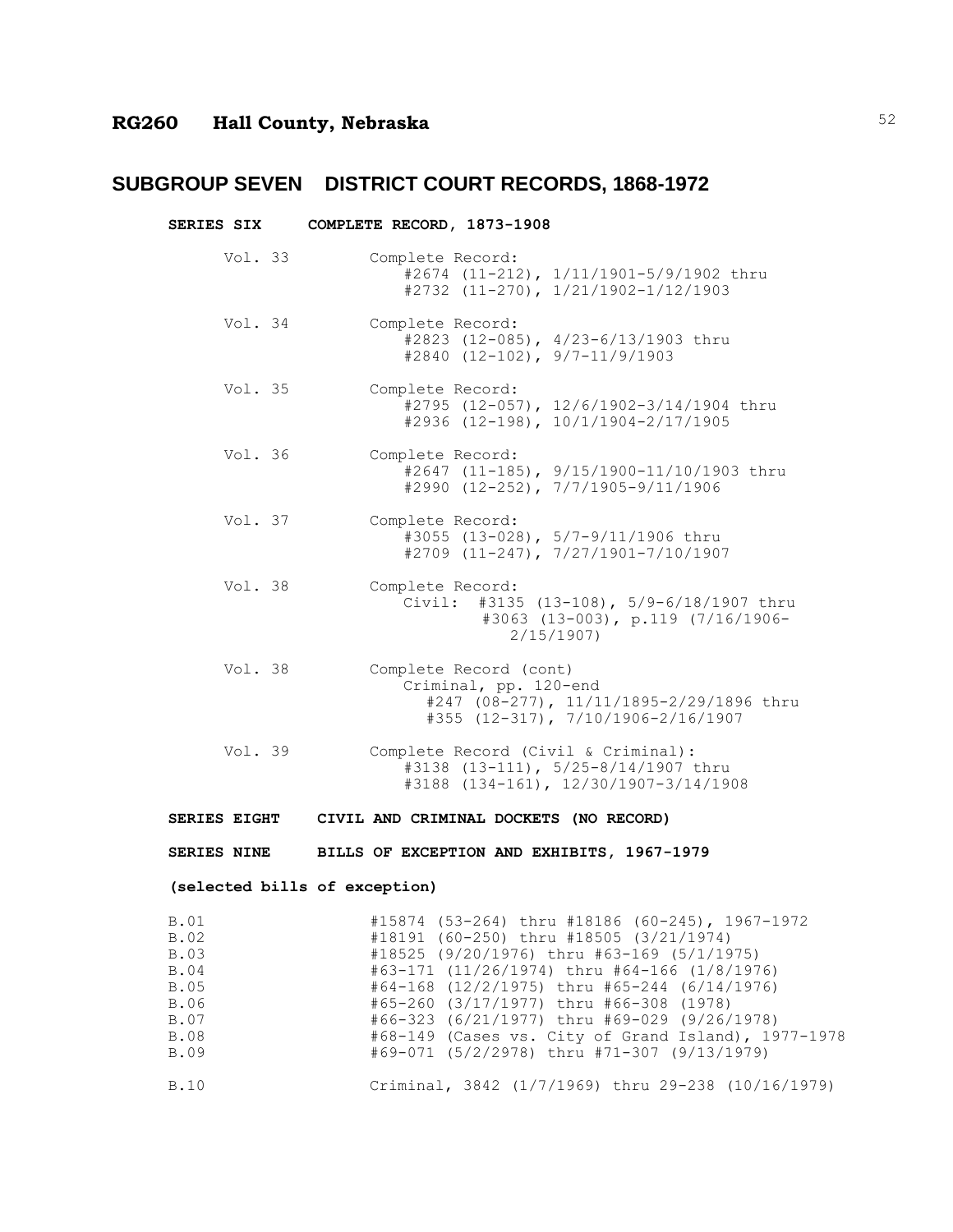| <b>SERIES SIX</b>                                                    | COMPLETE RECORD, 1873-1908                                                                                                                                                                                                                                                                                                                                                                                                                |
|----------------------------------------------------------------------|-------------------------------------------------------------------------------------------------------------------------------------------------------------------------------------------------------------------------------------------------------------------------------------------------------------------------------------------------------------------------------------------------------------------------------------------|
| Vol. $33$                                                            | Complete Record:<br>#2674 (11-212), 1/11/1901-5/9/1902 thru<br>$#2732$ (11-270), $1/21/1902-1/12/1903$                                                                                                                                                                                                                                                                                                                                    |
| Vol. 34                                                              | Complete Record:<br>#2823 (12-085), 4/23-6/13/1903 thru<br>$\#2840$ (12-102), 9/7-11/9/1903                                                                                                                                                                                                                                                                                                                                               |
| Vol. 35                                                              | Complete Record:<br>#2795 (12-057), 12/6/1902-3/14/1904 thru<br>$\#2936$ (12-198), 10/1/1904-2/17/1905                                                                                                                                                                                                                                                                                                                                    |
| Vol. 36                                                              | Complete Record:<br>#2647 (11-185), 9/15/1900-11/10/1903 thru<br>$\#2990$ (12-252), 7/7/1905-9/11/1906                                                                                                                                                                                                                                                                                                                                    |
| Vol. 37                                                              | Complete Record:<br>#3055 (13-028), 5/7-9/11/1906 thru<br>$#2709$ (11-247), $7/27/1901-7/10/1907$                                                                                                                                                                                                                                                                                                                                         |
| Vol. 38                                                              | Complete Record:<br>#3135 (13-108), 5/9-6/18/1907 thru<br>Civil:<br>$#3063$ (13-003), p.119 (7/16/1906-<br>2/15/1907                                                                                                                                                                                                                                                                                                                      |
| Vol. 38                                                              | Complete Record (cont)<br>Criminal, pp. 120-end<br>#247 (08-277), 11/11/1895-2/29/1896 thru<br>#355 (12-317), 7/10/1906-2/16/1907                                                                                                                                                                                                                                                                                                         |
| Vol. $39$                                                            | Complete Record (Civil & Criminal):<br>#3138 (13-111), 5/25-8/14/1907 thru<br>#3188 (134-161), 12/30/1907-3/14/1908                                                                                                                                                                                                                                                                                                                       |
|                                                                      | SERIES EIGHT CIVIL AND CRIMINAL DOCKETS (NO RECORD)                                                                                                                                                                                                                                                                                                                                                                                       |
|                                                                      | SERIES NINE BILLS OF EXCEPTION AND EXHIBITS, 1967-1979                                                                                                                                                                                                                                                                                                                                                                                    |
|                                                                      | (selected bills of exception)                                                                                                                                                                                                                                                                                                                                                                                                             |
| B.O1<br>B.02<br>B.03<br>B.04<br>B.05<br>B.06<br>B.07<br>B.08<br>B.09 | #15874 (53-264) thru #18186 (60-245), 1967-1972<br>#18191 (60-250) thru #18505 (3/21/1974)<br>#18525 (9/20/1976) thru #63-169 (5/1/1975)<br>#63-171 (11/26/1974) thru #64-166 (1/8/1976)<br>#64-168 (12/2/1975) thru #65-244 (6/14/1976)<br>#65-260 (3/17/1977) thru #66-308 (1978)<br>#66-323 (6/21/1977) thru #69-029 (9/26/1978)<br>#68-149 (Cases vs. City of Grand Island), 1977-1978<br>#69-071 (5/2/2978) thru #71-307 (9/13/1979) |
| B.10                                                                 | Criminal, 3842 (1/7/1969) thru 29-238 (10/16/1979)                                                                                                                                                                                                                                                                                                                                                                                        |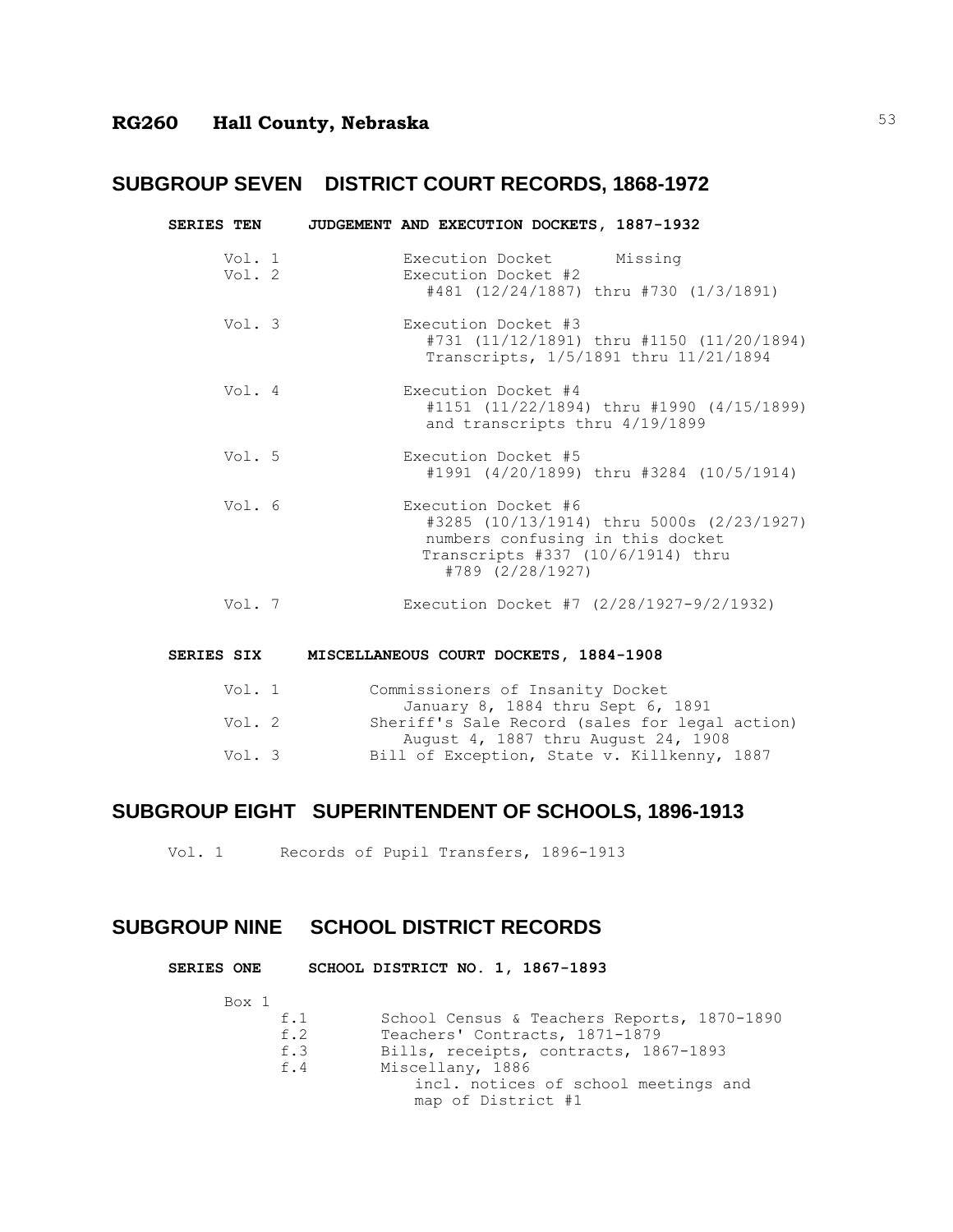| <b>SERIES TEN</b> | JUDGEMENT AND EXECUTION DOCKETS, 1887-1932                                                                                                                    |
|-------------------|---------------------------------------------------------------------------------------------------------------------------------------------------------------|
| Vol. 1<br>Vol. 2  | Execution Docket Missing<br>Execution Docket #2<br>#481 (12/24/1887) thru #730 (1/3/1891)                                                                     |
| Vol. 3            | Execution Docket #3<br>#731 (11/12/1891) thru #1150 (11/20/1894)<br>Transcripts, 1/5/1891 thru 11/21/1894                                                     |
| Vol. 4            | Execution Docket #4<br>$\#1151$ (11/22/1894) thru $\#1990$ (4/15/1899)<br>and transcripts thru 4/19/1899                                                      |
| Vol. 5            | Execution Docket #5<br>#1991 (4/20/1899) thru #3284 (10/5/1914)                                                                                               |
| Vol. 6            | Execution Docket #6<br>#3285 (10/13/1914) thru 5000s (2/23/1927)<br>numbers confusing in this docket<br>Transcripts #337 (10/6/1914) thru<br>#789 (2/28/1927) |
| Vol. 7            | Execution Docket #7 $(2/28/1927 - 9/2/1932)$                                                                                                                  |

#### **SERIES SIX MISCELLANEOUS COURT DOCKETS, 1884-1908**

| Vol. 1 | Commissioners of Insanity Docket               |
|--------|------------------------------------------------|
|        | January 8, 1884 thru Sept 6, 1891              |
| Vol. 2 | Sheriff's Sale Record (sales for legal action) |
|        | August 4, 1887 thru August 24, 1908            |
| Vol. 3 | Bill of Exception, State v. Killkenny, 1887    |
|        |                                                |

### **SUBGROUP EIGHT SUPERINTENDENT OF SCHOOLS, 1896-1913**

Vol. 1 Records of Pupil Transfers, 1896-1913

## **SUBGROUP NINE SCHOOL DISTRICT RECORDS**

| <b>SERIES ONE</b> |  |  |  |  |  | SCHOOL DISTRICT NO. 1, 1867-1893 |
|-------------------|--|--|--|--|--|----------------------------------|
|-------------------|--|--|--|--|--|----------------------------------|

Box 1

| f.1 | School Census & Teachers Reports, 1870-1890 |
|-----|---------------------------------------------|
| f.2 | Teachers' Contracts, 1871-1879              |
| f.3 | Bills, receipts, contracts, 1867-1893       |
| f.4 | Miscellany, 1886                            |
|     | incl. notices of school meetings and        |
|     | map of District #1                          |